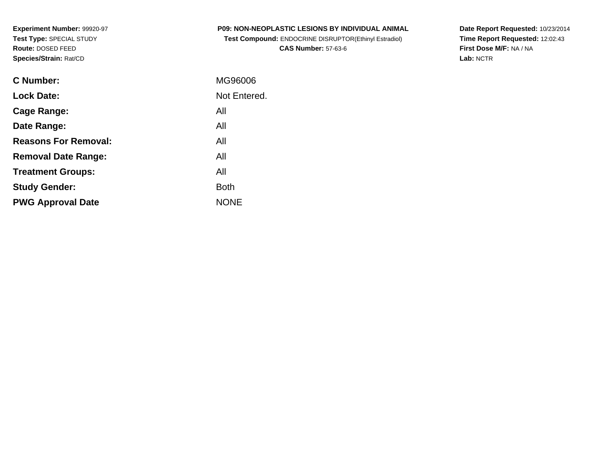**Experiment Number:** 99920-97**Test Type:** SPECIAL STUDY**Route:** DOSED FEED**Species/Strain:** Rat/CD

| <b>P09: NON-NEOPLASTIC LESIONS BY INDIVIDUAL ANIMAL</b>      |  |
|--------------------------------------------------------------|--|
| <b>Test Compound: ENDOCRINE DISRUPTOR(Ethinyl Estradiol)</b> |  |

**CAS Number:** 57-63-6

**Date Report Requested:** 10/23/2014 **Time Report Requested:** 12:02:43**First Dose M/F:** NA / NA**Lab:** NCTR

| <b>C</b> Number:            | MG96006      |
|-----------------------------|--------------|
| <b>Lock Date:</b>           | Not Entered. |
| Cage Range:                 | All          |
| Date Range:                 | All          |
| <b>Reasons For Removal:</b> | All          |
| <b>Removal Date Range:</b>  | All          |
| <b>Treatment Groups:</b>    | All          |
| <b>Study Gender:</b>        | Both         |
| <b>PWG Approval Date</b>    | <b>NONE</b>  |
|                             |              |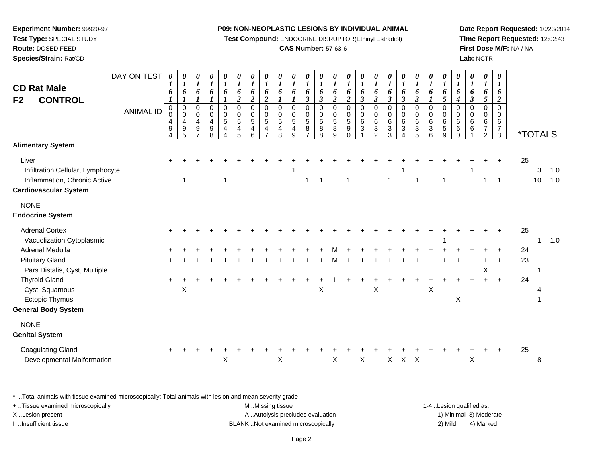**Test Compound:** ENDOCRINE DISRUPTOR(Ethinyl Estradiol)

# **CAS Number:** 57-63-6

**Date Report Requested:** 10/23/2014**Time Report Requested:** 12:02:43**First Dose M/F:** NA / NA**Lab:** NCTR

| <b>CD Rat Male</b><br><b>CONTROL</b><br>F <sub>2</sub>                                                     | DAY ON TEST<br><b>ANIMAL ID</b> | 0<br>1<br>6<br>1<br>$\mathbf 0$<br>0<br>4<br>9<br>4 | 0<br>$\boldsymbol{l}$<br>6<br>$\boldsymbol{l}$<br>$\mbox{O}$<br>0<br>$\overline{4}$<br>$\begin{array}{c} 9 \\ 5 \end{array}$ | 0<br>$\boldsymbol{l}$<br>6<br>$\boldsymbol{l}$<br>$\pmb{0}$<br>$\mathbf 0$<br>$\overline{4}$<br>$\boldsymbol{9}$<br>$\overline{7}$ | 0<br>$\boldsymbol{l}$<br>6<br>$\mathsf 0$<br>0<br>$\overline{4}$<br>9<br>$\bar{8}$ | 0<br>$\boldsymbol{l}$<br>6<br>$\boldsymbol{l}$<br>$\mathsf 0$<br>$\pmb{0}$<br>$\sqrt{5}$<br>$\overline{4}$<br>$\boldsymbol{\Lambda}$ | 0<br>$\boldsymbol{l}$<br>6<br>$\overline{c}$<br>$\mathsf 0$<br>0<br>$5\phantom{.0}$<br>4<br>5 | 0<br>$\boldsymbol{l}$<br>6<br>$\boldsymbol{2}$<br>$\mathsf 0$<br>$\mathbf 0$<br>$\sqrt{5}$<br>4<br>6 | 0<br>$\boldsymbol{l}$<br>6<br>$\boldsymbol{2}$<br>$\mathbf 0$<br>$\Omega$<br>5<br>4<br>$\overline{7}$ | 0<br>$\boldsymbol{l}$<br>6<br>1<br>$\mathbf 0$<br>$\mathbf 0$<br>5<br>4<br>8 | $\boldsymbol{\theta}$<br>$\boldsymbol{l}$<br>6<br>1<br>$\overline{0}$<br>$\Omega$<br>5<br>4<br>9 | 0<br>$\boldsymbol{l}$<br>6<br>3<br>$\overline{0}$<br>0<br>$\sqrt{5}$<br>8<br>$\overline{7}$ | 0<br>$\boldsymbol{l}$<br>6<br>$\boldsymbol{\beta}$<br>$\mathbf 0$<br>0<br>5<br>8<br>8 | 0<br>$\boldsymbol{l}$<br>6<br>$\boldsymbol{2}$<br>$\mathbf 0$<br>0<br>$\sqrt{5}$<br>8<br>9 | 0<br>$\boldsymbol{l}$<br>6<br>$\boldsymbol{2}$<br>$\mathsf 0$<br>$\mathbf 0$<br>$\sqrt{5}$<br>9<br>$\mathbf 0$ | 0<br>$\boldsymbol{l}$<br>6<br>$\mathfrak{z}$<br>$\mathbf 0$<br>0<br>6<br>$\sqrt{3}$ | 0<br>$\boldsymbol{l}$<br>6<br>$\boldsymbol{\beta}$<br>$\mathbf 0$<br>0<br>$\,6\,$<br>$\sqrt{3}$<br>$\overline{2}$ | 0<br>$\boldsymbol{l}$<br>6<br>$\mathfrak{z}$<br>$\mathbf 0$<br>0<br>$\,6\,$<br>$\frac{3}{3}$ | $\boldsymbol{\theta}$<br>$\boldsymbol{l}$<br>6<br>$\mathfrak{z}$<br>$\mathsf 0$<br>$\mathbf 0$<br>$\,6$<br>3<br>$\lambda$ | 0<br>$\boldsymbol{l}$<br>6<br>$\boldsymbol{\beta}$<br>0<br>0<br>6<br>3<br>$\overline{5}$ | 0<br>$\boldsymbol{l}$<br>6<br>$\boldsymbol{l}$<br>0<br>0<br>6<br>$\ensuremath{\mathsf{3}}$<br>6 | 0<br>$\boldsymbol{l}$<br>6<br>5<br>$\mathbf 0$<br>$\mathbf 0$<br>6<br>$\frac{5}{9}$ | 0<br>$\boldsymbol{l}$<br>6<br>$\boldsymbol{4}$<br>$\mathbf 0$<br>$\mathbf 0$<br>6<br>6<br>$\Omega$ | 0<br>$\boldsymbol{l}$<br>6<br>$\boldsymbol{\beta}$<br>$\mathsf 0$<br>$\mathbf 0$<br>6<br>6 | 0<br>$\boldsymbol{l}$<br>6<br>5<br>$\mathsf 0$<br>0<br>6<br>$\overline{7}$<br>$\overline{c}$ | $\boldsymbol{\theta}$<br>1<br>6<br>$\overline{2}$<br>$\mathbf 0$<br>$\Omega$<br>6<br>$\overline{7}$<br>$\mathbf{3}$ |    | <i><b>*TOTALS</b></i> |            |
|------------------------------------------------------------------------------------------------------------|---------------------------------|-----------------------------------------------------|------------------------------------------------------------------------------------------------------------------------------|------------------------------------------------------------------------------------------------------------------------------------|------------------------------------------------------------------------------------|--------------------------------------------------------------------------------------------------------------------------------------|-----------------------------------------------------------------------------------------------|------------------------------------------------------------------------------------------------------|-------------------------------------------------------------------------------------------------------|------------------------------------------------------------------------------|--------------------------------------------------------------------------------------------------|---------------------------------------------------------------------------------------------|---------------------------------------------------------------------------------------|--------------------------------------------------------------------------------------------|----------------------------------------------------------------------------------------------------------------|-------------------------------------------------------------------------------------|-------------------------------------------------------------------------------------------------------------------|----------------------------------------------------------------------------------------------|---------------------------------------------------------------------------------------------------------------------------|------------------------------------------------------------------------------------------|-------------------------------------------------------------------------------------------------|-------------------------------------------------------------------------------------|----------------------------------------------------------------------------------------------------|--------------------------------------------------------------------------------------------|----------------------------------------------------------------------------------------------|---------------------------------------------------------------------------------------------------------------------|----|-----------------------|------------|
| <b>Alimentary System</b>                                                                                   |                                 |                                                     |                                                                                                                              |                                                                                                                                    |                                                                                    |                                                                                                                                      |                                                                                               |                                                                                                      |                                                                                                       |                                                                              |                                                                                                  |                                                                                             |                                                                                       |                                                                                            |                                                                                                                |                                                                                     |                                                                                                                   |                                                                                              |                                                                                                                           |                                                                                          |                                                                                                 |                                                                                     |                                                                                                    |                                                                                            |                                                                                              |                                                                                                                     |    |                       |            |
| Liver<br>Infiltration Cellular, Lymphocyte<br>Inflammation, Chronic Active<br><b>Cardiovascular System</b> |                                 |                                                     | $\mathbf{1}$                                                                                                                 |                                                                                                                                    |                                                                                    | $\mathbf{1}$                                                                                                                         |                                                                                               |                                                                                                      |                                                                                                       |                                                                              |                                                                                                  | 1                                                                                           | -1                                                                                    |                                                                                            | $\mathbf{1}$                                                                                                   |                                                                                     |                                                                                                                   | $\mathbf{1}$                                                                                 |                                                                                                                           | $\mathbf{1}$                                                                             |                                                                                                 | $\mathbf{1}$                                                                        |                                                                                                    | 1                                                                                          | $\mathbf{1}$                                                                                 | 1                                                                                                                   | 25 | 3<br>10               | 1.0<br>1.0 |
| <b>NONE</b>                                                                                                |                                 |                                                     |                                                                                                                              |                                                                                                                                    |                                                                                    |                                                                                                                                      |                                                                                               |                                                                                                      |                                                                                                       |                                                                              |                                                                                                  |                                                                                             |                                                                                       |                                                                                            |                                                                                                                |                                                                                     |                                                                                                                   |                                                                                              |                                                                                                                           |                                                                                          |                                                                                                 |                                                                                     |                                                                                                    |                                                                                            |                                                                                              |                                                                                                                     |    |                       |            |
| <b>Endocrine System</b>                                                                                    |                                 |                                                     |                                                                                                                              |                                                                                                                                    |                                                                                    |                                                                                                                                      |                                                                                               |                                                                                                      |                                                                                                       |                                                                              |                                                                                                  |                                                                                             |                                                                                       |                                                                                            |                                                                                                                |                                                                                     |                                                                                                                   |                                                                                              |                                                                                                                           |                                                                                          |                                                                                                 |                                                                                     |                                                                                                    |                                                                                            |                                                                                              |                                                                                                                     |    |                       |            |
| <b>Adrenal Cortex</b><br>Vacuolization Cytoplasmic                                                         |                                 |                                                     |                                                                                                                              |                                                                                                                                    |                                                                                    |                                                                                                                                      |                                                                                               |                                                                                                      |                                                                                                       |                                                                              |                                                                                                  |                                                                                             |                                                                                       |                                                                                            |                                                                                                                |                                                                                     |                                                                                                                   |                                                                                              |                                                                                                                           |                                                                                          |                                                                                                 |                                                                                     |                                                                                                    |                                                                                            |                                                                                              |                                                                                                                     | 25 | $\mathbf{1}$          | 1.0        |
| Adrenal Medulla                                                                                            |                                 |                                                     |                                                                                                                              |                                                                                                                                    |                                                                                    |                                                                                                                                      |                                                                                               |                                                                                                      |                                                                                                       |                                                                              |                                                                                                  |                                                                                             |                                                                                       |                                                                                            |                                                                                                                |                                                                                     |                                                                                                                   |                                                                                              |                                                                                                                           |                                                                                          |                                                                                                 |                                                                                     |                                                                                                    |                                                                                            |                                                                                              |                                                                                                                     | 24 |                       |            |
| <b>Pituitary Gland</b><br>Pars Distalis, Cyst, Multiple                                                    |                                 |                                                     |                                                                                                                              |                                                                                                                                    |                                                                                    |                                                                                                                                      |                                                                                               |                                                                                                      |                                                                                                       |                                                                              |                                                                                                  |                                                                                             |                                                                                       |                                                                                            |                                                                                                                |                                                                                     |                                                                                                                   |                                                                                              |                                                                                                                           |                                                                                          |                                                                                                 |                                                                                     |                                                                                                    |                                                                                            | Χ                                                                                            |                                                                                                                     | 23 | -1                    |            |
| <b>Thyroid Gland</b><br>Cyst, Squamous<br><b>Ectopic Thymus</b>                                            |                                 |                                                     | Χ                                                                                                                            |                                                                                                                                    |                                                                                    |                                                                                                                                      |                                                                                               |                                                                                                      |                                                                                                       |                                                                              |                                                                                                  |                                                                                             | Χ                                                                                     |                                                                                            |                                                                                                                |                                                                                     | X                                                                                                                 |                                                                                              |                                                                                                                           |                                                                                          | X                                                                                               |                                                                                     | Χ                                                                                                  |                                                                                            |                                                                                              | $\ddot{}$                                                                                                           | 24 |                       |            |
| <b>General Body System</b>                                                                                 |                                 |                                                     |                                                                                                                              |                                                                                                                                    |                                                                                    |                                                                                                                                      |                                                                                               |                                                                                                      |                                                                                                       |                                                                              |                                                                                                  |                                                                                             |                                                                                       |                                                                                            |                                                                                                                |                                                                                     |                                                                                                                   |                                                                                              |                                                                                                                           |                                                                                          |                                                                                                 |                                                                                     |                                                                                                    |                                                                                            |                                                                                              |                                                                                                                     |    |                       |            |
| <b>NONE</b><br><b>Genital System</b>                                                                       |                                 |                                                     |                                                                                                                              |                                                                                                                                    |                                                                                    |                                                                                                                                      |                                                                                               |                                                                                                      |                                                                                                       |                                                                              |                                                                                                  |                                                                                             |                                                                                       |                                                                                            |                                                                                                                |                                                                                     |                                                                                                                   |                                                                                              |                                                                                                                           |                                                                                          |                                                                                                 |                                                                                     |                                                                                                    |                                                                                            |                                                                                              |                                                                                                                     |    |                       |            |
| <b>Coagulating Gland</b><br>Developmental Malformation                                                     |                                 |                                                     |                                                                                                                              |                                                                                                                                    |                                                                                    | $\pmb{\times}$                                                                                                                       |                                                                                               |                                                                                                      |                                                                                                       | $\sf X$                                                                      |                                                                                                  |                                                                                             |                                                                                       | X                                                                                          |                                                                                                                | X                                                                                   |                                                                                                                   | $\mathsf{X}$                                                                                 | $X$ $X$                                                                                                                   |                                                                                          |                                                                                                 |                                                                                     |                                                                                                    | $\boldsymbol{\mathsf{X}}$                                                                  |                                                                                              |                                                                                                                     | 25 | 8                     |            |

\* ..Total animals with tissue examined microscopically; Total animals with lesion and mean severity grade

| + Tissue examined microscopically | M Missing tissue                   | 1-4 Lesion qualified as: |                        |
|-----------------------------------|------------------------------------|--------------------------|------------------------|
| X Lesion present                  | A Autolysis precludes evaluation   |                          | 1) Minimal 3) Moderate |
| Insufficient tissue               | BLANK Not examined microscopically | 2) Mild                  | 4) Marked              |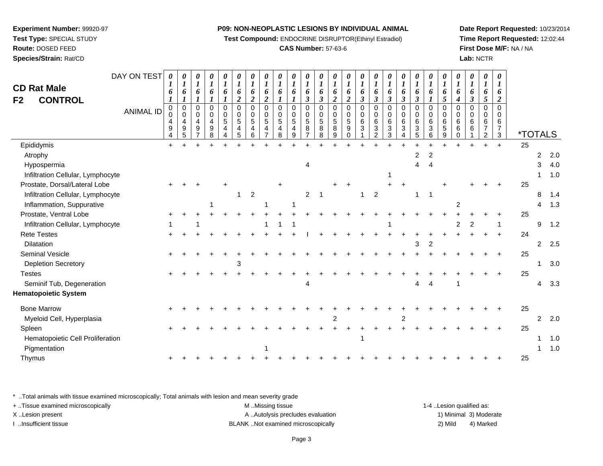**Test Compound:** ENDOCRINE DISRUPTOR(Ethinyl Estradiol)

#### **CAS Number:** 57-63-6

**Date Report Requested:** 10/23/2014**Time Report Requested:** 12:02:44**First Dose M/F:** NA / NA**Lab:** NCTR

DAY ON TEST**CD Rat Male F2 CONTROL**ANIMAL ID*0 1 6 1* 0 0 4 9 4 $\ddot{}$ *0 1 6 1* 0 0 4 9 5 $+$ *0 1 6 1* 0 0 4 9 7*0 1 6 1* 0 0 4 9 8*0 1 6 1* 0 0 5 4 4*0 1 6 2* 0 0 5 4 5*0 1 6 2* 0 0 5 4 6*0 1 6 2* 0 0 5 4 7*0 1 6 1* 0 0 5 4 8 $\ddot{}$ *0 1 6 1* 0 0 5 4 9*0 1 6 3* 0 0 5 8 7 $\ddot{}$ *0 1 6 3* 0 0 5 8 8*0 1 6 2* 0 0 5 8 9*0 1 6 2* 0 0 5 9 0*0 1 6 3* 0 0 6 3 1*0 1 6 3* 0 0 6 3 2*0 1 6 3* 0 0 6 3 3*0 1 6 3* 0 0 6 3 4 $\ddot{}$ *0 1 6 3* 0 0 6 3 5*0 1 6 1* 0 0 6 3 6*0 1 6 5* 0 0 6 5 9*0 1 6 4* 0 0 6 6 0*0 1 6 3* 0 0 6 6 1 $\ddot{}$ *0 1 6 5* 0 0 6 7 2*0 1 6 2* 0 0 6 7 $\overline{3}$ 3 \*TOTALSEpididymis $\mathsf{S}$  + <sup>+</sup> <sup>+</sup> <sup>+</sup> <sup>+</sup> <sup>+</sup> <sup>+</sup> <sup>+</sup> <sup>+</sup> <sup>+</sup> <sup>+</sup> <sup>+</sup> <sup>+</sup> <sup>+</sup> <sup>+</sup> <sup>+</sup> <sup>+</sup> <sup>+</sup> <sup>+</sup> <sup>+</sup> <sup>+</sup> <sup>+</sup> <sup>+</sup> <sup>+</sup> + 25 Atrophy $\mathsf{y}$  <sup>2</sup> <sup>2</sup> 2.0 Hypospermiaa a  $4 \t3 \t4 \t3 \t4.0$ Infiltration Cellular, Lymphocytee the contract of  $\frac{1}{1}$  and  $\frac{1}{1}$  and  $\frac{1}{1}$  and  $\frac{1}{1}$  and  $\frac{1}{1}$  and  $\frac{1}{1}$  and  $\frac{1}{1}$  and  $\frac{1}{1}$  and  $\frac{1}{1}$  and  $\frac{1}{1}$  and  $\frac{1}{1}$  and  $\frac{1}{1}$  and  $\frac{1}{1}$  and  $\frac{1}{1}$  and  $\frac{1}{1$ Prostate, Dorsal/Lateral Lobee + <sup>+</sup> <sup>+</sup> <sup>+</sup> <sup>+</sup> <sup>+</sup> <sup>+</sup> <sup>+</sup> <sup>+</sup> <sup>+</sup> <sup>+</sup> <sup>+</sup> + 25 Infiltration Cellular, Lymphocytee 2 1 2 1 2 1 1 2 3 1.4 Inflammation, Suppurativee 1 1 1 1 2 4 1.3 Prostate, Ventral Lobee + <sup>+</sup> <sup>+</sup> <sup>+</sup> <sup>+</sup> <sup>+</sup> <sup>+</sup> <sup>+</sup> <sup>+</sup> <sup>+</sup> <sup>+</sup> <sup>+</sup> <sup>+</sup> <sup>+</sup> <sup>+</sup> <sup>+</sup> <sup>+</sup> <sup>+</sup> <sup>+</sup> <sup>+</sup> <sup>+</sup> <sup>+</sup> <sup>+</sup> <sup>+</sup> + 25 Infiltration Cellular, Lymphocytee 1 1 1 1 1 1 1 1 1 2 2 1 9 1.2 Rete Testes <sup>+</sup> <sup>+</sup> <sup>+</sup> <sup>+</sup> <sup>+</sup> <sup>+</sup> <sup>+</sup> <sup>+</sup> <sup>+</sup> <sup>+</sup> <sup>I</sup> <sup>+</sup> <sup>+</sup> <sup>+</sup> <sup>+</sup> <sup>+</sup> <sup>+</sup> <sup>+</sup> <sup>+</sup> <sup>+</sup> <sup>+</sup> <sup>+</sup> <sup>+</sup> <sup>+</sup> + 24 **Dilatation** n  $3 \t2 \t2 \t2 \t3$ Seminal Vesiclee + <sup>+</sup> <sup>+</sup> <sup>+</sup> <sup>+</sup> <sup>+</sup> <sup>+</sup> <sup>+</sup> <sup>+</sup> <sup>+</sup> <sup>+</sup> <sup>+</sup> <sup>+</sup> <sup>+</sup> <sup>+</sup> <sup>+</sup> <sup>+</sup> <sup>+</sup> <sup>+</sup> <sup>+</sup> <sup>+</sup> <sup>+</sup> <sup>+</sup> <sup>+</sup> + 25 Depletion Secretory $\mathsf y$  3  $1 \t3.0$ **Testes**  <sup>+</sup> <sup>+</sup> <sup>+</sup> <sup>+</sup> <sup>+</sup> <sup>+</sup> <sup>+</sup> <sup>+</sup> <sup>+</sup> <sup>+</sup> <sup>+</sup> <sup>+</sup> <sup>+</sup> <sup>+</sup> <sup>+</sup> <sup>+</sup> <sup>+</sup> <sup>+</sup> <sup>+</sup> <sup>+</sup> <sup>+</sup> <sup>+</sup> <sup>+</sup> <sup>+</sup> + 25 Seminif Tub, Degenerationn and  $4$  4  $4$  1  $4$  3.3 **Hematopoietic System**Bone Marrow <sup>+</sup> <sup>+</sup> <sup>+</sup> <sup>+</sup> <sup>+</sup> <sup>+</sup> <sup>+</sup> <sup>+</sup> <sup>+</sup> <sup>+</sup> <sup>+</sup> <sup>+</sup> <sup>+</sup> <sup>+</sup> <sup>+</sup> <sup>+</sup> <sup>+</sup> <sup>+</sup> <sup>+</sup> <sup>+</sup> <sup>+</sup> <sup>+</sup> <sup>+</sup> <sup>+</sup> + 25 Myeloid Cell, Hyperplasiaa 2 2 2.0 Spleenn  $+$  <sup>+</sup> <sup>+</sup> <sup>+</sup> <sup>+</sup> <sup>+</sup> <sup>+</sup> <sup>+</sup> <sup>+</sup> <sup>+</sup> <sup>+</sup> <sup>+</sup> <sup>+</sup> <sup>+</sup> <sup>+</sup> <sup>+</sup> <sup>+</sup> <sup>+</sup> <sup>+</sup> <sup>+</sup> <sup>+</sup> <sup>+</sup> <sup>+</sup> <sup>+</sup> + 25 Hematopoietic Cell Proliferationn and  $\frac{1}{1}$  1.0 Pigmentationn and  $1$  1.0 **Thymus**  <sup>+</sup><sup>+</sup> <sup>+</sup> <sup>+</sup> <sup>+</sup> <sup>+</sup> <sup>+</sup> <sup>+</sup> <sup>+</sup> <sup>+</sup> <sup>+</sup> <sup>+</sup> <sup>+</sup> <sup>+</sup> <sup>+</sup> <sup>+</sup> <sup>+</sup> <sup>+</sup> <sup>+</sup> <sup>+</sup> <sup>+</sup> <sup>+</sup> <sup>+</sup> <sup>+</sup> + 25

\* ..Total animals with tissue examined microscopically; Total animals with lesion and mean severity grade

**Experiment Number:** 99920-97**Test Type:** SPECIAL STUDY**Route:** DOSED FEED**Species/Strain:** Rat/CD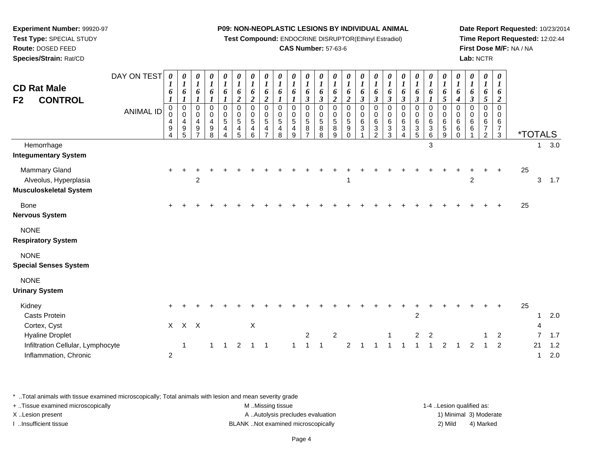**Test Compound:** ENDOCRINE DISRUPTOR(Ethinyl Estradiol)

# **CAS Number:** 57-63-6

**Date Report Requested:** 10/23/2014**Time Report Requested:** 12:02:44**First Dose M/F:** NA / NA**Lab:** NCTR

| F <sub>2</sub> | <b>CD Rat Male</b><br><b>CONTROL</b><br>Hemorrhage<br><b>Integumentary System</b>                      | DAY ON TEST<br><b>ANIMAL ID</b> | $\boldsymbol{\theta}$<br>1<br>6<br>$\boldsymbol{l}$<br>$\pmb{0}$<br>$\mathbf 0$<br>$\overline{4}$<br>9<br>4 | 0<br>$\boldsymbol{l}$<br>6<br>$\boldsymbol{l}$<br>$\pmb{0}$<br>$\mathbf 0$<br>$\overline{4}$<br>9<br>5 | 0<br>$\boldsymbol{l}$<br>6<br>$\boldsymbol{l}$<br>$\pmb{0}$<br>0<br>$\overline{4}$<br>9<br>$\overline{7}$ | 0<br>$\boldsymbol{l}$<br>6<br>$\boldsymbol{l}$<br>0<br>$\mathbf 0$<br>$\overline{4}$<br>9<br>8 | 0<br>$\boldsymbol{l}$<br>6<br>$\boldsymbol{l}$<br>$\pmb{0}$<br>$\pmb{0}$<br>$\,$ 5 $\,$<br>$\overline{\mathbf{4}}$<br>4 | 0<br>$\boldsymbol{l}$<br>6<br>$\boldsymbol{2}$<br>$\pmb{0}$<br>$\pmb{0}$<br>$\sqrt{5}$<br>4<br>5 | $\pmb{\theta}$<br>$\boldsymbol{l}$<br>6<br>$\overline{2}$<br>$\pmb{0}$<br>$\pmb{0}$<br>$\sqrt{5}$<br>4<br>6 | $\boldsymbol{\theta}$<br>$\boldsymbol{l}$<br>6<br>$\boldsymbol{2}$<br>$\mathbf 0$<br>0<br>$5\phantom{.0}$<br>4<br>$\overline{7}$ | 0<br>$\boldsymbol{l}$<br>6<br>$\boldsymbol{I}$<br>$\Omega$<br>0<br>$\sqrt{5}$<br>$\overline{\mathbf{4}}$<br>8 | 0<br>$\bm{l}$<br>6<br>1<br>$\Omega$<br>$\mathbf 0$<br>$\sqrt{5}$<br>4<br>9 | 0<br>$\boldsymbol{I}$<br>6<br>$\boldsymbol{\beta}$<br>$\Omega$<br>$\mathbf 0$<br>$5\phantom{.0}$<br>8<br>$\overline{7}$ | 0<br>1<br>6<br>3<br>0<br>0<br>$\sqrt{5}$<br>8<br>8 | 0<br>$\boldsymbol{l}$<br>6<br>$\boldsymbol{2}$<br>$\mathbf 0$<br>0<br>$\sqrt{5}$<br>$\bf 8$<br>9 | 0<br>$\boldsymbol{l}$<br>6<br>$\boldsymbol{2}$<br>$\mathbf 0$<br>0<br>$\sqrt{5}$<br>$\boldsymbol{9}$<br>$\mathbf 0$ | 0<br>1<br>6<br>$\mathfrak{z}$<br>$\mathbf 0$<br>$\mathbf 0$<br>6<br>3 | 0<br>$\boldsymbol{l}$<br>6<br>$\boldsymbol{\beta}$<br>$\mathbf 0$<br>0<br>6<br>$\ensuremath{\mathsf{3}}$<br>$\overline{2}$ | 0<br>$\boldsymbol{l}$<br>6<br>$\boldsymbol{\beta}$<br>$\mathbf 0$<br>$\mathbf 0$<br>$\,6\,$<br>$\sqrt{3}$<br>3 | 0<br>$\boldsymbol{l}$<br>6<br>$\boldsymbol{\beta}$<br>0<br>0<br>$\,6\,$<br>3<br>4 | 0<br>$\boldsymbol{l}$<br>6<br>$\boldsymbol{\beta}$<br>$\mathbf 0$<br>$\pmb{0}$<br>$\,6\,$<br>$\sqrt{3}$<br>$\sqrt{5}$ | 0<br>$\bm{l}$<br>6<br>$\boldsymbol{l}$<br>$\pmb{0}$<br>$\pmb{0}$<br>6<br>$\mathbf{3}$<br>6<br>3 | $\pmb{\theta}$<br>$\boldsymbol{l}$<br>6<br>$\overline{5}$<br>$\mathbf 0$<br>$\mathbf 0$<br>$\,6\,$<br>$\sqrt{5}$<br>9 | 0<br>$\bm{l}$<br>6<br>$\boldsymbol{4}$<br>$\Omega$<br>$\mathbf 0$<br>6<br>6<br>$\mathbf 0$ | 0<br>$\boldsymbol{l}$<br>6<br>$\boldsymbol{\beta}$<br>$\Omega$<br>$\mathbf 0$<br>6<br>$\,6\,$ | 0<br>$\boldsymbol{l}$<br>6<br>$\sqrt{5}$<br>$\mathbf 0$<br>$\mathbf 0$<br>6<br>$\overline{7}$<br>$\overline{2}$ | $\boldsymbol{\theta}$<br>1<br>6<br>$\boldsymbol{2}$<br>$\mathbf 0$<br>$\mathbf 0$<br>6<br>$\overline{7}$<br>$\mathbf{3}$ |    | <i><b>*TOTALS</b></i><br>1     | 3.0               |
|----------------|--------------------------------------------------------------------------------------------------------|---------------------------------|-------------------------------------------------------------------------------------------------------------|--------------------------------------------------------------------------------------------------------|-----------------------------------------------------------------------------------------------------------|------------------------------------------------------------------------------------------------|-------------------------------------------------------------------------------------------------------------------------|--------------------------------------------------------------------------------------------------|-------------------------------------------------------------------------------------------------------------|----------------------------------------------------------------------------------------------------------------------------------|---------------------------------------------------------------------------------------------------------------|----------------------------------------------------------------------------|-------------------------------------------------------------------------------------------------------------------------|----------------------------------------------------|--------------------------------------------------------------------------------------------------|---------------------------------------------------------------------------------------------------------------------|-----------------------------------------------------------------------|----------------------------------------------------------------------------------------------------------------------------|----------------------------------------------------------------------------------------------------------------|-----------------------------------------------------------------------------------|-----------------------------------------------------------------------------------------------------------------------|-------------------------------------------------------------------------------------------------|-----------------------------------------------------------------------------------------------------------------------|--------------------------------------------------------------------------------------------|-----------------------------------------------------------------------------------------------|-----------------------------------------------------------------------------------------------------------------|--------------------------------------------------------------------------------------------------------------------------|----|--------------------------------|-------------------|
|                | Mammary Gland<br>Alveolus, Hyperplasia<br><b>Musculoskeletal System</b>                                |                                 | $\ddot{}$                                                                                                   |                                                                                                        | $\overline{2}$                                                                                            |                                                                                                |                                                                                                                         |                                                                                                  |                                                                                                             |                                                                                                                                  |                                                                                                               |                                                                            |                                                                                                                         |                                                    |                                                                                                  | -1                                                                                                                  |                                                                       |                                                                                                                            |                                                                                                                |                                                                                   |                                                                                                                       |                                                                                                 |                                                                                                                       |                                                                                            | $\overline{2}$                                                                                |                                                                                                                 |                                                                                                                          | 25 | 3                              | 1.7               |
| <b>Bone</b>    | <b>Nervous System</b>                                                                                  |                                 |                                                                                                             |                                                                                                        |                                                                                                           |                                                                                                |                                                                                                                         |                                                                                                  |                                                                                                             |                                                                                                                                  |                                                                                                               |                                                                            |                                                                                                                         |                                                    |                                                                                                  |                                                                                                                     |                                                                       |                                                                                                                            |                                                                                                                |                                                                                   |                                                                                                                       |                                                                                                 |                                                                                                                       |                                                                                            |                                                                                               |                                                                                                                 |                                                                                                                          | 25 |                                |                   |
|                | <b>NONE</b><br><b>Respiratory System</b>                                                               |                                 |                                                                                                             |                                                                                                        |                                                                                                           |                                                                                                |                                                                                                                         |                                                                                                  |                                                                                                             |                                                                                                                                  |                                                                                                               |                                                                            |                                                                                                                         |                                                    |                                                                                                  |                                                                                                                     |                                                                       |                                                                                                                            |                                                                                                                |                                                                                   |                                                                                                                       |                                                                                                 |                                                                                                                       |                                                                                            |                                                                                               |                                                                                                                 |                                                                                                                          |    |                                |                   |
|                | <b>NONE</b><br><b>Special Senses System</b>                                                            |                                 |                                                                                                             |                                                                                                        |                                                                                                           |                                                                                                |                                                                                                                         |                                                                                                  |                                                                                                             |                                                                                                                                  |                                                                                                               |                                                                            |                                                                                                                         |                                                    |                                                                                                  |                                                                                                                     |                                                                       |                                                                                                                            |                                                                                                                |                                                                                   |                                                                                                                       |                                                                                                 |                                                                                                                       |                                                                                            |                                                                                               |                                                                                                                 |                                                                                                                          |    |                                |                   |
|                | <b>NONE</b><br><b>Urinary System</b>                                                                   |                                 |                                                                                                             |                                                                                                        |                                                                                                           |                                                                                                |                                                                                                                         |                                                                                                  |                                                                                                             |                                                                                                                                  |                                                                                                               |                                                                            |                                                                                                                         |                                                    |                                                                                                  |                                                                                                                     |                                                                       |                                                                                                                            |                                                                                                                |                                                                                   |                                                                                                                       |                                                                                                 |                                                                                                                       |                                                                                            |                                                                                               |                                                                                                                 |                                                                                                                          |    |                                |                   |
|                | Kidney<br>Casts Protein<br>Cortex, Cyst<br><b>Hyaline Droplet</b><br>Infiltration Cellular, Lymphocyte |                                 | $\mathsf{X}$                                                                                                | -1                                                                                                     | $X$ $X$                                                                                                   | $\mathbf{1}$                                                                                   | $\mathbf{1}$                                                                                                            | 2                                                                                                | $\mathsf X$<br>$\mathbf{1}$                                                                                 | $\overline{1}$                                                                                                                   |                                                                                                               | $\mathbf{1}$                                                               | 2<br>$\mathbf{1}$                                                                                                       | $\overline{1}$                                     | $\overline{2}$                                                                                   | 2                                                                                                                   |                                                                       |                                                                                                                            | 1<br>1                                                                                                         | $\overline{1}$                                                                    | $\overline{c}$<br>2<br>$\mathbf{1}$                                                                                   | $\overline{c}$                                                                                  | $\overline{2}$                                                                                                        |                                                                                            | $\overline{2}$                                                                                | 1                                                                                                               | $\overline{c}$<br>$\overline{2}$                                                                                         | 25 | 1<br>4<br>$\overline{7}$<br>21 | 2.0<br>1.7<br>1.2 |
|                | Inflammation, Chronic                                                                                  |                                 | $\overline{2}$                                                                                              |                                                                                                        |                                                                                                           |                                                                                                |                                                                                                                         |                                                                                                  |                                                                                                             |                                                                                                                                  |                                                                                                               |                                                                            |                                                                                                                         |                                                    |                                                                                                  |                                                                                                                     |                                                                       |                                                                                                                            |                                                                                                                |                                                                                   |                                                                                                                       |                                                                                                 |                                                                                                                       |                                                                                            |                                                                                               |                                                                                                                 |                                                                                                                          |    | $\mathbf 1$                    | 2.0               |

\* ..Total animals with tissue examined microscopically; Total animals with lesion and mean severity grade

| + Tissue examined microscopically | M Missing tissue                   | 1-4 Lesion qualified as: |                        |
|-----------------------------------|------------------------------------|--------------------------|------------------------|
| X Lesion present                  | A Autolysis precludes evaluation   |                          | 1) Minimal 3) Moderate |
| Insufficient tissue               | BLANK Not examined microscopically | 2) Mild                  | 4) Marked              |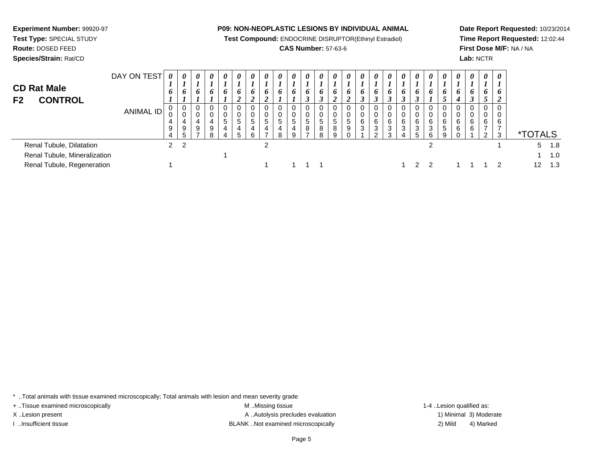**Experiment Number:** 99920-97**Test Type:** SPECIAL STUDY**Route:** DOSED FEED **Species/Strain:** Rat/CD**P09: NON-NEOPLASTIC LESIONS BY INDIVIDUAL ANIMALTest Compound:** ENDOCRINE DISRUPTOR(Ethinyl Estradiol)**CAS Number:** 57-63-6**Date Report Requested:** 10/23/2014**Time Report Requested:** 12:02:44**First Dose M/F:** NA / NA**Lab:** NCTRDAY ON TEST**CD Rat Male F2 CONTROL**ANIMAL ID*0 1 6 1* 0 0 4 9 4 $\overline{2}$ *0 1 6 1* 0 0 4 9 5 $\overline{2}$ *0 1 6 1* 0 0 4 9 7*0 1 6 1* 0 0 4 9 8*0 1 6 1* 0 0 5 4 4*0 1 6 2* 0 0 5 4 5*0 1 6 2* 0 0 5 4 6*0 1 6 2* 0 0 5 4 7 $\overline{2}$ *0 1 6 1* 0 0 5 4 8*0 1 6 1* 0 0 5 4 9*0 1 6 3* 0 0 5 8 7*0 1 6 3* 0 0 5 8 8*0 1 6 2* 0 0 5 8 9*0 1 6 2* 0 0 5 9 0*0 1 6 3*0<br>0<br>6<br>3<br>1 *0 1 6 3* 0 0 6 3 2*0 1 6 3* 0 0 6 3 3*0 1 6 3* 0 0 6 3 4*0 1 6 3* 0 0 6 3 5*0 1 6 1* 0 0 6 3 6 $\overline{2}$ *0 1 6 5* 0 0 6 5 9*0 1 6 4* 00<br>6<br>6<br>0 *0 1 6 3* 0 0 6 6 1*0 1 6 5* 0 0 6 7 2*0 1 6 2* 0 0 67<br>? 3 \*TOTALS $5 - 1.8$ Renal Tubule, Dilatationn 2 2 2 2 2 2 2 2 2 2 2 1 5 1.8 Renal Tubule, Mineralizationn and  $1$  1.0 Renal Tubule, Regeneration<sup>1</sup> <sup>1</sup> <sup>1</sup> <sup>1</sup> <sup>1</sup> <sup>1</sup> <sup>2</sup> <sup>2</sup> <sup>1</sup> <sup>1</sup> <sup>1</sup> <sup>2</sup> <sup>12</sup> 1.3

\* ..Total animals with tissue examined microscopically; Total animals with lesion and mean severity grade

+ ..Tissue examined microscopically examined microscopically examined as: M ..Missing tissue 1-4 ..Lesion qualified as:

X..Lesion present **A ..**Autolysis precludes evaluation A ..Autolysis precludes evaluation 1) Minimal 3) Moderate I ..Insufficient tissue BLANK ..Not examined microscopically 2) Mild 4) Marked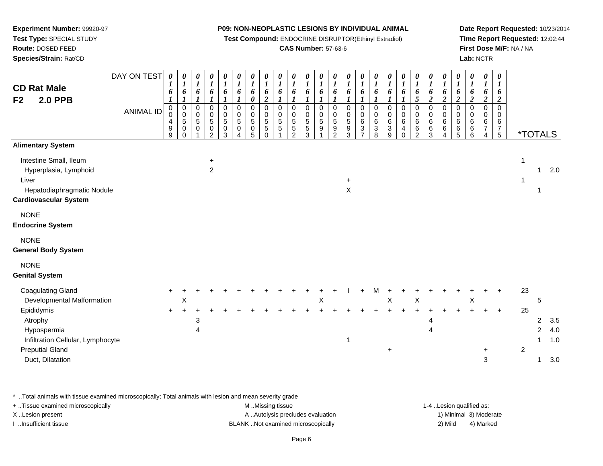# **Experiment Number:** 99920-97**Test Type:** SPECIAL STUDY**Route:** DOSED FEED

**Species/Strain:** Rat/CD

# **P09: NON-NEOPLASTIC LESIONS BY INDIVIDUAL ANIMAL**

**Test Compound:** ENDOCRINE DISRUPTOR(Ethinyl Estradiol)

# **CAS Number:** 57-63-6

**Date Report Requested:** 10/23/2014**Time Report Requested:** 12:02:44**First Dose M/F:** NA / NA**Lab:** NCTR

| <b>CD Rat Male</b><br><b>2.0 PPB</b><br>F <sub>2</sub>                                                                 | DAY ON TEST<br><b>ANIMAL ID</b> | 0<br>$\boldsymbol{l}$<br>6<br>0<br>$\mathsf 0$<br>4<br>9<br>9 | 0<br>$\boldsymbol{l}$<br>6<br>$\boldsymbol{\mathit{1}}$<br>$\mathbf 0$<br>0<br>$\sqrt{5}$<br>$\mathbf 0$<br>$\Omega$ | 0<br>$\boldsymbol{l}$<br>6<br>1<br>$\mathbf 0$<br>0<br>5<br>0 | 0<br>$\boldsymbol{l}$<br>6<br>$\mathbf 0$<br>0<br>$\overline{5}$<br>$\pmb{0}$<br>$\overline{2}$ | 0<br>$\boldsymbol{l}$<br>6<br>0<br>$\pmb{0}$<br>$\overline{5}$<br>$\pmb{0}$<br>3 | 0<br>$\boldsymbol{l}$<br>6<br>$\pmb{0}$<br>0<br>$\overline{5}$<br>$\pmb{0}$<br>$\overline{4}$ | $\boldsymbol{\theta}$<br>$\boldsymbol{l}$<br>6<br>$\boldsymbol{\theta}$<br>$\mathbf 0$<br>$\mathbf 0$<br>$\sqrt{5}$<br>$\pmb{0}$<br>$\overline{5}$ | 0<br>$\boldsymbol{l}$<br>6<br>$\boldsymbol{2}$<br>$\mathbf 0$<br>0<br>5<br>$\sqrt{5}$<br>$\mathbf 0$ | 0<br>$\boldsymbol{l}$<br>6<br>$\mathbf 0$<br>0<br>$\sqrt{5}$<br>5 | 0<br>$\boldsymbol{l}$<br>6<br>$\boldsymbol{l}$<br>$\Omega$<br>0<br>5<br>$\sqrt{5}$<br>$\overline{2}$ | $\pmb{\theta}$<br>$\boldsymbol{l}$<br>6<br>$\pmb{0}$<br>$\begin{array}{c} 0 \\ 5 \\ 5 \end{array}$<br>3 | 0<br>$\boldsymbol{l}$<br>6<br>0<br>0<br>$\overline{5}$<br>$\boldsymbol{9}$<br>1 | 0<br>$\boldsymbol{l}$<br>6<br>$\boldsymbol{l}$<br>0<br>0<br>$\sqrt{5}$<br>9<br>$\overline{c}$ | 0<br>$\boldsymbol{l}$<br>6<br>$\mathbf{I}$<br>$\mathbf 0$<br>0<br>$\overline{5}$<br>9<br>$\mathbf{3}$ | $\pmb{\theta}$<br>$\boldsymbol{l}$<br>6<br>$\mathbf 0$<br>0<br>6<br>3<br>$\overline{7}$ | 0<br>$\boldsymbol{l}$<br>6<br>1<br>$\mathbf 0$<br>0<br>$\,6\,$<br>$\ensuremath{\mathsf{3}}$<br>$\,8\,$ | 0<br>$\boldsymbol{l}$<br>6<br>1<br>$\mathbf 0$<br>0<br>6<br>$\ensuremath{\mathsf{3}}$<br>9 | 0<br>$\boldsymbol{l}$<br>6<br>$\mathbf 0$<br>$_{6}^{\rm 0}$<br>$\overline{4}$<br>$\mathbf 0$ | 0<br>$\boldsymbol{l}$<br>$\pmb{6}$<br>$\sqrt{5}$<br>$\mathbf 0$<br>0<br>$6\phantom{a}$<br>$\,6\,$<br>$\overline{2}$ | 0<br>$\bm{l}$<br>6<br>$\boldsymbol{2}$<br>$\mathbf 0$<br>0<br>6<br>6<br>$\mathbf{3}$ | 0<br>$\boldsymbol{l}$<br>6<br>$\boldsymbol{2}$<br>$\mathbf 0$<br>0<br>6<br>6<br>4 | 0<br>$\boldsymbol{l}$<br>6<br>$\overline{2}$<br>$\Omega$<br>0<br>6<br>$\,6$<br>5 | 0<br>$\boldsymbol{l}$<br>6<br>$\boldsymbol{2}$<br>$\Omega$<br>0<br>6<br>6<br>6 | $\boldsymbol{\theta}$<br>$\boldsymbol{l}$<br>6<br>$\boldsymbol{2}$<br>$\mathbf 0$<br>0<br>6<br>$\overline{7}$<br>$\overline{4}$ | 0<br>1<br>6<br>$\overline{c}$<br>0<br>0<br>6<br>$7\over 5$ | <i><b>*TOTALS</b></i> |                          |                   |
|------------------------------------------------------------------------------------------------------------------------|---------------------------------|---------------------------------------------------------------|----------------------------------------------------------------------------------------------------------------------|---------------------------------------------------------------|-------------------------------------------------------------------------------------------------|----------------------------------------------------------------------------------|-----------------------------------------------------------------------------------------------|----------------------------------------------------------------------------------------------------------------------------------------------------|------------------------------------------------------------------------------------------------------|-------------------------------------------------------------------|------------------------------------------------------------------------------------------------------|---------------------------------------------------------------------------------------------------------|---------------------------------------------------------------------------------|-----------------------------------------------------------------------------------------------|-------------------------------------------------------------------------------------------------------|-----------------------------------------------------------------------------------------|--------------------------------------------------------------------------------------------------------|--------------------------------------------------------------------------------------------|----------------------------------------------------------------------------------------------|---------------------------------------------------------------------------------------------------------------------|--------------------------------------------------------------------------------------|-----------------------------------------------------------------------------------|----------------------------------------------------------------------------------|--------------------------------------------------------------------------------|---------------------------------------------------------------------------------------------------------------------------------|------------------------------------------------------------|-----------------------|--------------------------|-------------------|
| <b>Alimentary System</b>                                                                                               |                                 |                                                               |                                                                                                                      |                                                               |                                                                                                 |                                                                                  |                                                                                               |                                                                                                                                                    |                                                                                                      |                                                                   |                                                                                                      |                                                                                                         |                                                                                 |                                                                                               |                                                                                                       |                                                                                         |                                                                                                        |                                                                                            |                                                                                              |                                                                                                                     |                                                                                      |                                                                                   |                                                                                  |                                                                                |                                                                                                                                 |                                                            |                       |                          |                   |
| Intestine Small, Ileum<br>Hyperplasia, Lymphoid<br>Liver<br>Hepatodiaphragmatic Nodule<br><b>Cardiovascular System</b> |                                 |                                                               |                                                                                                                      |                                                               | $\ddot{}$<br>$\overline{c}$                                                                     |                                                                                  |                                                                                               |                                                                                                                                                    |                                                                                                      |                                                                   |                                                                                                      |                                                                                                         |                                                                                 |                                                                                               | $\ddot{}$<br>X                                                                                        |                                                                                         |                                                                                                        |                                                                                            |                                                                                              |                                                                                                                     |                                                                                      |                                                                                   |                                                                                  |                                                                                |                                                                                                                                 |                                                            | 1<br>1                | 1<br>1                   | 2.0               |
| <b>NONE</b><br><b>Endocrine System</b>                                                                                 |                                 |                                                               |                                                                                                                      |                                                               |                                                                                                 |                                                                                  |                                                                                               |                                                                                                                                                    |                                                                                                      |                                                                   |                                                                                                      |                                                                                                         |                                                                                 |                                                                                               |                                                                                                       |                                                                                         |                                                                                                        |                                                                                            |                                                                                              |                                                                                                                     |                                                                                      |                                                                                   |                                                                                  |                                                                                |                                                                                                                                 |                                                            |                       |                          |                   |
| <b>NONE</b><br><b>General Body System</b>                                                                              |                                 |                                                               |                                                                                                                      |                                                               |                                                                                                 |                                                                                  |                                                                                               |                                                                                                                                                    |                                                                                                      |                                                                   |                                                                                                      |                                                                                                         |                                                                                 |                                                                                               |                                                                                                       |                                                                                         |                                                                                                        |                                                                                            |                                                                                              |                                                                                                                     |                                                                                      |                                                                                   |                                                                                  |                                                                                |                                                                                                                                 |                                                            |                       |                          |                   |
| <b>NONE</b><br><b>Genital System</b>                                                                                   |                                 |                                                               |                                                                                                                      |                                                               |                                                                                                 |                                                                                  |                                                                                               |                                                                                                                                                    |                                                                                                      |                                                                   |                                                                                                      |                                                                                                         |                                                                                 |                                                                                               |                                                                                                       |                                                                                         |                                                                                                        |                                                                                            |                                                                                              |                                                                                                                     |                                                                                      |                                                                                   |                                                                                  |                                                                                |                                                                                                                                 |                                                            |                       |                          |                   |
| <b>Coagulating Gland</b><br>Developmental Malformation<br>Epididymis                                                   |                                 | $\ddot{}$                                                     | X                                                                                                                    |                                                               |                                                                                                 |                                                                                  |                                                                                               |                                                                                                                                                    |                                                                                                      |                                                                   |                                                                                                      |                                                                                                         | Χ                                                                               |                                                                                               |                                                                                                       |                                                                                         |                                                                                                        | X                                                                                          |                                                                                              | $\sf X$                                                                                                             |                                                                                      |                                                                                   |                                                                                  | Χ                                                                              |                                                                                                                                 | $\ddot{}$                                                  | 23<br>25              | 5                        |                   |
| Atrophy<br>Hypospermia<br>Infiltration Cellular, Lymphocyte                                                            |                                 |                                                               |                                                                                                                      | 3<br>4                                                        |                                                                                                 |                                                                                  |                                                                                               |                                                                                                                                                    |                                                                                                      |                                                                   |                                                                                                      |                                                                                                         |                                                                                 |                                                                                               | -1                                                                                                    |                                                                                         |                                                                                                        |                                                                                            |                                                                                              |                                                                                                                     | $\overline{4}$                                                                       |                                                                                   |                                                                                  |                                                                                |                                                                                                                                 |                                                            |                       | 2<br>$\overline{2}$<br>1 | 3.5<br>4.0<br>1.0 |
| <b>Preputial Gland</b><br>Duct, Dilatation                                                                             |                                 |                                                               |                                                                                                                      |                                                               |                                                                                                 |                                                                                  |                                                                                               |                                                                                                                                                    |                                                                                                      |                                                                   |                                                                                                      |                                                                                                         |                                                                                 |                                                                                               |                                                                                                       |                                                                                         |                                                                                                        | $\ddot{}$                                                                                  |                                                                                              |                                                                                                                     |                                                                                      |                                                                                   |                                                                                  |                                                                                | $\ddot{}$<br>3                                                                                                                  |                                                            | $\overline{c}$        | 1                        | 3.0               |

\* ..Total animals with tissue examined microscopically; Total animals with lesion and mean severity grade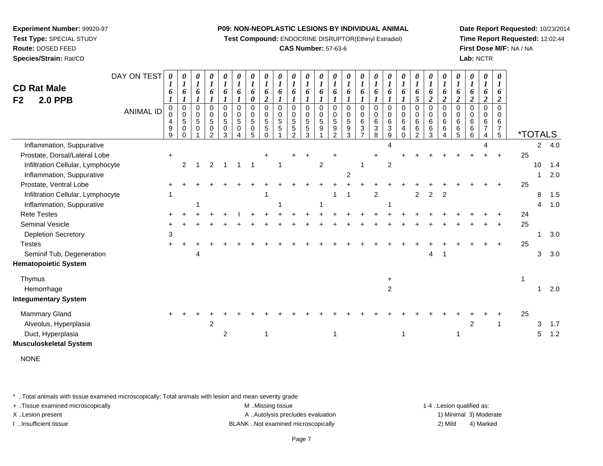**Test Compound:** ENDOCRINE DISRUPTOR(Ethinyl Estradiol)

# **CAS Number:** 57-63-6

**Date Report Requested:** 10/23/2014**Time Report Requested:** 12:02:44**First Dose M/F:** NA / NA**Lab:** NCTR

| <b>CD Rat Male</b><br>F <sub>2</sub><br><b>2.0 PPB</b> | DAY ON TEST<br><b>ANIMAL ID</b> | 6<br>0<br>9<br>9 | 0<br>6<br>0<br>$\mathbf 0$<br>5<br>$\mathbf 0$<br>∩ | 0<br>$\boldsymbol{l}$<br>6<br>0<br>$\mathsf 0$<br>5<br>0 | 0<br>$\boldsymbol{l}$<br>6<br>0<br>$\pmb{0}$<br>$\sqrt{5}$<br>0<br>2 | 0<br>$\boldsymbol{l}$<br>6<br>0<br>$\pmb{0}$<br>5<br>$\mathbf 0$<br>3 | 0<br>$\boldsymbol{l}$<br>6<br>0<br>$\pmb{0}$<br>$\sqrt{5}$<br>$\mathbf 0$ | 0<br>$\boldsymbol{l}$<br>6<br>0<br>0<br>$\mathbf 0$<br>5<br>0<br>5 | 0<br>$\boldsymbol{l}$<br>6<br>$\overline{c}$<br>$\mathbf 0$<br>$\mathbf 0$<br>$\sqrt{5}$<br>$\,$ 5 $\,$<br>$\Omega$ | $\boldsymbol{\theta}$<br>$\boldsymbol{l}$<br>6<br>$\Omega$<br>$\Omega$<br>5<br>5 | $\boldsymbol{\theta}$<br>6<br>0<br>$\mathbf 0$<br>$\sqrt{5}$<br>$\,$ 5 $\,$<br>$\mathfrak{p}$ | 0<br>$\boldsymbol{l}$<br>6<br>0<br>$\mathbf 0$<br>5<br>$\sqrt{5}$<br>3 | 0<br>$\boldsymbol{l}$<br>6<br>0<br>$\mathbf 0$<br>$\,$ 5 $\,$<br>9 | 0<br>$\boldsymbol{l}$<br>6<br>$\mathbf 0$<br>$\mathbf 0$<br>5<br>9<br>$\overline{2}$ | 0<br>$\boldsymbol{l}$<br>6<br>0<br>$\mathbf 0$<br>$\sqrt{5}$<br>9<br>3 | $\boldsymbol{\theta}$<br>6<br>0<br>0<br>6<br>3<br>$\overline{7}$ | $\theta$<br>6<br>0<br>$\mathbf 0$<br>6<br>3<br>8 | $\boldsymbol{\theta}$<br>6<br>0<br>$\Omega$<br>6<br>3<br>9 | 0<br>6<br>0<br>$\mathbf 0$<br>6<br>4<br>$\Omega$ | 0<br>$\boldsymbol{l}$<br>6<br>$5\overline{)}$<br>0<br>0<br>6<br>6<br>$\overline{2}$ | 0<br>$\boldsymbol{l}$<br>6<br>$\overline{c}$<br>0<br>0<br>6<br>6<br>3 | 0<br>$\boldsymbol{l}$<br>6<br>$\boldsymbol{2}$<br>0<br>$\pmb{0}$<br>$\,6$<br>6<br>4 | 0<br>$\boldsymbol{l}$<br>6<br>$\overline{2}$<br>0<br>$\pmb{0}$<br>6<br>6<br>5 | 0<br>$\boldsymbol{l}$<br>6<br>$\overline{2}$<br>0<br>$\Omega$<br>6<br>$\,6$<br>6 | 0<br>$\boldsymbol{l}$<br>6<br>$\boldsymbol{2}$<br>0<br>6<br>$\overline{7}$<br>4 | $\boldsymbol{\theta}$<br>6<br>$\overline{2}$<br>$\Omega$<br>$\Omega$<br>6<br>$\overline{7}$<br>5 | <i><b>*TOTALS</b></i> |    |        |
|--------------------------------------------------------|---------------------------------|------------------|-----------------------------------------------------|----------------------------------------------------------|----------------------------------------------------------------------|-----------------------------------------------------------------------|---------------------------------------------------------------------------|--------------------------------------------------------------------|---------------------------------------------------------------------------------------------------------------------|----------------------------------------------------------------------------------|-----------------------------------------------------------------------------------------------|------------------------------------------------------------------------|--------------------------------------------------------------------|--------------------------------------------------------------------------------------|------------------------------------------------------------------------|------------------------------------------------------------------|--------------------------------------------------|------------------------------------------------------------|--------------------------------------------------|-------------------------------------------------------------------------------------|-----------------------------------------------------------------------|-------------------------------------------------------------------------------------|-------------------------------------------------------------------------------|----------------------------------------------------------------------------------|---------------------------------------------------------------------------------|--------------------------------------------------------------------------------------------------|-----------------------|----|--------|
| Inflammation, Suppurative                              |                                 |                  |                                                     |                                                          |                                                                      |                                                                       |                                                                           |                                                                    |                                                                                                                     |                                                                                  |                                                                                               |                                                                        |                                                                    |                                                                                      |                                                                        |                                                                  |                                                  |                                                            |                                                  |                                                                                     |                                                                       |                                                                                     |                                                                               |                                                                                  |                                                                                 |                                                                                                  |                       |    | 2, 4.0 |
| Prostate, Dorsal/Lateral Lobe                          |                                 | $\ddot{}$        |                                                     |                                                          |                                                                      |                                                                       |                                                                           |                                                                    |                                                                                                                     |                                                                                  |                                                                                               |                                                                        |                                                                    |                                                                                      |                                                                        |                                                                  |                                                  |                                                            |                                                  |                                                                                     |                                                                       |                                                                                     |                                                                               |                                                                                  |                                                                                 |                                                                                                  | 25                    |    |        |
| Infiltration Cellular, Lymphocyte                      |                                 |                  | 2                                                   |                                                          |                                                                      |                                                                       |                                                                           |                                                                    |                                                                                                                     |                                                                                  |                                                                                               |                                                                        | $\overline{c}$                                                     |                                                                                      |                                                                        |                                                                  |                                                  | 2                                                          |                                                  |                                                                                     |                                                                       |                                                                                     |                                                                               |                                                                                  |                                                                                 |                                                                                                  |                       | 10 | 1.4    |
| Inflammation, Suppurative                              |                                 |                  |                                                     |                                                          |                                                                      |                                                                       |                                                                           |                                                                    |                                                                                                                     |                                                                                  |                                                                                               |                                                                        |                                                                    |                                                                                      | $\overline{c}$                                                         |                                                                  |                                                  |                                                            |                                                  |                                                                                     |                                                                       |                                                                                     |                                                                               |                                                                                  |                                                                                 |                                                                                                  |                       |    | 2.0    |
| Prostate, Ventral Lobe                                 |                                 |                  |                                                     |                                                          |                                                                      |                                                                       |                                                                           |                                                                    |                                                                                                                     |                                                                                  |                                                                                               |                                                                        |                                                                    |                                                                                      |                                                                        |                                                                  |                                                  |                                                            |                                                  |                                                                                     |                                                                       |                                                                                     |                                                                               |                                                                                  |                                                                                 |                                                                                                  | 25                    |    |        |
| Infiltration Cellular, Lymphocyte                      |                                 |                  |                                                     |                                                          |                                                                      |                                                                       |                                                                           |                                                                    |                                                                                                                     |                                                                                  |                                                                                               |                                                                        |                                                                    |                                                                                      |                                                                        |                                                                  | 2                                                |                                                            |                                                  | 2                                                                                   | 2                                                                     |                                                                                     |                                                                               |                                                                                  |                                                                                 |                                                                                                  |                       | 8  | 1.5    |
| Inflammation, Suppurative                              |                                 |                  |                                                     |                                                          |                                                                      |                                                                       |                                                                           |                                                                    |                                                                                                                     |                                                                                  |                                                                                               |                                                                        |                                                                    |                                                                                      |                                                                        |                                                                  |                                                  |                                                            |                                                  |                                                                                     |                                                                       |                                                                                     |                                                                               |                                                                                  |                                                                                 |                                                                                                  |                       | 4  | 1.0    |
| <b>Rete Testes</b>                                     |                                 |                  |                                                     |                                                          |                                                                      |                                                                       |                                                                           |                                                                    |                                                                                                                     |                                                                                  |                                                                                               |                                                                        |                                                                    |                                                                                      |                                                                        |                                                                  |                                                  |                                                            |                                                  |                                                                                     |                                                                       |                                                                                     |                                                                               |                                                                                  |                                                                                 |                                                                                                  | 24                    |    |        |
| Seminal Vesicle                                        |                                 |                  |                                                     |                                                          |                                                                      |                                                                       |                                                                           |                                                                    |                                                                                                                     |                                                                                  |                                                                                               |                                                                        |                                                                    |                                                                                      |                                                                        |                                                                  |                                                  |                                                            |                                                  |                                                                                     |                                                                       |                                                                                     |                                                                               |                                                                                  |                                                                                 |                                                                                                  | 25                    |    |        |
| <b>Depletion Secretory</b>                             |                                 | 3                |                                                     |                                                          |                                                                      |                                                                       |                                                                           |                                                                    |                                                                                                                     |                                                                                  |                                                                                               |                                                                        |                                                                    |                                                                                      |                                                                        |                                                                  |                                                  |                                                            |                                                  |                                                                                     |                                                                       |                                                                                     |                                                                               |                                                                                  |                                                                                 |                                                                                                  |                       |    | 3.0    |
| <b>Testes</b>                                          |                                 |                  |                                                     |                                                          |                                                                      |                                                                       |                                                                           |                                                                    |                                                                                                                     |                                                                                  |                                                                                               |                                                                        |                                                                    |                                                                                      |                                                                        |                                                                  |                                                  |                                                            |                                                  |                                                                                     |                                                                       |                                                                                     |                                                                               |                                                                                  |                                                                                 |                                                                                                  | 25                    |    |        |
| Seminif Tub, Degeneration                              |                                 |                  |                                                     |                                                          |                                                                      |                                                                       |                                                                           |                                                                    |                                                                                                                     |                                                                                  |                                                                                               |                                                                        |                                                                    |                                                                                      |                                                                        |                                                                  |                                                  |                                                            |                                                  |                                                                                     | 4                                                                     |                                                                                     |                                                                               |                                                                                  |                                                                                 |                                                                                                  |                       | 3  | 3.0    |
| <b>Hematopoietic System</b>                            |                                 |                  |                                                     |                                                          |                                                                      |                                                                       |                                                                           |                                                                    |                                                                                                                     |                                                                                  |                                                                                               |                                                                        |                                                                    |                                                                                      |                                                                        |                                                                  |                                                  |                                                            |                                                  |                                                                                     |                                                                       |                                                                                     |                                                                               |                                                                                  |                                                                                 |                                                                                                  |                       |    |        |
| Thymus                                                 |                                 |                  |                                                     |                                                          |                                                                      |                                                                       |                                                                           |                                                                    |                                                                                                                     |                                                                                  |                                                                                               |                                                                        |                                                                    |                                                                                      |                                                                        |                                                                  |                                                  |                                                            |                                                  |                                                                                     |                                                                       |                                                                                     |                                                                               |                                                                                  |                                                                                 |                                                                                                  |                       |    |        |
| Hemorrhage                                             |                                 |                  |                                                     |                                                          |                                                                      |                                                                       |                                                                           |                                                                    |                                                                                                                     |                                                                                  |                                                                                               |                                                                        |                                                                    |                                                                                      |                                                                        |                                                                  |                                                  | $\overline{c}$                                             |                                                  |                                                                                     |                                                                       |                                                                                     |                                                                               |                                                                                  |                                                                                 |                                                                                                  |                       |    | 2.0    |
| <b>Integumentary System</b>                            |                                 |                  |                                                     |                                                          |                                                                      |                                                                       |                                                                           |                                                                    |                                                                                                                     |                                                                                  |                                                                                               |                                                                        |                                                                    |                                                                                      |                                                                        |                                                                  |                                                  |                                                            |                                                  |                                                                                     |                                                                       |                                                                                     |                                                                               |                                                                                  |                                                                                 |                                                                                                  |                       |    |        |
| Mammary Gland                                          |                                 |                  |                                                     |                                                          |                                                                      |                                                                       |                                                                           |                                                                    |                                                                                                                     |                                                                                  |                                                                                               |                                                                        |                                                                    |                                                                                      |                                                                        |                                                                  |                                                  |                                                            |                                                  |                                                                                     |                                                                       |                                                                                     |                                                                               |                                                                                  |                                                                                 |                                                                                                  | 25                    |    |        |
| Alveolus, Hyperplasia                                  |                                 |                  |                                                     |                                                          | 2                                                                    |                                                                       |                                                                           |                                                                    |                                                                                                                     |                                                                                  |                                                                                               |                                                                        |                                                                    |                                                                                      |                                                                        |                                                                  |                                                  |                                                            |                                                  |                                                                                     |                                                                       |                                                                                     |                                                                               | 2                                                                                |                                                                                 |                                                                                                  |                       | 3  | 1.7    |
| Duct, Hyperplasia                                      |                                 |                  |                                                     |                                                          |                                                                      | 2                                                                     |                                                                           |                                                                    |                                                                                                                     |                                                                                  |                                                                                               |                                                                        |                                                                    |                                                                                      |                                                                        |                                                                  |                                                  |                                                            |                                                  |                                                                                     |                                                                       |                                                                                     |                                                                               |                                                                                  |                                                                                 |                                                                                                  |                       | 5  | 1.2    |

NONE

\* ..Total animals with tissue examined microscopically; Total animals with lesion and mean severity grade

**Musculoskeletal System**

**Experiment Number:** 99920-97**Test Type:** SPECIAL STUDY**Route:** DOSED FEED**Species/Strain:** Rat/CD

+ ..Tissue examined microscopically examined microscopically examined as:  $M$  ..Missing tissue 1-4 ..Lesion qualified as: X..Lesion present **A ..Autolysis precludes evaluation** A ..Autolysis precludes evaluation 1) Minimal 3) Moderate

I ..Insufficient tissue BLANK ..Not examined microscopically 2) Mild 4) Marked

a 2 1 1 1 1 5 1.2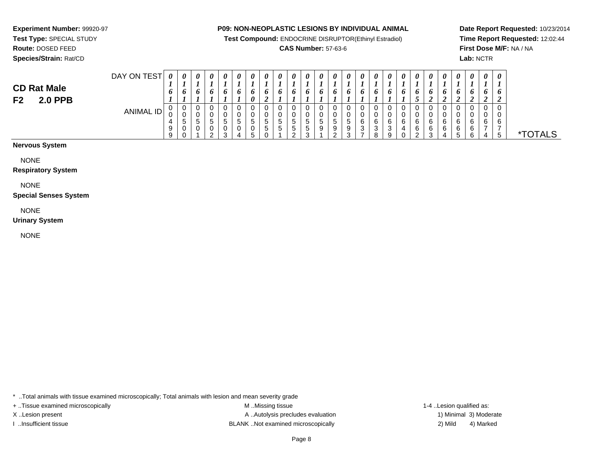**Test Compound:** ENDOCRINE DISRUPTOR(Ethinyl Estradiol)

#### **CAS Number:** 57-63-6

**Date Report Requested:** 10/23/2014**Time Report Requested:** 12:02:44**First Dose M/F:** NA / NA**Lab:** NCTR

#### **Species/Strain:** Rat/CDDAY ON TEST*0000000000000000000000000***CD Rat Male**

**F2 2.0 PPB**

**Experiment Number:** 99920-97**Test Type:** SPECIAL STUDY**Route:** DOSED FEED

| .<br>-------- |                |        |                                                  |        | . . |   |        |                               |      |   |        |        | . .      |        |             |        |        |            | . .         |            |                 | . .    |          | . .    | $\cdot$     |           |
|---------------|----------------|--------|--------------------------------------------------|--------|-----|---|--------|-------------------------------|------|---|--------|--------|----------|--------|-------------|--------|--------|------------|-------------|------------|-----------------|--------|----------|--------|-------------|-----------|
|               |                |        |                                                  |        |     |   |        |                               |      |   |        |        |          |        |             |        |        |            |             |            |                 |        |          |        | Æ           |           |
|               | 0              |        | n                                                |        |     |   |        | O                             | n    |   | 0      | 0      | $\bm{o}$ | n      |             | o      | o      | O          | п           | 0          | o               | o      | O        |        | O           |           |
|               |                |        |                                                  |        |     | - |        | $\overline{\phantom{a}}$<br>∼ | - 20 |   | -      |        |          |        |             |        |        |            | ັ           |            | $\sim$<br>∠     | $\sim$ |          | ◠<br>∼ | $\sim$<br>◢ |           |
| <b>ANIMAL</b> | U              | u      |                                                  |        |     |   |        |                               | ັ    |   | v      |        |          | ν      |             | ╰      |        |            |             |            | U               |        |          |        |             |           |
| ID            | 0              | u      |                                                  |        |     |   |        | 0                             |      |   | v      | ∼      | 0        | ν      |             |        |        | υ          |             |            | $\sqrt{2}$<br>u |        |          |        |             |           |
|               | $\overline{ }$ | ∽<br>ບ | $\ddot{\phantom{1}}$<br>$\overline{\phantom{a}}$ | 5      |     | G | ∽<br>ັ | đ                             | G    |   | -<br>đ | ∽<br>ັ | ა        | G      |             | 6      | ຨ      | 6          | $\sim$<br>ь | ຨ          | 6               | 6      | <b>G</b> | 6      | 6           |           |
|               | 9              | ◡      |                                                  |        |     |   |        | G                             | G    | ∽ | 5      | 9      | 9        | 9      | $\sim$<br>J | ີ<br>ت | ⌒<br>ບ | 4          | $\sim$<br>ь | $\epsilon$ | 6               | 6      | <b>6</b> | –      | -           |           |
|               | $\sim$<br>У    |        |                                                  | $\sim$ | c   |   | ∽      | $\sqrt{ }$                    |      |   | $\sim$ |        | $\sim$   | $\sim$ | -           | я      | a      | $\epsilon$ | $\sim$      |            | 4               | -<br>b | $\sim$   | 4      | ೦           | ALS<br>∗⊤ |
|               |                |        |                                                  |        |     |   |        |                               |      |   |        |        |          |        |             |        |        |            |             |            |                 |        |          |        |             |           |

**Nervous System**

NONE

**Respiratory System**

NONE

**Special Senses System**

NONE

**Urinary System**

NONE

\* ..Total animals with tissue examined microscopically; Total animals with lesion and mean severity grade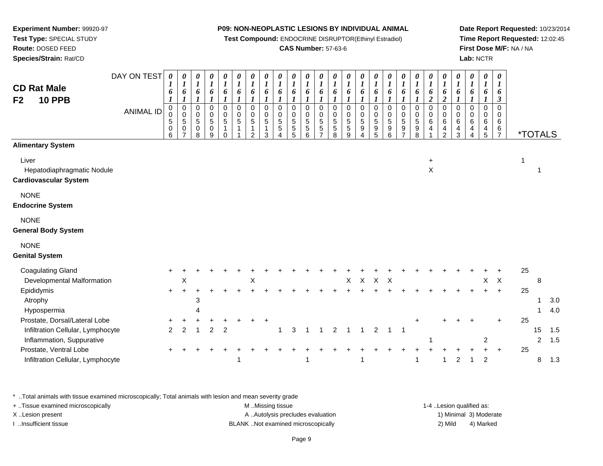**Test Compound:** ENDOCRINE DISRUPTOR(Ethinyl Estradiol)

# **CAS Number:** 57-63-6

**Date Report Requested:** 10/23/2014**Time Report Requested:** 12:02:45**First Dose M/F:** NA / NA**Lab:** NCTR

| <b>CD Rat Male</b><br>F2<br><b>10 PPB</b>                           | DAY ON TEST<br><b>ANIMAL ID</b> | $\boldsymbol{\theta}$<br>6<br>$\pmb{0}$<br>$\mathbf 0$<br>$\,$ 5 $\,$<br>$\,0\,$<br>6 | 0<br>1<br>6<br>$\mathbf 0$<br>$\mathsf 0$<br>5<br>0 | 0<br>$\boldsymbol{I}$<br>6<br>1<br>$\pmb{0}$<br>$\pmb{0}$<br>$\sqrt{5}$<br>$\pmb{0}$<br>8 | 0<br>$\boldsymbol{l}$<br>6<br>1<br>0<br>$\pmb{0}$<br>$\sqrt{5}$<br>0<br>9 | 0<br>$\boldsymbol{l}$<br>6<br>$\pmb{0}$<br>0<br>$\sqrt{5}$<br>$\mathbf 1$<br>0 | 0<br>$\boldsymbol{l}$<br>6<br>$\mathbf 0$<br>$\Omega$<br>5<br>1 | 0<br>$\boldsymbol{l}$<br>6<br>$\boldsymbol{l}$<br>$\mathbf 0$<br>$\Omega$<br>5<br>$\mathcal{P}$ | 0<br>$\boldsymbol{l}$<br>6<br>$\boldsymbol{l}$<br>$\mathbf 0$<br>0<br>5<br>1<br>3 | 0<br>$\boldsymbol{l}$<br>6<br>1<br>$\mathbf 0$<br>$\Omega$<br>5<br>5 | 0<br>$\boldsymbol{l}$<br>6<br>$\boldsymbol{l}$<br>0<br>0<br>$\,$ 5 $\,$<br>$\sqrt{5}$<br>5 | 0<br>$\boldsymbol{l}$<br>6<br>$\boldsymbol{l}$<br>0<br>0<br>$\sqrt{5}$<br>$\sqrt{5}$<br>6 | 0<br>$\boldsymbol{l}$<br>6<br>$\boldsymbol{l}$<br>$\pmb{0}$<br>$\mathbf 0$<br>$\sqrt{5}$<br>$\sqrt{5}$<br>7 | 0<br>$\boldsymbol{l}$<br>6<br>$\boldsymbol{l}$<br>$\pmb{0}$<br>$\mathbf 0$<br>$\sqrt{5}$<br>5<br>8 | 0<br>$\boldsymbol{l}$<br>6<br>$\boldsymbol{l}$<br>$\mathbf 0$<br>$\mathbf 0$<br>5<br>5<br>9 | 0<br>$\boldsymbol{l}$<br>6<br>$\boldsymbol{l}$<br>$\mathsf 0$<br>$\mathbf 0$<br>$\sqrt{5}$<br>9<br>4 | $\boldsymbol{\theta}$<br>$\boldsymbol{l}$<br>6<br>$\boldsymbol{l}$<br>$\mathbf 0$<br>$\mathbf 0$<br>$\sqrt{5}$<br>$\boldsymbol{9}$<br>5 | 0<br>$\boldsymbol{l}$<br>6<br>$\mathsf 0$<br>$\pmb{0}$<br>$\mathbf 5$<br>$\boldsymbol{9}$<br>6 | $\begin{matrix} 0 \ 1 \end{matrix}$<br>6<br>$\pmb{0}$<br>$\begin{array}{c} 0 \\ 5 \end{array}$<br>9<br>7 | $\pmb{\theta}$<br>$\boldsymbol{l}$<br>6<br>$\pmb{0}$<br>$\pmb{0}$<br>$\mathbf 5$<br>9<br>8 | 0<br>$\boldsymbol{l}$<br>6<br>$\boldsymbol{2}$<br>$\mathbf 0$<br>$\mathbf 0$<br>$\,6\,$<br>$\overline{\mathbf{4}}$ | 0<br>$\boldsymbol{l}$<br>6<br>$\boldsymbol{2}$<br>$\mathbf 0$<br>$\pmb{0}$<br>$\,6\,$<br>$\overline{\mathbf{4}}$<br>$\overline{2}$ | 0<br>$\boldsymbol{I}$<br>6<br>$\pmb{0}$<br>$\Omega$<br>6<br>4<br>3 | 0<br>$\boldsymbol{l}$<br>6<br>0<br>0<br>6<br>4<br>$\overline{4}$ | 0<br>$\boldsymbol{l}$<br>6<br>$\mathbf 0$<br>0<br>6<br>4<br>5 | 0<br>1<br>6<br>3<br>0<br>0<br>6<br>$\frac{6}{7}$ | <i><b>*TOTALS</b></i> |                |     |
|---------------------------------------------------------------------|---------------------------------|---------------------------------------------------------------------------------------|-----------------------------------------------------|-------------------------------------------------------------------------------------------|---------------------------------------------------------------------------|--------------------------------------------------------------------------------|-----------------------------------------------------------------|-------------------------------------------------------------------------------------------------|-----------------------------------------------------------------------------------|----------------------------------------------------------------------|--------------------------------------------------------------------------------------------|-------------------------------------------------------------------------------------------|-------------------------------------------------------------------------------------------------------------|----------------------------------------------------------------------------------------------------|---------------------------------------------------------------------------------------------|------------------------------------------------------------------------------------------------------|-----------------------------------------------------------------------------------------------------------------------------------------|------------------------------------------------------------------------------------------------|----------------------------------------------------------------------------------------------------------|--------------------------------------------------------------------------------------------|--------------------------------------------------------------------------------------------------------------------|------------------------------------------------------------------------------------------------------------------------------------|--------------------------------------------------------------------|------------------------------------------------------------------|---------------------------------------------------------------|--------------------------------------------------|-----------------------|----------------|-----|
| <b>Alimentary System</b>                                            |                                 |                                                                                       |                                                     |                                                                                           |                                                                           |                                                                                |                                                                 |                                                                                                 |                                                                                   |                                                                      |                                                                                            |                                                                                           |                                                                                                             |                                                                                                    |                                                                                             |                                                                                                      |                                                                                                                                         |                                                                                                |                                                                                                          |                                                                                            |                                                                                                                    |                                                                                                                                    |                                                                    |                                                                  |                                                               |                                                  |                       |                |     |
| Liver<br>Hepatodiaphragmatic Nodule<br><b>Cardiovascular System</b> |                                 |                                                                                       |                                                     |                                                                                           |                                                                           |                                                                                |                                                                 |                                                                                                 |                                                                                   |                                                                      |                                                                                            |                                                                                           |                                                                                                             |                                                                                                    |                                                                                             |                                                                                                      |                                                                                                                                         |                                                                                                |                                                                                                          |                                                                                            | $\ddot{}$<br>$\sf X$                                                                                               |                                                                                                                                    |                                                                    |                                                                  |                                                               |                                                  |                       | $\mathbf 1$    |     |
| <b>NONE</b><br><b>Endocrine System</b>                              |                                 |                                                                                       |                                                     |                                                                                           |                                                                           |                                                                                |                                                                 |                                                                                                 |                                                                                   |                                                                      |                                                                                            |                                                                                           |                                                                                                             |                                                                                                    |                                                                                             |                                                                                                      |                                                                                                                                         |                                                                                                |                                                                                                          |                                                                                            |                                                                                                                    |                                                                                                                                    |                                                                    |                                                                  |                                                               |                                                  |                       |                |     |
| <b>NONE</b><br><b>General Body System</b>                           |                                 |                                                                                       |                                                     |                                                                                           |                                                                           |                                                                                |                                                                 |                                                                                                 |                                                                                   |                                                                      |                                                                                            |                                                                                           |                                                                                                             |                                                                                                    |                                                                                             |                                                                                                      |                                                                                                                                         |                                                                                                |                                                                                                          |                                                                                            |                                                                                                                    |                                                                                                                                    |                                                                    |                                                                  |                                                               |                                                  |                       |                |     |
| <b>NONE</b><br><b>Genital System</b>                                |                                 |                                                                                       |                                                     |                                                                                           |                                                                           |                                                                                |                                                                 |                                                                                                 |                                                                                   |                                                                      |                                                                                            |                                                                                           |                                                                                                             |                                                                                                    |                                                                                             |                                                                                                      |                                                                                                                                         |                                                                                                |                                                                                                          |                                                                                            |                                                                                                                    |                                                                                                                                    |                                                                    |                                                                  |                                                               |                                                  |                       |                |     |
| <b>Coagulating Gland</b>                                            |                                 |                                                                                       |                                                     |                                                                                           |                                                                           |                                                                                |                                                                 |                                                                                                 |                                                                                   |                                                                      |                                                                                            |                                                                                           |                                                                                                             |                                                                                                    |                                                                                             |                                                                                                      |                                                                                                                                         |                                                                                                |                                                                                                          |                                                                                            |                                                                                                                    |                                                                                                                                    |                                                                    |                                                                  |                                                               |                                                  | 25                    |                |     |
| Developmental Malformation                                          |                                 |                                                                                       | Χ                                                   |                                                                                           |                                                                           |                                                                                |                                                                 | Χ                                                                                               |                                                                                   |                                                                      |                                                                                            |                                                                                           |                                                                                                             |                                                                                                    | Х                                                                                           | Χ                                                                                                    | X                                                                                                                                       | X                                                                                              |                                                                                                          |                                                                                            |                                                                                                                    |                                                                                                                                    |                                                                    |                                                                  | X                                                             | $\boldsymbol{X}$                                 |                       | 8              |     |
| Epididymis                                                          |                                 |                                                                                       |                                                     |                                                                                           |                                                                           |                                                                                |                                                                 |                                                                                                 |                                                                                   |                                                                      |                                                                                            |                                                                                           |                                                                                                             |                                                                                                    |                                                                                             |                                                                                                      |                                                                                                                                         |                                                                                                |                                                                                                          |                                                                                            |                                                                                                                    |                                                                                                                                    |                                                                    |                                                                  |                                                               | $\ddot{}$                                        | 25                    | 1              | 3.0 |
| Atrophy<br>Hypospermia                                              |                                 |                                                                                       |                                                     | 3<br>Δ                                                                                    |                                                                           |                                                                                |                                                                 |                                                                                                 |                                                                                   |                                                                      |                                                                                            |                                                                                           |                                                                                                             |                                                                                                    |                                                                                             |                                                                                                      |                                                                                                                                         |                                                                                                |                                                                                                          |                                                                                            |                                                                                                                    |                                                                                                                                    |                                                                    |                                                                  |                                                               |                                                  |                       | 1              | 4.0 |
| Prostate, Dorsal/Lateral Lobe                                       |                                 |                                                                                       |                                                     |                                                                                           |                                                                           |                                                                                |                                                                 |                                                                                                 |                                                                                   |                                                                      |                                                                                            |                                                                                           |                                                                                                             |                                                                                                    |                                                                                             |                                                                                                      |                                                                                                                                         |                                                                                                |                                                                                                          |                                                                                            |                                                                                                                    |                                                                                                                                    |                                                                    |                                                                  |                                                               | $\ddot{}$                                        | 25                    |                |     |
| Infiltration Cellular, Lymphocyte                                   |                                 | $\overline{a}$                                                                        | $\overline{2}$                                      | $\overline{1}$                                                                            | $\overline{2}$                                                            | $\overline{2}$                                                                 |                                                                 |                                                                                                 |                                                                                   |                                                                      | 3                                                                                          |                                                                                           |                                                                                                             | 2                                                                                                  |                                                                                             |                                                                                                      | $\overline{2}$                                                                                                                          | $\mathbf{1}$                                                                                   | -1                                                                                                       |                                                                                            |                                                                                                                    |                                                                                                                                    |                                                                    |                                                                  |                                                               |                                                  |                       | 15             | 1.5 |
| Inflammation, Suppurative                                           |                                 |                                                                                       |                                                     |                                                                                           |                                                                           |                                                                                |                                                                 |                                                                                                 |                                                                                   |                                                                      |                                                                                            |                                                                                           |                                                                                                             |                                                                                                    |                                                                                             |                                                                                                      |                                                                                                                                         |                                                                                                |                                                                                                          |                                                                                            |                                                                                                                    |                                                                                                                                    |                                                                    |                                                                  | $\overline{\mathbf{c}}$                                       |                                                  |                       | $\overline{c}$ | 1.5 |
| Prostate, Ventral Lobe                                              |                                 |                                                                                       |                                                     |                                                                                           |                                                                           |                                                                                |                                                                 |                                                                                                 |                                                                                   |                                                                      |                                                                                            |                                                                                           |                                                                                                             |                                                                                                    |                                                                                             |                                                                                                      |                                                                                                                                         |                                                                                                |                                                                                                          |                                                                                            |                                                                                                                    |                                                                                                                                    |                                                                    |                                                                  |                                                               | $\ddot{}$                                        | 25                    |                |     |
| Infiltration Cellular, Lymphocyte                                   |                                 |                                                                                       |                                                     |                                                                                           |                                                                           |                                                                                |                                                                 |                                                                                                 |                                                                                   |                                                                      |                                                                                            |                                                                                           |                                                                                                             |                                                                                                    |                                                                                             |                                                                                                      |                                                                                                                                         |                                                                                                |                                                                                                          |                                                                                            |                                                                                                                    |                                                                                                                                    | $\overline{c}$                                                     |                                                                  | $\overline{c}$                                                |                                                  |                       | 8              | 1.3 |

\* ..Total animals with tissue examined microscopically; Total animals with lesion and mean severity grade

**Experiment Number:** 99920-97**Test Type:** SPECIAL STUDY**Route:** DOSED FEED**Species/Strain:** Rat/CD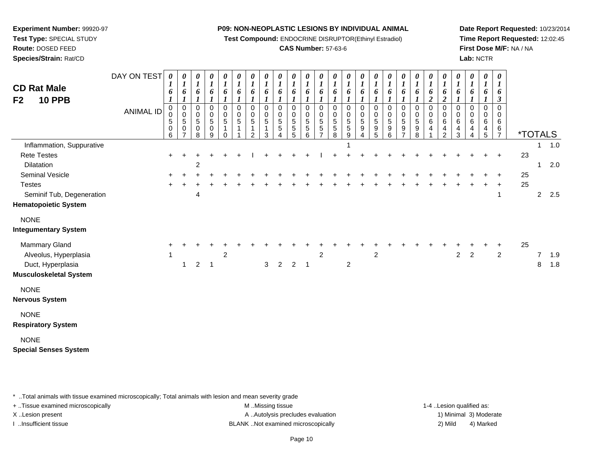**Test Compound:** ENDOCRINE DISRUPTOR(Ethinyl Estradiol)

# **CAS Number:** 57-63-6

**Date Report Requested:** 10/23/2014**Time Report Requested:** 12:02:45**First Dose M/F:** NA / NA**Lab:** NCTR

| <b>CD Rat Male</b><br><b>10 PPB</b><br>F2                | DAY ON TEST<br><b>ANIMAL ID</b> | 0<br>6<br>$\boldsymbol{l}$<br>0<br>0<br>5<br>$\pmb{0}$<br>6 | 0<br>$\boldsymbol{l}$<br>6<br>1<br>$\mathbf 0$<br>0<br>$\sqrt{5}$<br>$\pmb{0}$<br>$\overline{7}$ | 0<br>$\boldsymbol{l}$<br>6<br>1<br>$\pmb{0}$<br>$\pmb{0}$<br>$\mathbf 5$<br>$_{\rm 8}^{\rm 0}$ | 0<br>$\boldsymbol{l}$<br>6<br>1<br>0<br>$\pmb{0}$<br>$\sqrt{5}$<br>$_{9}^{\rm o}$ | 0<br>$\boldsymbol{l}$<br>6<br>$\boldsymbol{l}$<br>0<br>$\boldsymbol{0}$<br>$\sqrt{5}$<br>$\mathbf 0$ | 0<br>$\boldsymbol{l}$<br>6<br>$\boldsymbol{l}$<br>$\mathbf 0$<br>0<br>$\sqrt{5}$<br>1 | 0<br>$\boldsymbol{l}$<br>6<br>$\mathbf{I}$<br>$\pmb{0}$<br>0<br>$\sqrt{5}$<br>$\mathbf{1}$<br>$\overline{2}$ | 0<br>$\boldsymbol{\mathit{1}}$<br>6<br>$\boldsymbol{l}$<br>$\mathbf 0$<br>0<br>5<br>1<br>3 | 0<br>$\boldsymbol{l}$<br>6<br>$\boldsymbol{l}$<br>0<br>0<br>5<br>5<br>4 | 0<br>$\boldsymbol{l}$<br>6<br>$\boldsymbol{l}$<br>$\Omega$<br>0<br>5<br>5<br>5 | 0<br>1<br>6<br>1<br>$\mathbf 0$<br>0<br>$\mathbf 5$<br>$\,$ 5 $\,$<br>6 | 0<br>1<br>6<br>0<br>0<br>$\frac{5}{7}$ | 0<br>$\boldsymbol{l}$<br>6<br>1<br>0<br>0<br>$\mathbf 5$<br>$\begin{array}{c} 5 \\ 8 \end{array}$ | 0<br>$\boldsymbol{l}$<br>6<br>$\boldsymbol{l}$<br>$\mathbf 0$<br>0<br>$\mathbf 5$<br>$\mathbf 5$<br>$\boldsymbol{9}$ | 0<br>$\boldsymbol{l}$<br>6<br>$\boldsymbol{l}$<br>$\mathbf 0$<br>0<br>$\mathbf 5$<br>9<br>4 | 0<br>$\boldsymbol{l}$<br>6<br>$\mathbf 0$<br>0<br>$\mathbf 5$<br>$\frac{9}{5}$ | 0<br>$\boldsymbol{l}$<br>6<br>$\boldsymbol{l}$<br>$\mathbf 0$<br>0<br>$\,$ 5 $\,$<br>9<br>6 | 0<br>1<br>6<br>$\boldsymbol{l}$<br>0<br>0<br>5<br>$\frac{9}{7}$ | $\boldsymbol{\theta}$<br>$\boldsymbol{l}$<br>6<br>1<br>$\mathbf 0$<br>0<br>$\sqrt{5}$<br>9<br>8 | 0<br>$\boldsymbol{l}$<br>6<br>$\boldsymbol{2}$<br>$\mathsf 0$<br>0<br>6<br>4 | $\boldsymbol{\theta}$<br>$\boldsymbol{l}$<br>6<br>$\boldsymbol{2}$<br>$\,0\,$<br>$\mathsf 0$<br>$\,6$<br>$\frac{4}{2}$ | 0<br>$\boldsymbol{l}$<br>6<br>$\boldsymbol{l}$<br>0<br>0<br>6<br>$\frac{4}{3}$ | 0<br>$\boldsymbol{l}$<br>6<br>$\boldsymbol{l}$<br>0<br>$\mathbf 0$<br>$\,6$<br>$\frac{4}{4}$ | 0<br>$\boldsymbol{l}$<br>6<br>$\boldsymbol{\mathcal{I}}$<br>$\,0\,$<br>0<br>6<br>$\frac{4}{5}$ | 0<br>$\boldsymbol{I}$<br>6<br>3<br>0<br>0<br>6<br>$\frac{6}{7}$ | <i><b>*TOTALS</b></i> |                |               |
|----------------------------------------------------------|---------------------------------|-------------------------------------------------------------|--------------------------------------------------------------------------------------------------|------------------------------------------------------------------------------------------------|-----------------------------------------------------------------------------------|------------------------------------------------------------------------------------------------------|---------------------------------------------------------------------------------------|--------------------------------------------------------------------------------------------------------------|--------------------------------------------------------------------------------------------|-------------------------------------------------------------------------|--------------------------------------------------------------------------------|-------------------------------------------------------------------------|----------------------------------------|---------------------------------------------------------------------------------------------------|----------------------------------------------------------------------------------------------------------------------|---------------------------------------------------------------------------------------------|--------------------------------------------------------------------------------|---------------------------------------------------------------------------------------------|-----------------------------------------------------------------|-------------------------------------------------------------------------------------------------|------------------------------------------------------------------------------|------------------------------------------------------------------------------------------------------------------------|--------------------------------------------------------------------------------|----------------------------------------------------------------------------------------------|------------------------------------------------------------------------------------------------|-----------------------------------------------------------------|-----------------------|----------------|---------------|
| Inflammation, Suppurative                                |                                 |                                                             |                                                                                                  |                                                                                                |                                                                                   |                                                                                                      |                                                                                       |                                                                                                              |                                                                                            |                                                                         |                                                                                |                                                                         |                                        |                                                                                                   |                                                                                                                      |                                                                                             |                                                                                |                                                                                             |                                                                 |                                                                                                 |                                                                              |                                                                                                                        |                                                                                |                                                                                              |                                                                                                |                                                                 |                       |                | $1 \quad 1.0$ |
| <b>Rete Testes</b><br>Dilatation                         |                                 | $\ddot{}$                                                   |                                                                                                  | $\overline{c}$                                                                                 |                                                                                   |                                                                                                      |                                                                                       |                                                                                                              |                                                                                            |                                                                         |                                                                                |                                                                         |                                        |                                                                                                   |                                                                                                                      |                                                                                             |                                                                                |                                                                                             |                                                                 |                                                                                                 |                                                                              |                                                                                                                        |                                                                                |                                                                                              |                                                                                                |                                                                 | 23                    | $\mathbf{1}$   | 2.0           |
| Seminal Vesicle                                          |                                 |                                                             |                                                                                                  |                                                                                                |                                                                                   |                                                                                                      |                                                                                       |                                                                                                              |                                                                                            |                                                                         |                                                                                |                                                                         |                                        |                                                                                                   |                                                                                                                      |                                                                                             |                                                                                |                                                                                             |                                                                 |                                                                                                 |                                                                              |                                                                                                                        |                                                                                |                                                                                              |                                                                                                |                                                                 | 25                    |                |               |
| <b>Testes</b>                                            |                                 |                                                             |                                                                                                  |                                                                                                |                                                                                   |                                                                                                      |                                                                                       |                                                                                                              |                                                                                            |                                                                         |                                                                                |                                                                         |                                        |                                                                                                   |                                                                                                                      |                                                                                             |                                                                                |                                                                                             |                                                                 |                                                                                                 |                                                                              |                                                                                                                        |                                                                                |                                                                                              |                                                                                                | $\ddot{}$                                                       | 25                    |                |               |
| Seminif Tub, Degeneration<br><b>Hematopoietic System</b> |                                 |                                                             |                                                                                                  | 4                                                                                              |                                                                                   |                                                                                                      |                                                                                       |                                                                                                              |                                                                                            |                                                                         |                                                                                |                                                                         |                                        |                                                                                                   |                                                                                                                      |                                                                                             |                                                                                |                                                                                             |                                                                 |                                                                                                 |                                                                              |                                                                                                                        |                                                                                |                                                                                              |                                                                                                | $\mathbf 1$                                                     |                       | $\overline{2}$ | 2.5           |
| <b>NONE</b><br><b>Integumentary System</b>               |                                 |                                                             |                                                                                                  |                                                                                                |                                                                                   |                                                                                                      |                                                                                       |                                                                                                              |                                                                                            |                                                                         |                                                                                |                                                                         |                                        |                                                                                                   |                                                                                                                      |                                                                                             |                                                                                |                                                                                             |                                                                 |                                                                                                 |                                                                              |                                                                                                                        |                                                                                |                                                                                              |                                                                                                |                                                                 |                       |                |               |
| Mammary Gland                                            |                                 |                                                             |                                                                                                  |                                                                                                |                                                                                   |                                                                                                      |                                                                                       |                                                                                                              |                                                                                            |                                                                         |                                                                                |                                                                         |                                        |                                                                                                   |                                                                                                                      |                                                                                             |                                                                                |                                                                                             |                                                                 |                                                                                                 |                                                                              |                                                                                                                        |                                                                                |                                                                                              |                                                                                                |                                                                 | 25                    |                |               |
| Alveolus, Hyperplasia                                    |                                 |                                                             |                                                                                                  |                                                                                                |                                                                                   | $\overline{c}$                                                                                       |                                                                                       |                                                                                                              |                                                                                            |                                                                         |                                                                                |                                                                         | $\boldsymbol{2}$                       |                                                                                                   |                                                                                                                      |                                                                                             | $\overline{c}$                                                                 |                                                                                             |                                                                 |                                                                                                 |                                                                              |                                                                                                                        | $\overline{c}$                                                                 | $\overline{2}$                                                                               |                                                                                                | $\overline{c}$                                                  |                       | $\overline{7}$ | 1.9           |
| Duct, Hyperplasia<br>Musculoskeletal System              |                                 |                                                             | $\mathbf{1}$                                                                                     | $\overline{2}$                                                                                 | $\overline{1}$                                                                    |                                                                                                      |                                                                                       |                                                                                                              | 3                                                                                          | 2                                                                       | $\overline{2}$                                                                 | $\overline{\phantom{0}}$ 1                                              |                                        |                                                                                                   | $\overline{c}$                                                                                                       |                                                                                             |                                                                                |                                                                                             |                                                                 |                                                                                                 |                                                                              |                                                                                                                        |                                                                                |                                                                                              |                                                                                                |                                                                 |                       | 8              | 1.8           |
| <b>NONE</b><br>Nervous System                            |                                 |                                                             |                                                                                                  |                                                                                                |                                                                                   |                                                                                                      |                                                                                       |                                                                                                              |                                                                                            |                                                                         |                                                                                |                                                                         |                                        |                                                                                                   |                                                                                                                      |                                                                                             |                                                                                |                                                                                             |                                                                 |                                                                                                 |                                                                              |                                                                                                                        |                                                                                |                                                                                              |                                                                                                |                                                                 |                       |                |               |
| <b>NONE</b><br><b>Respiratory System</b>                 |                                 |                                                             |                                                                                                  |                                                                                                |                                                                                   |                                                                                                      |                                                                                       |                                                                                                              |                                                                                            |                                                                         |                                                                                |                                                                         |                                        |                                                                                                   |                                                                                                                      |                                                                                             |                                                                                |                                                                                             |                                                                 |                                                                                                 |                                                                              |                                                                                                                        |                                                                                |                                                                                              |                                                                                                |                                                                 |                       |                |               |
|                                                          |                                 |                                                             |                                                                                                  |                                                                                                |                                                                                   |                                                                                                      |                                                                                       |                                                                                                              |                                                                                            |                                                                         |                                                                                |                                                                         |                                        |                                                                                                   |                                                                                                                      |                                                                                             |                                                                                |                                                                                             |                                                                 |                                                                                                 |                                                                              |                                                                                                                        |                                                                                |                                                                                              |                                                                                                |                                                                 |                       |                |               |
| <b>NONE</b><br><b>Special Senses System</b>              |                                 |                                                             |                                                                                                  |                                                                                                |                                                                                   |                                                                                                      |                                                                                       |                                                                                                              |                                                                                            |                                                                         |                                                                                |                                                                         |                                        |                                                                                                   |                                                                                                                      |                                                                                             |                                                                                |                                                                                             |                                                                 |                                                                                                 |                                                                              |                                                                                                                        |                                                                                |                                                                                              |                                                                                                |                                                                 |                       |                |               |
|                                                          |                                 |                                                             |                                                                                                  |                                                                                                |                                                                                   |                                                                                                      |                                                                                       |                                                                                                              |                                                                                            |                                                                         |                                                                                |                                                                         |                                        |                                                                                                   |                                                                                                                      |                                                                                             |                                                                                |                                                                                             |                                                                 |                                                                                                 |                                                                              |                                                                                                                        |                                                                                |                                                                                              |                                                                                                |                                                                 |                       |                |               |

\* ..Total animals with tissue examined microscopically; Total animals with lesion and mean severity grade

+ ..Tissue examined microscopically examined microscopically examined as:  $M$  ..Missing tissue 1-4 ..Lesion qualified as:

**Experiment Number:** 99920-97**Test Type:** SPECIAL STUDY**Route:** DOSED FEED**Species/Strain:** Rat/CD

X..Lesion present **A ..Autolysis precludes evaluation** A ..Autolysis precludes evaluation 1) Minimal 3) Moderate

I ..Insufficient tissue BLANK ..Not examined microscopically 2) Mild 4) Marked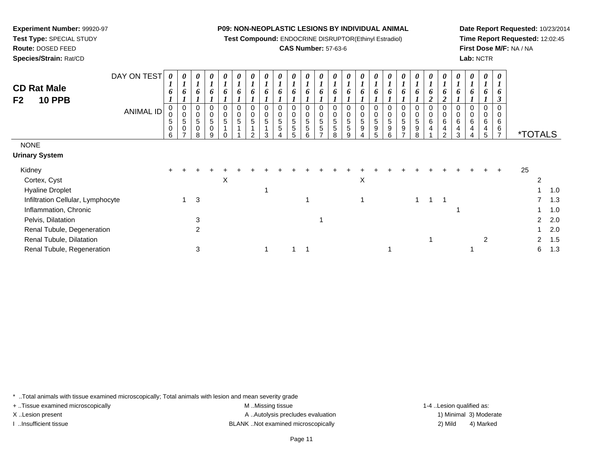**Test Compound:** ENDOCRINE DISRUPTOR(Ethinyl Estradiol)

# **CAS Number:** 57-63-6

**Date Report Requested:** 10/23/2014**Time Report Requested:** 12:02:45**First Dose M/F:** NA / NA**Lab:** NCTR

| <b>CD Rat Male</b>              | DAY ON TEST      | 0<br>o           | 0<br>6           | $\boldsymbol{\theta}$<br>o       | $\boldsymbol{\theta}$<br>o | 0<br>o      | 0<br>6      | 0<br>6           | $\boldsymbol{\theta}$<br>6 | 0<br>o                | $\theta$<br>6         | 0<br>6                | $\theta$<br>o    | 0<br>6                | 0<br>6                | 0<br>6                | 0<br>6                | 0<br>O                | 0<br>O      |  |
|---------------------------------|------------------|------------------|------------------|----------------------------------|----------------------------|-------------|-------------|------------------|----------------------------|-----------------------|-----------------------|-----------------------|------------------|-----------------------|-----------------------|-----------------------|-----------------------|-----------------------|-------------|--|
| <b>10 PPB</b><br>F <sub>2</sub> |                  |                  |                  |                                  |                            |             |             |                  |                            |                       |                       |                       |                  |                       |                       |                       |                       |                       |             |  |
|                                 | <b>ANIMAL ID</b> | 0<br>5<br>0<br>6 | 0<br>0<br>5<br>0 | $\mathbf{0}$<br>0<br>5<br>0<br>8 | 0<br>0<br>5<br>0<br>9      | 0<br>0<br>5 | 0<br>0<br>5 | 0<br>0<br>5<br>ົ | 0<br>0<br>5<br>3           | 0<br>0<br>5<br>5<br>4 | 0<br>0<br>5<br>5<br>5 | 0<br>0<br>5<br>5<br>6 | 0<br>0<br>5<br>5 | 0<br>0<br>5<br>5<br>8 | 0<br>0<br>5<br>5<br>9 | 0<br>0<br>5<br>9<br>4 | 0<br>0<br>5<br>9<br>5 | 0<br>0<br>5<br>9<br>6 | 0<br>5<br>9 |  |
| <b>NONE</b>                     |                  |                  |                  |                                  |                            |             |             |                  |                            |                       |                       |                       |                  |                       |                       |                       |                       |                       |             |  |
| <b>Urinary System</b>           |                  |                  |                  |                                  |                            |             |             |                  |                            |                       |                       |                       |                  |                       |                       |                       |                       |                       |             |  |

| Kidney                            | $+$ |    |   |  |  |  |  |   |  |  |  |  |  | 25 |                 |
|-----------------------------------|-----|----|---|--|--|--|--|---|--|--|--|--|--|----|-----------------|
| Cortex, Cyst                      |     |    | Χ |  |  |  |  | ∧ |  |  |  |  |  |    |                 |
| <b>Hyaline Droplet</b>            |     |    |   |  |  |  |  |   |  |  |  |  |  |    | $\vert$ 1.0     |
| Infiltration Cellular, Lymphocyte |     | -3 |   |  |  |  |  |   |  |  |  |  |  |    | $^{\prime}$ 1.3 |
| Inflammation, Chronic             |     |    |   |  |  |  |  |   |  |  |  |  |  |    | $1 \quad 1.0$   |
| Pelvis, Dilatation                |     | ົ  |   |  |  |  |  |   |  |  |  |  |  |    | $2 \quad 2.0$   |
| Renal Tubule, Degeneration        |     |    |   |  |  |  |  |   |  |  |  |  |  |    | 12.0            |
| Renal Tubule, Dilatation          |     |    |   |  |  |  |  |   |  |  |  |  |  |    | 2, 1.5          |
| Renal Tubule, Regeneration        |     |    |   |  |  |  |  |   |  |  |  |  |  |    | 6 1.3           |

\* ..Total animals with tissue examined microscopically; Total animals with lesion and mean severity grade

**Experiment Number:** 99920-97**Test Type:** SPECIAL STUDY**Route:** DOSED FEED**Species/Strain:** Rat/CD

+ ..Tissue examined microscopically examined microscopically examined as:  $M$  ..Missing tissue 1-4 ..Lesion qualified as: X..Lesion present **A ..Autolysis precludes evaluation** A ..Autolysis precludes evaluation 1) Minimal 3) Moderate I ..Insufficient tissue BLANK ..Not examined microscopically 2) Mild 4) Marked

*0 1*

0<br>6<br>6<br>7

\*TOTALS

*1 6 1*

0

*6*

0<br>0<br>6<br>4<br>1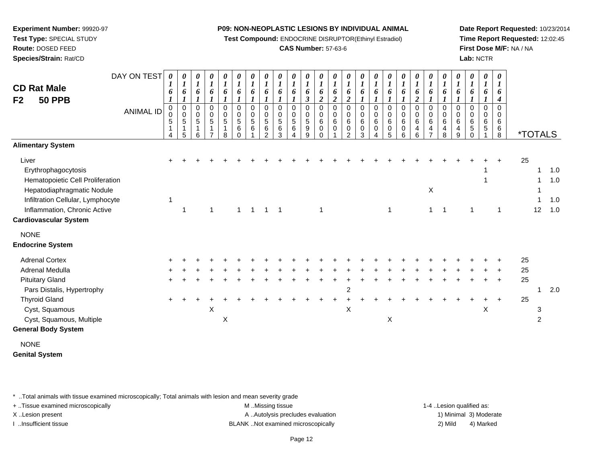**Test Compound:** ENDOCRINE DISRUPTOR(Ethinyl Estradiol)

# **CAS Number:** 57-63-6

**Date Report Requested:** 10/23/2014**Time Report Requested:** 12:02:45**First Dose M/F:** NA / NA**Lab:** NCTR

| <b>CD Rat Male</b><br><b>50 PPB</b><br>F <sub>2</sub>                                                                                                                                                                           | DAY ON TEST<br><b>ANIMAL ID</b> | 0<br>6<br>$\boldsymbol{l}$<br>$\mathbf 0$<br>0<br>5<br>4 | 0<br>$\boldsymbol{l}$<br>6<br>$\boldsymbol{l}$<br>$\mathbf 0$<br>$\mathbf 0$<br>5<br>$\mathbf{1}$<br>5 | $\boldsymbol{\theta}$<br>$\boldsymbol{l}$<br>6<br>$\pmb{0}$<br>0<br>$\overline{5}$<br>1<br>6 | 0<br>$\boldsymbol{l}$<br>6<br>0<br>$\mathbf 0$<br>5<br>$\mathbf{1}$<br>$\overline{ }$ | 0<br>$\boldsymbol{l}$<br>6<br>0<br>$\pmb{0}$<br>$\,$ 5 $\,$<br>8 | 0<br>$\boldsymbol{l}$<br>6<br>$\boldsymbol{l}$<br>$\mathbf 0$<br>$\pmb{0}$<br>$\sqrt{5}$<br>6<br>$\Omega$ | 0<br>$\boldsymbol{l}$<br>6<br>$\mathbf{I}$<br>$\pmb{0}$<br>$\pmb{0}$<br>$\sqrt{5}$<br>6 | $\frac{\boldsymbol{\theta}}{\boldsymbol{I}}$<br>6<br>$\boldsymbol{l}$<br>0<br>$\mathbf 0$<br>$\sqrt{5}$<br>6<br>$\overline{2}$ | 0<br>$\boldsymbol{l}$<br>6<br>$\mathbf 0$<br>$\pmb{0}$<br>$\sqrt{5}$<br>6<br>3 | $\boldsymbol{\theta}$<br>$\boldsymbol{l}$<br>6<br>$\mathbf 0$<br>$\mathbf 0$<br>5<br>6<br>$\boldsymbol{\Lambda}$ | $\boldsymbol{\theta}$<br>$\boldsymbol{l}$<br>6<br>3<br>$\mathbf 0$<br>0<br>5<br>9<br>9 | $\boldsymbol{\theta}$<br>$\boldsymbol{l}$<br>6<br>$\overline{c}$<br>0<br>$\mathbf 0$<br>$\,6\,$<br>$\mathbf 0$<br>$\Omega$ | 0<br>$\boldsymbol{l}$<br>6<br>$\overline{2}$<br>0<br>$\pmb{0}$<br>6<br>$\mathbf 0$ | 0<br>1<br>6<br>$\boldsymbol{2}$<br>$\mathbf 0$<br>$\pmb{0}$<br>6<br>0<br>2 | 0<br>$\boldsymbol{l}$<br>6<br>$\mathbf 0$<br>$\mathbf 0$<br>6<br>0<br>3 | 0<br>$\boldsymbol{l}$<br>6<br>$\boldsymbol{l}$<br>0<br>$\pmb{0}$<br>6<br>0<br>4 | $\boldsymbol{\theta}$<br>$\boldsymbol{l}$<br>6<br>$\mathbf 0$<br>$\mathbf 0$<br>$6\phantom{1}6$<br>0<br>5 | $\boldsymbol{\theta}$<br>$\boldsymbol{l}$<br>6<br>$\pmb{0}$<br>$\pmb{0}$<br>$\,6\,$<br>$\mathbf 0$<br>6 | $\boldsymbol{\theta}$<br>$\boldsymbol{l}$<br>6<br>$\overline{c}$<br>0<br>$\pmb{0}$<br>6<br>4<br>6 | 0<br>$\boldsymbol{l}$<br>6<br>0<br>$\pmb{0}$<br>$\,6$<br>4 | 0<br>$\boldsymbol{l}$<br>6<br>$\pmb{0}$<br>$\pmb{0}$<br>6<br>4<br>8 | 0<br>$\boldsymbol{l}$<br>6<br>$\,0\,$<br>$\,0\,$<br>$\,6$<br>4<br>$\boldsymbol{9}$ | 0<br>$\mathbf{I}$<br>6<br>0<br>$\mathbf 0$<br>$\,6$<br>$\,$ 5 $\,$<br>0 | 0<br>$\boldsymbol{l}$<br>6<br>0<br>0<br>6<br>$\,$ 5 $\,$ | $\boldsymbol{\theta}$<br>$\boldsymbol{l}$<br>6<br>4<br>$\mathbf 0$<br>$\mathbf 0$<br>6<br>6<br>8 | <i><b>*TOTALS</b></i> |    |                          |
|---------------------------------------------------------------------------------------------------------------------------------------------------------------------------------------------------------------------------------|---------------------------------|----------------------------------------------------------|--------------------------------------------------------------------------------------------------------|----------------------------------------------------------------------------------------------|---------------------------------------------------------------------------------------|------------------------------------------------------------------|-----------------------------------------------------------------------------------------------------------|-----------------------------------------------------------------------------------------|--------------------------------------------------------------------------------------------------------------------------------|--------------------------------------------------------------------------------|------------------------------------------------------------------------------------------------------------------|----------------------------------------------------------------------------------------|----------------------------------------------------------------------------------------------------------------------------|------------------------------------------------------------------------------------|----------------------------------------------------------------------------|-------------------------------------------------------------------------|---------------------------------------------------------------------------------|-----------------------------------------------------------------------------------------------------------|---------------------------------------------------------------------------------------------------------|---------------------------------------------------------------------------------------------------|------------------------------------------------------------|---------------------------------------------------------------------|------------------------------------------------------------------------------------|-------------------------------------------------------------------------|----------------------------------------------------------|--------------------------------------------------------------------------------------------------|-----------------------|----|--------------------------|
| <b>Alimentary System</b><br>Liver<br>Erythrophagocytosis<br>Hematopoietic Cell Proliferation<br>Hepatodiaphragmatic Nodule<br>Infiltration Cellular, Lymphocyte<br>Inflammation, Chronic Active<br><b>Cardiovascular System</b> |                                 | -1                                                       | $\mathbf{1}$                                                                                           |                                                                                              | $\mathbf{1}$                                                                          |                                                                  | $\mathbf{1}$                                                                                              | $\overline{1}$                                                                          | $\mathbf{1}$                                                                                                                   | $\overline{1}$                                                                 |                                                                                                                  |                                                                                        | $\mathbf{1}$                                                                                                               |                                                                                    |                                                                            |                                                                         |                                                                                 | $\mathbf{1}$                                                                                              |                                                                                                         |                                                                                                   | X<br>$\mathbf{1}$                                          | $\overline{\mathbf{1}}$                                             |                                                                                    | $\mathbf{1}$                                                            |                                                          | $\mathbf{1}$                                                                                     | 25                    | 12 | 1.0<br>1.0<br>1.0<br>1.0 |
| <b>NONE</b><br><b>Endocrine System</b>                                                                                                                                                                                          |                                 |                                                          |                                                                                                        |                                                                                              |                                                                                       |                                                                  |                                                                                                           |                                                                                         |                                                                                                                                |                                                                                |                                                                                                                  |                                                                                        |                                                                                                                            |                                                                                    |                                                                            |                                                                         |                                                                                 |                                                                                                           |                                                                                                         |                                                                                                   |                                                            |                                                                     |                                                                                    |                                                                         |                                                          |                                                                                                  |                       |    |                          |
| <b>Adrenal Cortex</b>                                                                                                                                                                                                           |                                 |                                                          |                                                                                                        |                                                                                              |                                                                                       |                                                                  |                                                                                                           |                                                                                         |                                                                                                                                |                                                                                |                                                                                                                  |                                                                                        |                                                                                                                            |                                                                                    |                                                                            |                                                                         |                                                                                 |                                                                                                           |                                                                                                         |                                                                                                   |                                                            |                                                                     |                                                                                    |                                                                         |                                                          |                                                                                                  | 25                    |    |                          |
| Adrenal Medulla                                                                                                                                                                                                                 |                                 |                                                          |                                                                                                        |                                                                                              |                                                                                       |                                                                  |                                                                                                           |                                                                                         |                                                                                                                                |                                                                                |                                                                                                                  |                                                                                        |                                                                                                                            |                                                                                    |                                                                            |                                                                         |                                                                                 |                                                                                                           |                                                                                                         |                                                                                                   |                                                            |                                                                     |                                                                                    |                                                                         |                                                          |                                                                                                  | 25                    |    |                          |
| <b>Pituitary Gland</b><br>Pars Distalis, Hypertrophy                                                                                                                                                                            |                                 | $\ddot{}$                                                |                                                                                                        |                                                                                              |                                                                                       |                                                                  |                                                                                                           |                                                                                         |                                                                                                                                |                                                                                |                                                                                                                  |                                                                                        |                                                                                                                            |                                                                                    | $\overline{2}$                                                             |                                                                         |                                                                                 |                                                                                                           |                                                                                                         |                                                                                                   |                                                            |                                                                     |                                                                                    |                                                                         |                                                          |                                                                                                  | 25                    |    | 2.0                      |
| <b>Thyroid Gland</b>                                                                                                                                                                                                            |                                 |                                                          |                                                                                                        |                                                                                              |                                                                                       |                                                                  |                                                                                                           |                                                                                         |                                                                                                                                |                                                                                |                                                                                                                  |                                                                                        |                                                                                                                            |                                                                                    |                                                                            |                                                                         |                                                                                 |                                                                                                           |                                                                                                         |                                                                                                   |                                                            |                                                                     |                                                                                    |                                                                         |                                                          |                                                                                                  | 25                    |    |                          |
| Cyst, Squamous                                                                                                                                                                                                                  |                                 |                                                          |                                                                                                        |                                                                                              | Χ                                                                                     |                                                                  |                                                                                                           |                                                                                         |                                                                                                                                |                                                                                |                                                                                                                  |                                                                                        |                                                                                                                            |                                                                                    | X                                                                          |                                                                         |                                                                                 |                                                                                                           |                                                                                                         |                                                                                                   |                                                            |                                                                     |                                                                                    |                                                                         | X                                                        |                                                                                                  |                       | 3  |                          |
| Cyst, Squamous, Multiple<br><b>General Body System</b>                                                                                                                                                                          |                                 |                                                          |                                                                                                        |                                                                                              |                                                                                       | Χ                                                                |                                                                                                           |                                                                                         |                                                                                                                                |                                                                                |                                                                                                                  |                                                                                        |                                                                                                                            |                                                                                    |                                                                            |                                                                         |                                                                                 | X                                                                                                         |                                                                                                         |                                                                                                   |                                                            |                                                                     |                                                                                    |                                                                         |                                                          |                                                                                                  |                       | 2  |                          |
| <b>NONE</b>                                                                                                                                                                                                                     |                                 |                                                          |                                                                                                        |                                                                                              |                                                                                       |                                                                  |                                                                                                           |                                                                                         |                                                                                                                                |                                                                                |                                                                                                                  |                                                                                        |                                                                                                                            |                                                                                    |                                                                            |                                                                         |                                                                                 |                                                                                                           |                                                                                                         |                                                                                                   |                                                            |                                                                     |                                                                                    |                                                                         |                                                          |                                                                                                  |                       |    |                          |

**Genital System**

\* ..Total animals with tissue examined microscopically; Total animals with lesion and mean severity grade

**Experiment Number:** 99920-97**Test Type:** SPECIAL STUDY**Route:** DOSED FEED**Species/Strain:** Rat/CD

+ ..Tissue examined microscopically examined microscopically examined as:  $M$  ..Missing tissue 1-4 ..Lesion qualified as: X..Lesion present **A ..Autolysis precludes evaluation** A ..Autolysis precludes evaluation 1) Minimal 3) Moderate

I ..Insufficient tissue BLANK ..Not examined microscopically 2) Mild 4) Marked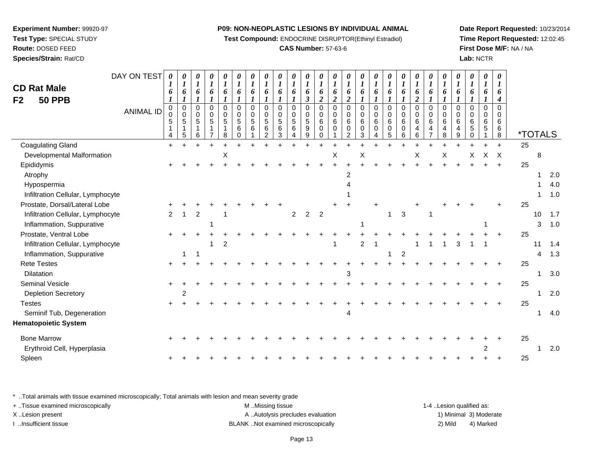**Test Compound:** ENDOCRINE DISRUPTOR(Ethinyl Estradiol)

# **CAS Number:** 57-63-6

**Date Report Requested:** 10/23/2014**Time Report Requested:** 12:02:45**First Dose M/F:** NA / NA**Lab:** NCTR

| <b>CD Rat Male</b><br><b>50 PPB</b><br>F <sub>2</sub> | DAY ON TEST<br><b>ANIMAL ID</b> | 0<br>$\boldsymbol{l}$<br>6<br>$\mathbf 0$<br>0<br>5<br>4 | 0<br>$\boldsymbol{l}$<br>6<br>$\boldsymbol{l}$<br>$\pmb{0}$<br>$\mathbf 0$<br>$\sqrt{5}$<br>$\mathbf{1}$<br>$\sqrt{5}$ | 0<br>$\boldsymbol{l}$<br>6<br>1<br>$\boldsymbol{0}$<br>$\mathbf 0$<br>5<br>$\mathbf 1$<br>6 | $\pmb{\theta}$<br>$\boldsymbol{l}$<br>6<br>$\mathsf 0$<br>$\mathbf 0$<br>5 | 0<br>$\overline{\mathbf{I}}$<br>6<br>$\mathbf 0$<br>0<br>5<br>8 | 0<br>$\boldsymbol{l}$<br>6<br>$\pmb{0}$<br>$\pmb{0}$<br>$\overline{5}$<br>6<br>$\Omega$ | $\pmb{\theta}$<br>$\boldsymbol{l}$<br>6<br>1<br>$\mathbf 0$<br>$\pmb{0}$<br>$\overline{5}$<br>6 | $\pmb{\theta}$<br>$\boldsymbol{l}$<br>6<br>$\mathbf 0$<br>$\pmb{0}$<br>5<br>6<br>$\overline{2}$ | $\boldsymbol{\theta}$<br>$\boldsymbol{l}$<br>6<br>$\mathbf 0$<br>$\mathbf 0$<br>$\sqrt{5}$<br>6<br>3 | 0<br>$\boldsymbol{l}$<br>6<br>$\mathbf 0$<br>0<br>$\overline{5}$<br>6<br>4 | $\boldsymbol{\theta}$<br>$\boldsymbol{l}$<br>6<br>3<br>$\overline{0}$<br>$\Omega$<br>$\sqrt{5}$<br>9<br>9 | 0<br>$\boldsymbol{l}$<br>6<br>$\overline{2}$<br>$\Omega$<br>$\Omega$<br>6<br>0<br>$\Omega$ | 0<br>$\boldsymbol{l}$<br>6<br>$\overline{\mathbf{c}}$<br>0<br>0<br>6<br>$\mathbf 0$ | 0<br>$\boldsymbol{l}$<br>6<br>$\overline{c}$<br>$\mathbf 0$<br>0<br>$6\phantom{a}$<br>$\mathbf 0$<br>$\overline{2}$ | $\pmb{\theta}$<br>$\boldsymbol{l}$<br>6<br>$\pmb{0}$<br>0<br>6<br>$\mathbf 0$<br>3 | 0<br>$\boldsymbol{l}$<br>6<br>$\Omega$<br>0<br>6<br>$\mathbf 0$<br>4 | 0<br>$\boldsymbol{l}$<br>6<br>$\pmb{0}$<br>0<br>$\,6$<br>0<br>5 | 0<br>$\boldsymbol{l}$<br>6<br>$\boldsymbol{l}$<br>$\mathbf 0$<br>0<br>6<br>0<br>6 | 0<br>$\boldsymbol{l}$<br>6<br>$\overline{c}$<br>$\overline{0}$<br>0<br>$\,6\,$<br>4<br>6 | 0<br>$\boldsymbol{l}$<br>6<br>0<br>0<br>$\,6\,$<br>4<br>$\overline{7}$ | 0<br>$\boldsymbol{l}$<br>6<br>0<br>0<br>$\,6\,$<br>$\overline{4}$<br>8 | $\pmb{\theta}$<br>$\boldsymbol{l}$<br>6<br>$\mathbf 0$<br>0<br>6<br>4<br>9 | $\pmb{\theta}$<br>$\boldsymbol{l}$<br>6<br>$\pmb{0}$<br>0<br>6<br>5<br>0 | $\boldsymbol{\theta}$<br>$\boldsymbol{l}$<br>6<br>1<br>$\mathbf 0$<br>0<br>6<br>5 | 0<br>$\boldsymbol{l}$<br>6<br>4<br>$\Omega$<br>$\Omega$<br>6<br>6<br>8 | <i><b>*TOTALS</b></i> |    |     |
|-------------------------------------------------------|---------------------------------|----------------------------------------------------------|------------------------------------------------------------------------------------------------------------------------|---------------------------------------------------------------------------------------------|----------------------------------------------------------------------------|-----------------------------------------------------------------|-----------------------------------------------------------------------------------------|-------------------------------------------------------------------------------------------------|-------------------------------------------------------------------------------------------------|------------------------------------------------------------------------------------------------------|----------------------------------------------------------------------------|-----------------------------------------------------------------------------------------------------------|--------------------------------------------------------------------------------------------|-------------------------------------------------------------------------------------|---------------------------------------------------------------------------------------------------------------------|------------------------------------------------------------------------------------|----------------------------------------------------------------------|-----------------------------------------------------------------|-----------------------------------------------------------------------------------|------------------------------------------------------------------------------------------|------------------------------------------------------------------------|------------------------------------------------------------------------|----------------------------------------------------------------------------|--------------------------------------------------------------------------|-----------------------------------------------------------------------------------|------------------------------------------------------------------------|-----------------------|----|-----|
| <b>Coagulating Gland</b>                              |                                 | $\ddot{}$                                                |                                                                                                                        |                                                                                             |                                                                            |                                                                 |                                                                                         |                                                                                                 |                                                                                                 |                                                                                                      |                                                                            |                                                                                                           |                                                                                            |                                                                                     |                                                                                                                     |                                                                                    |                                                                      |                                                                 |                                                                                   |                                                                                          |                                                                        |                                                                        |                                                                            |                                                                          |                                                                                   | $\ddot{}$                                                              | 25                    |    |     |
| Developmental Malformation                            |                                 |                                                          |                                                                                                                        |                                                                                             |                                                                            | Χ                                                               |                                                                                         |                                                                                                 |                                                                                                 |                                                                                                      |                                                                            |                                                                                                           |                                                                                            | Χ                                                                                   |                                                                                                                     | X                                                                                  |                                                                      |                                                                 |                                                                                   | X                                                                                        |                                                                        | х                                                                      |                                                                            | Х                                                                        | X                                                                                 | $\mathsf{X}$                                                           |                       | 8  |     |
| Epididymis                                            |                                 |                                                          |                                                                                                                        |                                                                                             |                                                                            |                                                                 |                                                                                         |                                                                                                 |                                                                                                 |                                                                                                      |                                                                            |                                                                                                           |                                                                                            |                                                                                     |                                                                                                                     |                                                                                    |                                                                      |                                                                 |                                                                                   |                                                                                          |                                                                        |                                                                        |                                                                            |                                                                          |                                                                                   |                                                                        | 25                    |    |     |
| Atrophy                                               |                                 |                                                          |                                                                                                                        |                                                                                             |                                                                            |                                                                 |                                                                                         |                                                                                                 |                                                                                                 |                                                                                                      |                                                                            |                                                                                                           |                                                                                            |                                                                                     |                                                                                                                     |                                                                                    |                                                                      |                                                                 |                                                                                   |                                                                                          |                                                                        |                                                                        |                                                                            |                                                                          |                                                                                   |                                                                        |                       |    | 2.0 |
| Hypospermia                                           |                                 |                                                          |                                                                                                                        |                                                                                             |                                                                            |                                                                 |                                                                                         |                                                                                                 |                                                                                                 |                                                                                                      |                                                                            |                                                                                                           |                                                                                            |                                                                                     |                                                                                                                     |                                                                                    |                                                                      |                                                                 |                                                                                   |                                                                                          |                                                                        |                                                                        |                                                                            |                                                                          |                                                                                   |                                                                        |                       |    | 4.0 |
| Infiltration Cellular, Lymphocyte                     |                                 |                                                          |                                                                                                                        |                                                                                             |                                                                            |                                                                 |                                                                                         |                                                                                                 |                                                                                                 |                                                                                                      |                                                                            |                                                                                                           |                                                                                            |                                                                                     |                                                                                                                     |                                                                                    |                                                                      |                                                                 |                                                                                   |                                                                                          |                                                                        |                                                                        |                                                                            |                                                                          |                                                                                   |                                                                        |                       |    | 1.0 |
| Prostate, Dorsal/Lateral Lobe                         |                                 |                                                          |                                                                                                                        |                                                                                             |                                                                            |                                                                 |                                                                                         |                                                                                                 |                                                                                                 |                                                                                                      |                                                                            |                                                                                                           |                                                                                            |                                                                                     |                                                                                                                     |                                                                                    |                                                                      |                                                                 |                                                                                   |                                                                                          |                                                                        |                                                                        |                                                                            |                                                                          |                                                                                   |                                                                        | 25                    |    |     |
| Infiltration Cellular, Lymphocyte                     |                                 | $\mathfrak{p}$                                           |                                                                                                                        | 2                                                                                           |                                                                            |                                                                 |                                                                                         |                                                                                                 |                                                                                                 |                                                                                                      | $\overline{2}$                                                             | $\overline{2}$                                                                                            | $\overline{2}$                                                                             |                                                                                     |                                                                                                                     |                                                                                    |                                                                      | 1                                                               | 3                                                                                 |                                                                                          |                                                                        |                                                                        |                                                                            |                                                                          |                                                                                   |                                                                        |                       | 10 | 1.7 |
| Inflammation, Suppurative                             |                                 |                                                          |                                                                                                                        |                                                                                             |                                                                            |                                                                 |                                                                                         |                                                                                                 |                                                                                                 |                                                                                                      |                                                                            |                                                                                                           |                                                                                            |                                                                                     |                                                                                                                     |                                                                                    |                                                                      |                                                                 |                                                                                   |                                                                                          |                                                                        |                                                                        |                                                                            |                                                                          |                                                                                   |                                                                        |                       | 3  | 1.0 |
| Prostate, Ventral Lobe                                |                                 |                                                          |                                                                                                                        |                                                                                             |                                                                            |                                                                 |                                                                                         |                                                                                                 |                                                                                                 |                                                                                                      |                                                                            |                                                                                                           |                                                                                            |                                                                                     |                                                                                                                     |                                                                                    |                                                                      |                                                                 |                                                                                   |                                                                                          |                                                                        |                                                                        |                                                                            |                                                                          |                                                                                   |                                                                        | 25                    |    |     |
| Infiltration Cellular, Lymphocyte                     |                                 |                                                          |                                                                                                                        |                                                                                             |                                                                            | $\overline{2}$                                                  |                                                                                         |                                                                                                 |                                                                                                 |                                                                                                      |                                                                            |                                                                                                           |                                                                                            |                                                                                     |                                                                                                                     | $\overline{2}$                                                                     |                                                                      |                                                                 |                                                                                   |                                                                                          |                                                                        |                                                                        | 3                                                                          |                                                                          | 1                                                                                 |                                                                        |                       | 11 | 1.4 |
| Inflammation, Suppurative                             |                                 |                                                          |                                                                                                                        |                                                                                             |                                                                            |                                                                 |                                                                                         |                                                                                                 |                                                                                                 |                                                                                                      |                                                                            |                                                                                                           |                                                                                            |                                                                                     |                                                                                                                     |                                                                                    |                                                                      |                                                                 | $\overline{2}$                                                                    |                                                                                          |                                                                        |                                                                        |                                                                            |                                                                          |                                                                                   |                                                                        |                       |    | 1.3 |
| <b>Rete Testes</b>                                    |                                 | ÷                                                        |                                                                                                                        |                                                                                             |                                                                            |                                                                 |                                                                                         |                                                                                                 |                                                                                                 |                                                                                                      |                                                                            |                                                                                                           |                                                                                            |                                                                                     |                                                                                                                     |                                                                                    |                                                                      |                                                                 |                                                                                   |                                                                                          |                                                                        |                                                                        |                                                                            |                                                                          |                                                                                   |                                                                        | 25                    |    |     |
| Dilatation                                            |                                 |                                                          |                                                                                                                        |                                                                                             |                                                                            |                                                                 |                                                                                         |                                                                                                 |                                                                                                 |                                                                                                      |                                                                            |                                                                                                           |                                                                                            |                                                                                     | 3                                                                                                                   |                                                                                    |                                                                      |                                                                 |                                                                                   |                                                                                          |                                                                        |                                                                        |                                                                            |                                                                          |                                                                                   |                                                                        |                       |    | 3.0 |
| <b>Seminal Vesicle</b>                                |                                 |                                                          |                                                                                                                        |                                                                                             |                                                                            |                                                                 |                                                                                         |                                                                                                 |                                                                                                 |                                                                                                      |                                                                            |                                                                                                           |                                                                                            |                                                                                     |                                                                                                                     |                                                                                    |                                                                      |                                                                 |                                                                                   |                                                                                          |                                                                        |                                                                        |                                                                            |                                                                          |                                                                                   |                                                                        | 25                    |    |     |
| <b>Depletion Secretory</b>                            |                                 |                                                          | $\mathfrak{p}$                                                                                                         |                                                                                             |                                                                            |                                                                 |                                                                                         |                                                                                                 |                                                                                                 |                                                                                                      |                                                                            |                                                                                                           |                                                                                            |                                                                                     |                                                                                                                     |                                                                                    |                                                                      |                                                                 |                                                                                   |                                                                                          |                                                                        |                                                                        |                                                                            |                                                                          |                                                                                   |                                                                        |                       |    | 2.0 |
| <b>Testes</b>                                         |                                 |                                                          |                                                                                                                        |                                                                                             |                                                                            |                                                                 |                                                                                         |                                                                                                 |                                                                                                 |                                                                                                      |                                                                            |                                                                                                           |                                                                                            |                                                                                     |                                                                                                                     |                                                                                    |                                                                      |                                                                 |                                                                                   |                                                                                          |                                                                        |                                                                        |                                                                            |                                                                          |                                                                                   |                                                                        | 25                    |    |     |
| Seminif Tub, Degeneration                             |                                 |                                                          |                                                                                                                        |                                                                                             |                                                                            |                                                                 |                                                                                         |                                                                                                 |                                                                                                 |                                                                                                      |                                                                            |                                                                                                           |                                                                                            |                                                                                     |                                                                                                                     |                                                                                    |                                                                      |                                                                 |                                                                                   |                                                                                          |                                                                        |                                                                        |                                                                            |                                                                          |                                                                                   |                                                                        |                       |    | 4.0 |
| <b>Hematopoietic System</b>                           |                                 |                                                          |                                                                                                                        |                                                                                             |                                                                            |                                                                 |                                                                                         |                                                                                                 |                                                                                                 |                                                                                                      |                                                                            |                                                                                                           |                                                                                            |                                                                                     |                                                                                                                     |                                                                                    |                                                                      |                                                                 |                                                                                   |                                                                                          |                                                                        |                                                                        |                                                                            |                                                                          |                                                                                   |                                                                        |                       |    |     |
| <b>Bone Marrow</b>                                    |                                 |                                                          |                                                                                                                        |                                                                                             |                                                                            |                                                                 |                                                                                         |                                                                                                 |                                                                                                 |                                                                                                      |                                                                            |                                                                                                           |                                                                                            |                                                                                     |                                                                                                                     |                                                                                    |                                                                      |                                                                 |                                                                                   |                                                                                          |                                                                        |                                                                        |                                                                            |                                                                          |                                                                                   |                                                                        | 25                    |    |     |
| Erythroid Cell, Hyperplasia                           |                                 |                                                          |                                                                                                                        |                                                                                             |                                                                            |                                                                 |                                                                                         |                                                                                                 |                                                                                                 |                                                                                                      |                                                                            |                                                                                                           |                                                                                            |                                                                                     |                                                                                                                     |                                                                                    |                                                                      |                                                                 |                                                                                   |                                                                                          |                                                                        |                                                                        |                                                                            |                                                                          | $\overline{2}$                                                                    |                                                                        |                       |    | 2.0 |
| Spleen                                                |                                 |                                                          |                                                                                                                        |                                                                                             |                                                                            |                                                                 |                                                                                         |                                                                                                 |                                                                                                 |                                                                                                      |                                                                            |                                                                                                           |                                                                                            |                                                                                     |                                                                                                                     |                                                                                    |                                                                      |                                                                 |                                                                                   |                                                                                          |                                                                        |                                                                        |                                                                            |                                                                          |                                                                                   |                                                                        | 25                    |    |     |
|                                                       |                                 |                                                          |                                                                                                                        |                                                                                             |                                                                            |                                                                 |                                                                                         |                                                                                                 |                                                                                                 |                                                                                                      |                                                                            |                                                                                                           |                                                                                            |                                                                                     |                                                                                                                     |                                                                                    |                                                                      |                                                                 |                                                                                   |                                                                                          |                                                                        |                                                                        |                                                                            |                                                                          |                                                                                   |                                                                        |                       |    |     |

\* ..Total animals with tissue examined microscopically; Total animals with lesion and mean severity grade

| + . Tissue examined microscopically | M Missing tissue                   | 1-4 Lesion qualified as: |                        |
|-------------------------------------|------------------------------------|--------------------------|------------------------|
| X Lesion present                    | A Autolysis precludes evaluation   |                          | 1) Minimal 3) Moderate |
| …Insufficient tissue                | BLANK Not examined microscopically | 2) Mild                  | 4) Marked              |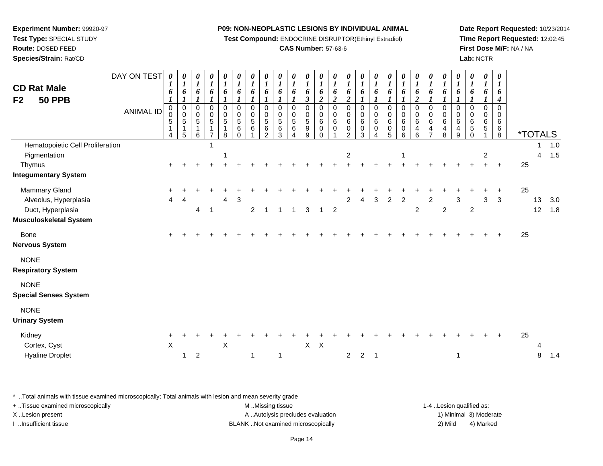**Test Compound:** ENDOCRINE DISRUPTOR(Ethinyl Estradiol)

# **CAS Number:** 57-63-6

**Date Report Requested:** 10/23/2014**Time Report Requested:** 12:02:45**First Dose M/F:** NA / NA**Lab:** NCTR

| <b>CD Rat Male</b><br>F2<br><b>50 PPB</b>                                                 | DAY ON TEST<br><b>ANIMAL ID</b> | 0<br>6<br>$\boldsymbol{l}$<br>0<br>$\mathbf 0$<br>$\,$ 5 $\,$ | 0<br>$\boldsymbol{l}$<br>6<br>$\boldsymbol{l}$<br>$\pmb{0}$<br>$\bar{0}$<br>$\sqrt{5}$ | 0<br>$\boldsymbol{I}$<br>6<br>$\boldsymbol{l}$<br>$\pmb{0}$<br>$\pmb{0}$<br>$\overline{5}$<br>$\mathbf 1$ | 0<br>$\boldsymbol{l}$<br>6<br>$\boldsymbol{l}$<br>$\mathbf 0$<br>$\mathbf 0$<br>$\overline{5}$<br>$\mathbf{1}$ | 0<br>$\boldsymbol{l}$<br>6<br>$\mathbf{I}$<br>$\mathbf 0$<br>$\pmb{0}$<br>$\sqrt{5}$<br>1 | 0<br>$\boldsymbol{l}$<br>6<br>1<br>$\Omega$<br>0<br>$\sqrt{5}$<br>6 | 0<br>$\boldsymbol{l}$<br>6<br>1<br>$\Omega$<br>0<br>5<br>6 | 0<br>$\boldsymbol{l}$<br>6<br>1<br>$\mathbf 0$<br>$\mathbf 0$<br>5<br>$\,6$ | $\frac{\theta}{I}$<br>6<br>$\boldsymbol{l}$<br>0<br>0<br>$\overline{5}$<br>$\frac{6}{3}$ | 0<br>$\boldsymbol{l}$<br>6<br>$\boldsymbol{l}$<br>$\mathbf 0$<br>$\mathsf{O}\xspace$<br>$\overline{5}$<br>$\,6$ | 0<br>$\boldsymbol{l}$<br>6<br>$\boldsymbol{\beta}$<br>$\mathbf 0$<br>$\mathbf 0$<br>$\,$ 5 $\,$<br>$\boldsymbol{9}$ | $\frac{\boldsymbol{\theta}}{\boldsymbol{I}}$<br>6<br>$\boldsymbol{2}$<br>$\mathbf 0$<br>$\pmb{0}$<br>$\,6\,$<br>$\,0\,$ | 0<br>$\boldsymbol{l}$<br>6<br>$\boldsymbol{2}$<br>$\mathbf 0$<br>0<br>$\,6$<br>$\,0\,$ | 0<br>$\boldsymbol{l}$<br>6<br>$\boldsymbol{2}$<br>$\mathbf 0$<br>0<br>$\,6\,$<br>$\begin{smallmatrix} 0\\2 \end{smallmatrix}$ | 0<br>$\boldsymbol{l}$<br>6<br>$\boldsymbol{l}$<br>$\mathbf 0$<br>0<br>$\,6\,$<br>$\pmb{0}$ | $\frac{\boldsymbol{\theta}}{\boldsymbol{I}}$<br>6<br>$\boldsymbol{l}$<br>0<br>0<br>$\,6$<br>$\pmb{0}$ | 0<br>$\boldsymbol{l}$<br>6<br>1<br>$\pmb{0}$<br>$\pmb{0}$<br>$\,6$<br>$\begin{array}{c} 0 \\ 5 \end{array}$ | 0<br>$\boldsymbol{l}$<br>6<br>$\boldsymbol{l}$<br>$\mathbf 0$<br>$\pmb{0}$<br>$\,6\,$<br>$\pmb{0}$ | $\frac{\theta}{I}$<br>6<br>$\boldsymbol{2}$<br>$\mathbf 0$<br>$\pmb{0}$<br>6<br>$\overline{4}$ | 0<br>$\boldsymbol{l}$<br>6<br>$\boldsymbol{l}$<br>$\Omega$<br>$\mathbf 0$<br>6<br>4 | 0<br>$\boldsymbol{l}$<br>6<br>$\boldsymbol{l}$<br>$\Omega$<br>$\mathbf 0$<br>6<br>$\overline{4}$ | 0<br>$\boldsymbol{l}$<br>6<br>1<br>$\Omega$<br>$\mathbf 0$<br>6<br>$\overline{\mathbf{r}}$ | 0<br>$\boldsymbol{l}$<br>6<br>$\Omega$<br>0<br>6<br>5 | 0<br>$\boldsymbol{l}$<br>6<br>1<br>$\mathbf 0$<br>0<br>$\,6\,$<br>$\sqrt{5}$ | 0<br>$\boldsymbol{l}$<br>6<br>4<br>$\Omega$<br>$\Omega$<br>6<br>$^6_8$ |                             |          |            |
|-------------------------------------------------------------------------------------------|---------------------------------|---------------------------------------------------------------|----------------------------------------------------------------------------------------|-----------------------------------------------------------------------------------------------------------|----------------------------------------------------------------------------------------------------------------|-------------------------------------------------------------------------------------------|---------------------------------------------------------------------|------------------------------------------------------------|-----------------------------------------------------------------------------|------------------------------------------------------------------------------------------|-----------------------------------------------------------------------------------------------------------------|---------------------------------------------------------------------------------------------------------------------|-------------------------------------------------------------------------------------------------------------------------|----------------------------------------------------------------------------------------|-------------------------------------------------------------------------------------------------------------------------------|--------------------------------------------------------------------------------------------|-------------------------------------------------------------------------------------------------------|-------------------------------------------------------------------------------------------------------------|----------------------------------------------------------------------------------------------------|------------------------------------------------------------------------------------------------|-------------------------------------------------------------------------------------|--------------------------------------------------------------------------------------------------|--------------------------------------------------------------------------------------------|-------------------------------------------------------|------------------------------------------------------------------------------|------------------------------------------------------------------------|-----------------------------|----------|------------|
| Hematopoietic Cell Proliferation<br>Pigmentation<br>Thymus<br><b>Integumentary System</b> |                                 | 4<br>$\ddot{}$                                                | 5                                                                                      | $6\phantom{a}$                                                                                            | $\overline{7}$                                                                                                 | 8<br>$\mathbf{1}$                                                                         | $\Omega$                                                            |                                                            | $\mathcal{P}$                                                               |                                                                                          | $\overline{4}$                                                                                                  | 9                                                                                                                   | $\Omega$                                                                                                                | 1                                                                                      | $\boldsymbol{2}$                                                                                                              | 3                                                                                          | 4                                                                                                     |                                                                                                             | 6<br>$\mathbf{1}$                                                                                  | 6                                                                                              | $\overline{7}$                                                                      | 8                                                                                                | 9                                                                                          | $\mathbf 0$                                           | $\overline{A}$<br>$\overline{a}$<br>$\ddot{}$                                | $+$                                                                    | <i><b>*TOTALS</b></i><br>25 | 1<br>4   | 1.0<br>1.5 |
| Mammary Gland<br>Alveolus, Hyperplasia<br>Duct, Hyperplasia<br>Musculoskeletal System     |                                 | $\ddot{}$<br>$\overline{4}$                                   | 4                                                                                      | $\overline{4}$                                                                                            | $\overline{1}$                                                                                                 | 4                                                                                         | 3                                                                   | $\overline{2}$                                             | -1                                                                          |                                                                                          |                                                                                                                 | 3                                                                                                                   | $\mathbf{1}$                                                                                                            | $\overline{2}$                                                                         | 2                                                                                                                             | Δ                                                                                          | 3                                                                                                     | $\overline{c}$                                                                                              | $\overline{2}$                                                                                     | $\overline{c}$                                                                                 | 2                                                                                   | $\boldsymbol{2}$                                                                                 | 3                                                                                          | $\sqrt{2}$                                            | 3                                                                            | 3                                                                      | 25                          | 13<br>12 | 3.0<br>1.8 |
| <b>Bone</b><br>Nervous System                                                             |                                 |                                                               |                                                                                        |                                                                                                           |                                                                                                                |                                                                                           |                                                                     |                                                            |                                                                             |                                                                                          |                                                                                                                 |                                                                                                                     |                                                                                                                         |                                                                                        |                                                                                                                               |                                                                                            |                                                                                                       |                                                                                                             |                                                                                                    |                                                                                                |                                                                                     |                                                                                                  |                                                                                            |                                                       |                                                                              |                                                                        | 25                          |          |            |
| <b>NONE</b><br><b>Respiratory System</b>                                                  |                                 |                                                               |                                                                                        |                                                                                                           |                                                                                                                |                                                                                           |                                                                     |                                                            |                                                                             |                                                                                          |                                                                                                                 |                                                                                                                     |                                                                                                                         |                                                                                        |                                                                                                                               |                                                                                            |                                                                                                       |                                                                                                             |                                                                                                    |                                                                                                |                                                                                     |                                                                                                  |                                                                                            |                                                       |                                                                              |                                                                        |                             |          |            |
| <b>NONE</b><br><b>Special Senses System</b>                                               |                                 |                                                               |                                                                                        |                                                                                                           |                                                                                                                |                                                                                           |                                                                     |                                                            |                                                                             |                                                                                          |                                                                                                                 |                                                                                                                     |                                                                                                                         |                                                                                        |                                                                                                                               |                                                                                            |                                                                                                       |                                                                                                             |                                                                                                    |                                                                                                |                                                                                     |                                                                                                  |                                                                                            |                                                       |                                                                              |                                                                        |                             |          |            |
| <b>NONE</b><br><b>Urinary System</b>                                                      |                                 |                                                               |                                                                                        |                                                                                                           |                                                                                                                |                                                                                           |                                                                     |                                                            |                                                                             |                                                                                          |                                                                                                                 |                                                                                                                     |                                                                                                                         |                                                                                        |                                                                                                                               |                                                                                            |                                                                                                       |                                                                                                             |                                                                                                    |                                                                                                |                                                                                     |                                                                                                  |                                                                                            |                                                       |                                                                              |                                                                        |                             |          |            |
| Kidney<br>Cortex, Cyst<br><b>Hyaline Droplet</b>                                          |                                 | X                                                             | 1                                                                                      | $\overline{2}$                                                                                            |                                                                                                                | X                                                                                         |                                                                     | $\mathbf{1}$                                               |                                                                             | 1                                                                                        |                                                                                                                 | $\mathsf{X}$                                                                                                        | $\mathsf{X}$                                                                                                            |                                                                                        | $\overline{2}$                                                                                                                | $\overline{2}$                                                                             | $\overline{1}$                                                                                        |                                                                                                             |                                                                                                    |                                                                                                |                                                                                     |                                                                                                  | 1                                                                                          |                                                       |                                                                              |                                                                        | 25                          | 4<br>8   | 1.4        |

\* ..Total animals with tissue examined microscopically; Total animals with lesion and mean severity grade

| + . Tissue examined microscopically | M Missing tissue                   | 1-4 Lesion qualified as: |                        |
|-------------------------------------|------------------------------------|--------------------------|------------------------|
| X Lesion present                    | A Autolysis precludes evaluation   |                          | 1) Minimal 3) Moderate |
| …Insufficient tissue                | BLANK Not examined microscopically | 2) Mild                  | 4) Marked              |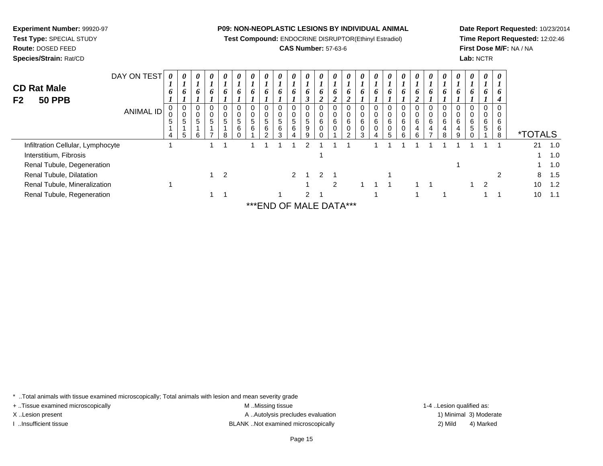**Test Compound:** ENDOCRINE DISRUPTOR(Ethinyl Estradiol)

# **CAS Number:** 57-63-6

**Date Report Requested:** 10/23/2014**Time Report Requested:** 12:02:46**First Dose M/F:** NA / NA**Lab:** NCTR

| <b>CD Rat Male</b><br><b>50 PPB</b><br>F <sub>2</sub> | DAY ON TEST<br><b>ANIMAL ID</b> | 0<br>$\mathbf{I}$<br>6 | $\boldsymbol{\theta}$<br>$\mathbf{I}$<br>0<br>υ | $\theta$<br>6<br>0<br>0 | $\theta$<br>6<br>0<br>0 | 0<br>6        | 0<br>6<br>0<br>0 | $\boldsymbol{\theta}$<br>6<br>$\mathbf 0$ | $\boldsymbol{\theta}$<br>6 | $\boldsymbol{\theta}$<br>6<br>0 | 0<br>6<br>0<br>0 | 0<br>6<br>0<br>0      | 0<br>6<br>∠      | $\theta$<br>6<br>ኅ<br>◢<br>0 | $\boldsymbol{\theta}$<br>6<br>◢<br>0 | $\theta$<br>6<br>0    | $\boldsymbol{\theta}$<br>6<br>0 | $\boldsymbol{\theta}$<br>6<br>0<br>0 | $\theta$<br>6<br>0 | $\theta$<br>6<br>0 | 0<br>6<br>0 | $\boldsymbol{\theta}$<br>6 | $\boldsymbol{\theta}$<br>6<br>0 | $\boldsymbol{\theta}$<br>o | 0<br>6<br>0<br>0 | $\boldsymbol{\theta}$<br>$\bm{l}$<br>6<br>4<br>0<br>0 |                       |     |  |
|-------------------------------------------------------|---------------------------------|------------------------|-------------------------------------------------|-------------------------|-------------------------|---------------|------------------|-------------------------------------------|----------------------------|---------------------------------|------------------|-----------------------|------------------|------------------------------|--------------------------------------|-----------------------|---------------------------------|--------------------------------------|--------------------|--------------------|-------------|----------------------------|---------------------------------|----------------------------|------------------|-------------------------------------------------------|-----------------------|-----|--|
|                                                       |                                 | 5<br>4                 | 5<br>5                                          | 5<br>6                  | 5                       | 5<br>8        | 5<br>6<br>0      | 5<br>6                                    | 5<br>6<br>C                | 5<br>6<br>3                     | $\mathbf 5$<br>6 | $\,$ 5 $\,$<br>9<br>9 | 6<br>$\mathbf 0$ | 6<br>$\mathbf 0$             | 6<br>$\pmb{0}$<br>C                  | 6<br>$\mathbf 0$<br>3 | 6<br>$\mathbf 0$                | $\,6\,$<br>0<br>5                    | $\,6$<br>0<br>6    | 6<br>4<br>6        | 6<br>4<br>⇁ | 6<br>4<br>8                | 6<br>4<br>9                     | 6<br>5                     | 6<br>$\sqrt{5}$  | 6<br>6<br>8                                           | <i><b>*TOTALS</b></i> |     |  |
| Infiltration Cellular, Lymphocyte                     |                                 |                        |                                                 |                         |                         |               |                  |                                           |                            |                                 |                  |                       |                  |                              |                                      |                       |                                 |                                      |                    |                    |             |                            |                                 |                            |                  |                                                       | 21                    | 1.0 |  |
| Interstitium, Fibrosis                                |                                 |                        |                                                 |                         |                         |               |                  |                                           |                            |                                 |                  |                       |                  |                              |                                      |                       |                                 |                                      |                    |                    |             |                            |                                 |                            |                  |                                                       |                       | 1.0 |  |
| Renal Tubule, Degeneration                            |                                 |                        |                                                 |                         |                         |               |                  |                                           |                            |                                 |                  |                       |                  |                              |                                      |                       |                                 |                                      |                    |                    |             |                            |                                 |                            |                  |                                                       |                       | 1.0 |  |
| Renal Tubule, Dilatation                              |                                 |                        |                                                 |                         |                         | $\mathcal{P}$ |                  |                                           |                            |                                 | $\mathcal{P}$    |                       | $\mathcal{P}$    |                              |                                      |                       |                                 |                                      |                    |                    |             |                            |                                 |                            |                  | 2                                                     | 8                     | 1.5 |  |
| Renal Tubule, Mineralization                          |                                 |                        |                                                 |                         |                         |               |                  |                                           |                            |                                 |                  |                       |                  | 2                            |                                      |                       |                                 |                                      |                    |                    |             |                            |                                 |                            | 2                |                                                       | 10                    | 1.2 |  |
| Renal Tubule, Regeneration                            |                                 |                        |                                                 |                         |                         |               |                  |                                           |                            |                                 |                  | 2                     |                  |                              |                                      |                       |                                 |                                      |                    |                    |             |                            |                                 |                            |                  |                                                       | 10                    | 1.1 |  |
|                                                       |                                 |                        |                                                 |                         |                         |               |                  |                                           |                            |                                 |                  |                       |                  |                              |                                      |                       |                                 |                                      |                    |                    |             |                            |                                 |                            |                  |                                                       |                       |     |  |

END OF MALE DATA\*

\* ..Total animals with tissue examined microscopically; Total animals with lesion and mean severity grade

**Experiment Number:** 99920-97**Test Type:** SPECIAL STUDY**Route:** DOSED FEED**Species/Strain:** Rat/CD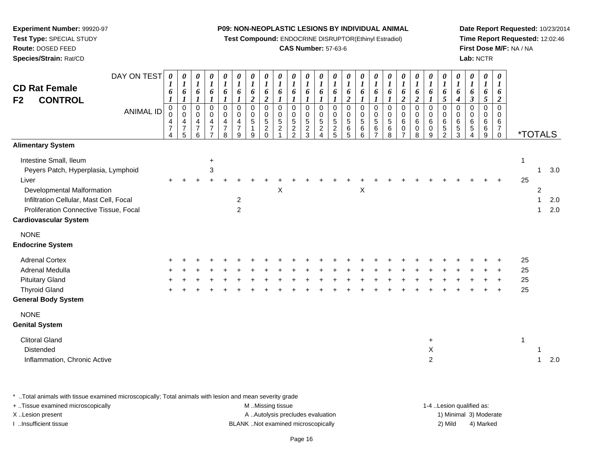**Test Compound:** ENDOCRINE DISRUPTOR(Ethinyl Estradiol)

# **CAS Number:** 57-63-6

**Date Report Requested:** 10/23/2014**Time Report Requested:** 12:02:46**First Dose M/F:** NA / NA**Lab:** NCTR

| DAY ON TEST                                                                                                                                                                                                               | $\boldsymbol{\theta}$                        | $\boldsymbol{\theta}$                                              | $\pmb{\theta}$<br>$\boldsymbol{l}$           | $\pmb{\theta}$                                            | $\boldsymbol{\theta}$                                                       | $\pmb{\theta}$                                       | $\boldsymbol{\theta}$<br>$\boldsymbol{l}$ | $\pmb{\theta}$<br>$\boldsymbol{l}$                                     | $\boldsymbol{\theta}$<br>$\boldsymbol{l}$           | 0<br>1                            | $\pmb{\theta}$                                           | 0<br>$\boldsymbol{l}$                                                               | $\boldsymbol{\theta}$<br>$\boldsymbol{l}$              | 0                                      | 0                     | $\pmb{\theta}$<br>$\boldsymbol{l}$                               | $\pmb{\theta}$<br>$\boldsymbol{l}$                          | $\pmb{\theta}$                                                   | 0                                                             | $\pmb{\theta}$<br>$\boldsymbol{l}$                    | $\boldsymbol{\theta}$                                     | $\boldsymbol{\theta}$<br>1             | $\boldsymbol{\theta}$<br>1                                       | 0                                     | 0<br>$\boldsymbol{l}$                                              |                    |                                                     |                       |
|---------------------------------------------------------------------------------------------------------------------------------------------------------------------------------------------------------------------------|----------------------------------------------|--------------------------------------------------------------------|----------------------------------------------|-----------------------------------------------------------|-----------------------------------------------------------------------------|------------------------------------------------------|-------------------------------------------|------------------------------------------------------------------------|-----------------------------------------------------|-----------------------------------|----------------------------------------------------------|-------------------------------------------------------------------------------------|--------------------------------------------------------|----------------------------------------|-----------------------|------------------------------------------------------------------|-------------------------------------------------------------|------------------------------------------------------------------|---------------------------------------------------------------|-------------------------------------------------------|-----------------------------------------------------------|----------------------------------------|------------------------------------------------------------------|---------------------------------------|--------------------------------------------------------------------|--------------------|-----------------------------------------------------|-----------------------|
| <b>CD Rat Female</b>                                                                                                                                                                                                      | $\mathbf I$<br>6                             | $\boldsymbol{l}$<br>6                                              | 6                                            | $\boldsymbol{l}$<br>$\pmb{6}$                             | $\boldsymbol{l}$<br>6                                                       | $\boldsymbol{l}$<br>$\pmb{6}$                        | 6                                         | 6                                                                      | 6                                                   | 6                                 | 1<br>6                                                   | 6                                                                                   | 6                                                      | $\boldsymbol{l}$<br>6                  | $\boldsymbol{l}$<br>6 | 6                                                                | 6                                                           | $\boldsymbol{l}$<br>$\pmb{6}$                                    | $\boldsymbol{l}$<br>6                                         | 6                                                     | $\boldsymbol{l}$<br>6                                     | 6                                      | 6                                                                | $\boldsymbol{l}$<br>6                 | 6                                                                  |                    |                                                     |                       |
| <b>CONTROL</b><br>F <sub>2</sub>                                                                                                                                                                                          | 1                                            | $\boldsymbol{l}$                                                   | $\boldsymbol{l}$                             | $\boldsymbol{l}$                                          | $\boldsymbol{l}$                                                            | $\boldsymbol{l}$                                     | $\overline{2}$                            | $\boldsymbol{2}$                                                       | 1                                                   |                                   | 1                                                        | $\boldsymbol{l}$                                                                    | $\mathbf{I}$                                           | $\overline{c}$                         | $\boldsymbol{l}$      | 1                                                                | $\boldsymbol{l}$                                            | $\overline{2}$                                                   | $\overline{2}$                                                | $\mathbf{I}$                                          | $\mathfrak{s}$                                            | 4                                      | $\boldsymbol{\beta}$                                             | 5                                     | $\overline{2}$                                                     |                    |                                                     |                       |
| <b>ANIMAL ID</b>                                                                                                                                                                                                          | $\mathbf 0$<br>0<br>4<br>$\overline{7}$<br>4 | $\begin{smallmatrix} 0\\0 \end{smallmatrix}$<br>$\frac{4}{7}$<br>5 | $\pmb{0}$<br>$\pmb{0}$<br>$\frac{4}{7}$<br>6 | $\pmb{0}$<br>$\pmb{0}$<br>$\frac{4}{7}$<br>$\overline{7}$ | $\pmb{0}$<br>$\mathsf{O}\xspace$<br>$\overline{4}$<br>$\boldsymbol{7}$<br>8 | $\pmb{0}$<br>$\mathbf 0$<br>4<br>$\overline{7}$<br>9 | $\mathbf 0$<br>$\mathbf 0$<br>5<br>1<br>9 | $\mathbf 0$<br>$\mathbf 0$<br>$\sqrt{5}$<br>$\overline{c}$<br>$\Omega$ | $\mathbf 0$<br>$\mathbf 0$<br>5<br>$\boldsymbol{2}$ | $\mathbf 0$<br>0<br>$\frac{5}{2}$ | $\mathbf 0$<br>$\pmb{0}$<br>$\,$ 5 $\,$<br>$\frac{2}{3}$ | $\mathbf 0$<br>$\pmb{0}$<br>$\sqrt{5}$<br>$\overline{c}$<br>$\overline{\mathbf{A}}$ | $\mathbf 0$<br>$\pmb{0}$<br>$\,$ 5 $\,$<br>$rac{2}{5}$ | $\pmb{0}$<br>0<br>$\sqrt{5}$<br>6<br>5 | 0<br>0<br>5<br>6<br>6 | $\pmb{0}$<br>$\pmb{0}$<br>$\,$ 5 $\,$<br>$\,6$<br>$\overline{7}$ | $\pmb{0}$<br>$\pmb{0}$<br>$\sqrt{5}$<br>$6\phantom{a}$<br>8 | $\pmb{0}$<br>$\pmb{0}$<br>$\,6\,$<br>$\pmb{0}$<br>$\overline{7}$ | $\pmb{0}$<br>$\mathbf 0$<br>$6\phantom{1}6$<br>$\pmb{0}$<br>8 | $\mathbf 0$<br>$\pmb{0}$<br>$\,6\,$<br>$\pmb{0}$<br>9 | $\mathbf 0$<br>$\mathbf 0$<br>$\,6\,$<br>$\,$ 5 $\,$<br>2 | $\Omega$<br>0<br>6<br>$\mathbf 5$<br>3 | $\mathbf 0$<br>$\mathbf 0$<br>$\,6\,$<br>$\,$ 5 $\,$<br>$\Delta$ | $\mathsf 0$<br>0<br>6<br>$\,6\,$<br>9 | $\mathbf 0$<br>$\mathbf 0$<br>6<br>$\boldsymbol{7}$<br>$\mathbf 0$ |                    |                                                     | <i><b>*TOTALS</b></i> |
| <b>Alimentary System</b>                                                                                                                                                                                                  |                                              |                                                                    |                                              |                                                           |                                                                             |                                                      |                                           |                                                                        |                                                     |                                   |                                                          |                                                                                     |                                                        |                                        |                       |                                                                  |                                                             |                                                                  |                                                               |                                                       |                                                           |                                        |                                                                  |                                       |                                                                    |                    |                                                     |                       |
| Intestine Small, Ileum<br>Peyers Patch, Hyperplasia, Lymphoid<br>Liver<br>Developmental Malformation<br>Infiltration Cellular, Mast Cell, Focal<br>Proliferation Connective Tissue, Focal<br><b>Cardiovascular System</b> | $\ddot{}$                                    |                                                                    |                                              | $\ddot{}$<br>3                                            |                                                                             | $\overline{2}$<br>$\overline{2}$                     |                                           |                                                                        | X                                                   |                                   |                                                          |                                                                                     |                                                        |                                        | X                     |                                                                  |                                                             |                                                                  |                                                               |                                                       |                                                           |                                        |                                                                  |                                       |                                                                    | $\mathbf{1}$<br>25 | $\mathbf{1}$<br>$\overline{c}$<br>1<br>$\mathbf{1}$ | 3.0<br>2.0<br>2.0     |
| <b>NONE</b>                                                                                                                                                                                                               |                                              |                                                                    |                                              |                                                           |                                                                             |                                                      |                                           |                                                                        |                                                     |                                   |                                                          |                                                                                     |                                                        |                                        |                       |                                                                  |                                                             |                                                                  |                                                               |                                                       |                                                           |                                        |                                                                  |                                       |                                                                    |                    |                                                     |                       |
| <b>Endocrine System</b>                                                                                                                                                                                                   |                                              |                                                                    |                                              |                                                           |                                                                             |                                                      |                                           |                                                                        |                                                     |                                   |                                                          |                                                                                     |                                                        |                                        |                       |                                                                  |                                                             |                                                                  |                                                               |                                                       |                                                           |                                        |                                                                  |                                       |                                                                    |                    |                                                     |                       |
| <b>Adrenal Cortex</b>                                                                                                                                                                                                     |                                              |                                                                    |                                              |                                                           |                                                                             |                                                      |                                           |                                                                        |                                                     |                                   |                                                          |                                                                                     |                                                        |                                        |                       |                                                                  |                                                             |                                                                  |                                                               |                                                       |                                                           |                                        |                                                                  |                                       |                                                                    | 25                 |                                                     |                       |
| Adrenal Medulla                                                                                                                                                                                                           |                                              |                                                                    |                                              |                                                           |                                                                             |                                                      |                                           |                                                                        |                                                     |                                   |                                                          |                                                                                     |                                                        |                                        |                       |                                                                  |                                                             |                                                                  |                                                               |                                                       |                                                           |                                        |                                                                  |                                       |                                                                    | 25                 |                                                     |                       |
| <b>Pituitary Gland</b>                                                                                                                                                                                                    |                                              |                                                                    |                                              |                                                           |                                                                             |                                                      |                                           |                                                                        |                                                     |                                   |                                                          |                                                                                     |                                                        |                                        |                       |                                                                  |                                                             |                                                                  |                                                               |                                                       |                                                           |                                        |                                                                  |                                       |                                                                    | 25                 |                                                     |                       |
| <b>Thyroid Gland</b>                                                                                                                                                                                                      |                                              |                                                                    |                                              |                                                           |                                                                             |                                                      |                                           |                                                                        |                                                     |                                   |                                                          |                                                                                     |                                                        |                                        |                       |                                                                  |                                                             |                                                                  |                                                               |                                                       |                                                           |                                        |                                                                  |                                       |                                                                    | 25                 |                                                     |                       |
| <b>General Body System</b>                                                                                                                                                                                                |                                              |                                                                    |                                              |                                                           |                                                                             |                                                      |                                           |                                                                        |                                                     |                                   |                                                          |                                                                                     |                                                        |                                        |                       |                                                                  |                                                             |                                                                  |                                                               |                                                       |                                                           |                                        |                                                                  |                                       |                                                                    |                    |                                                     |                       |
| <b>NONE</b>                                                                                                                                                                                                               |                                              |                                                                    |                                              |                                                           |                                                                             |                                                      |                                           |                                                                        |                                                     |                                   |                                                          |                                                                                     |                                                        |                                        |                       |                                                                  |                                                             |                                                                  |                                                               |                                                       |                                                           |                                        |                                                                  |                                       |                                                                    |                    |                                                     |                       |
| <b>Genital System</b>                                                                                                                                                                                                     |                                              |                                                                    |                                              |                                                           |                                                                             |                                                      |                                           |                                                                        |                                                     |                                   |                                                          |                                                                                     |                                                        |                                        |                       |                                                                  |                                                             |                                                                  |                                                               |                                                       |                                                           |                                        |                                                                  |                                       |                                                                    |                    |                                                     |                       |
| <b>Clitoral Gland</b><br>Distended<br>Inflammation, Chronic Active                                                                                                                                                        |                                              |                                                                    |                                              |                                                           |                                                                             |                                                      |                                           |                                                                        |                                                     |                                   |                                                          |                                                                                     |                                                        |                                        |                       |                                                                  |                                                             |                                                                  |                                                               | $\ddot{}$<br>X<br>$\overline{c}$                      |                                                           |                                        |                                                                  |                                       |                                                                    | $\mathbf{1}$       | $\mathbf{1}$                                        | 2.0                   |
|                                                                                                                                                                                                                           |                                              |                                                                    |                                              |                                                           |                                                                             |                                                      |                                           |                                                                        |                                                     |                                   |                                                          |                                                                                     |                                                        |                                        |                       |                                                                  |                                                             |                                                                  |                                                               |                                                       |                                                           |                                        |                                                                  |                                       |                                                                    |                    |                                                     |                       |

\* ..Total animals with tissue examined microscopically; Total animals with lesion and mean severity grade

| + Tissue examined microscopically | M Missing tissue                   | 1-4 Lesion qualified as: |
|-----------------------------------|------------------------------------|--------------------------|
| X Lesion present                  | A Autolysis precludes evaluation   | 1) Minimal 3) Moderate   |
| Insufficient tissue               | BLANK Not examined microscopically | 4) Marked<br>2) Mild     |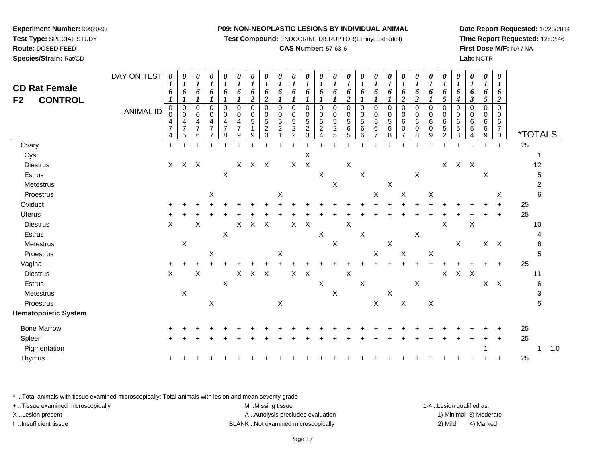**Test Compound:** ENDOCRINE DISRUPTOR(Ethinyl Estradiol)

# **CAS Number:** 57-63-6

**Date Report Requested:** 10/23/2014**Time Report Requested:** 12:02:46**First Dose M/F:** NA / NA**Lab:** NCTR

| <b>CD Rat Female</b><br><b>CONTROL</b><br>F2 | DAY ON TEST<br><b>ANIMAL ID</b> | $\boldsymbol{\theta}$<br>1<br>6<br>$\boldsymbol{l}$<br>0<br>0<br>4<br>$\overline{7}$<br>4 | 0<br>$\boldsymbol{l}$<br>6<br>$\boldsymbol{l}$<br>$\pmb{0}$<br>$\pmb{0}$<br>$\frac{4}{7}$<br>5 | 0<br>$\boldsymbol{l}$<br>6<br>0<br>$\mathbf 0$<br>$\overline{4}$<br>$\overline{7}$<br>$\,6$ | 0<br>$\boldsymbol{l}$<br>6<br>$\boldsymbol{l}$<br>$\pmb{0}$<br>$\boldsymbol{0}$<br>$\overline{4}$<br>$\overline{7}$<br>7 | 0<br>$\boldsymbol{l}$<br>6<br>$\mathbf 0$<br>0<br>$\overline{\mathbf{r}}$<br>$\overline{7}$<br>8 | 0<br>$\boldsymbol{l}$<br>6<br>$\mathbf 0$<br>0<br>4<br>$\overline{7}$<br>9 | 0<br>$\boldsymbol{l}$<br>6<br>$\boldsymbol{2}$<br>$\mathbf 0$<br>0<br>5<br>1<br>9 | 0<br>$\boldsymbol{l}$<br>6<br>$\boldsymbol{2}$<br>$\mathbf 0$<br>0<br>$\mathbf 5$<br>$\overline{c}$<br>$\mathbf 0$ | 0<br>$\boldsymbol{l}$<br>6<br>$\mathbf 0$<br>0<br>5<br>$\boldsymbol{2}$ | 0<br>1<br>6<br>$\mathbf 0$<br>0<br>5<br>$\frac{2}{2}$ | 0<br>6<br>$\mathbf 0$<br>0<br>$\,$ 5 $\,$<br>$\frac{2}{3}$ | 0<br>1<br>6<br>$\mathbf 0$<br>0<br>$\,$ 5 $\,$<br>$\overline{c}$<br>4 | 0<br>6<br>$\mathbf 0$<br>0<br>5<br>$\overline{c}$<br>5 | 0<br>6<br>$\overline{2}$<br>$\mathbf 0$<br>0<br>5<br>$\,6\,$<br>5 | $\boldsymbol{\theta}$<br>$\boldsymbol{l}$<br>6<br>$\mathbf 0$<br>0<br>5<br>$\,6\,$<br>6 | 0<br>$\boldsymbol{l}$<br>6<br>$\mathbf 0$<br>0<br>5<br>6<br>$\overline{7}$ | 0<br>$\boldsymbol{l}$<br>6<br>$\mathbf 0$<br>0<br>5<br>$\,6\,$<br>8 | 0<br>$\boldsymbol{l}$<br>6<br>$\boldsymbol{2}$<br>$\mathbf 0$<br>0<br>6<br>$\mathsf 0$<br>$\overline{7}$ | 0<br>1<br>6<br>$\overline{\mathbf{c}}$<br>$\mathbf 0$<br>0<br>$\,6$<br>$\mathbf 0$<br>8 | 0<br>1<br>6<br>$\mathbf 0$<br>0<br>6<br>0<br>9 | 0<br>$\boldsymbol{l}$<br>6<br>5<br>$\mathbf 0$<br>0<br>6<br>$\mathbf 5$<br>$\overline{c}$ | 0<br>$\boldsymbol{l}$<br>6<br>4<br>$\mathbf 0$<br>0<br>6<br>$\mathbf 5$<br>3 | $\pmb{\theta}$<br>$\boldsymbol{l}$<br>6<br>3<br>0<br>0<br>6<br>$\mathbf 5$<br>4 | 0<br>$\boldsymbol{l}$<br>6<br>5<br>$\mathbf 0$<br>0<br>6<br>6<br>9 | 0<br>$\boldsymbol{l}$<br>6<br>2<br>$\mathbf 0$<br>0<br>6<br>$\overline{7}$<br>$\mathbf 0$ | <i><b>*TOTALS</b></i> |         |
|----------------------------------------------|---------------------------------|-------------------------------------------------------------------------------------------|------------------------------------------------------------------------------------------------|---------------------------------------------------------------------------------------------|--------------------------------------------------------------------------------------------------------------------------|--------------------------------------------------------------------------------------------------|----------------------------------------------------------------------------|-----------------------------------------------------------------------------------|--------------------------------------------------------------------------------------------------------------------|-------------------------------------------------------------------------|-------------------------------------------------------|------------------------------------------------------------|-----------------------------------------------------------------------|--------------------------------------------------------|-------------------------------------------------------------------|-----------------------------------------------------------------------------------------|----------------------------------------------------------------------------|---------------------------------------------------------------------|----------------------------------------------------------------------------------------------------------|-----------------------------------------------------------------------------------------|------------------------------------------------|-------------------------------------------------------------------------------------------|------------------------------------------------------------------------------|---------------------------------------------------------------------------------|--------------------------------------------------------------------|-------------------------------------------------------------------------------------------|-----------------------|---------|
| Ovary                                        |                                 | $+$                                                                                       | $\ddot{}$                                                                                      | $\ddot{}$                                                                                   | $\ddot{}$                                                                                                                | $+$                                                                                              | $\ddot{}$                                                                  | $+$                                                                               | $+$                                                                                                                | $\ddot{}$                                                               | $\ddot{}$                                             | $+$                                                        | $\ddot{}$                                                             | $\ddot{}$                                              | $+$                                                               | $\ddot{}$                                                                               | $\ddot{}$                                                                  | ÷                                                                   | $\ddot{}$                                                                                                | $\ddot{}$                                                                               | $\ddot{}$                                      | $\ddot{}$                                                                                 | $\ddot{}$                                                                    | $+$                                                                             | $\pm$                                                              | $+$                                                                                       | 25                    |         |
| Cyst                                         |                                 |                                                                                           |                                                                                                |                                                                                             |                                                                                                                          |                                                                                                  |                                                                            |                                                                                   |                                                                                                                    |                                                                         |                                                       | $\mathsf X$                                                |                                                                       |                                                        |                                                                   |                                                                                         |                                                                            |                                                                     |                                                                                                          |                                                                                         |                                                |                                                                                           |                                                                              |                                                                                 |                                                                    |                                                                                           |                       |         |
| <b>Diestrus</b>                              |                                 |                                                                                           | X X X                                                                                          |                                                                                             |                                                                                                                          |                                                                                                  | $\mathsf{X}^-$                                                             |                                                                                   | $X$ $X$                                                                                                            |                                                                         | X                                                     | $\boldsymbol{\mathsf{X}}$                                  |                                                                       |                                                        | $\mathsf X$                                                       |                                                                                         |                                                                            |                                                                     |                                                                                                          |                                                                                         |                                                | $\mathsf{X}$                                                                              |                                                                              | $X$ $X$                                                                         |                                                                    |                                                                                           | 12                    |         |
| Estrus                                       |                                 |                                                                                           |                                                                                                |                                                                                             |                                                                                                                          | $\mathsf X$                                                                                      |                                                                            |                                                                                   |                                                                                                                    |                                                                         |                                                       |                                                            | $\boldsymbol{\mathsf{X}}$                                             |                                                        |                                                                   | $\mathsf X$                                                                             |                                                                            |                                                                     |                                                                                                          | $\boldsymbol{\mathsf{X}}$                                                               |                                                |                                                                                           |                                                                              |                                                                                 | $\pmb{\times}$                                                     |                                                                                           | 5                     |         |
| Metestrus                                    |                                 |                                                                                           |                                                                                                |                                                                                             |                                                                                                                          |                                                                                                  |                                                                            |                                                                                   |                                                                                                                    |                                                                         |                                                       |                                                            |                                                                       | X                                                      |                                                                   |                                                                                         |                                                                            | $\mathsf X$                                                         |                                                                                                          |                                                                                         |                                                |                                                                                           |                                                                              |                                                                                 |                                                                    |                                                                                           | 2                     |         |
| Proestrus                                    |                                 |                                                                                           |                                                                                                |                                                                                             | Χ                                                                                                                        |                                                                                                  |                                                                            |                                                                                   |                                                                                                                    | X                                                                       |                                                       |                                                            |                                                                       |                                                        |                                                                   |                                                                                         | X                                                                          |                                                                     | $\boldsymbol{\mathsf{X}}$                                                                                |                                                                                         | $\boldsymbol{\mathsf{X}}$                      |                                                                                           |                                                                              |                                                                                 |                                                                    | X                                                                                         | 6                     |         |
| Oviduct                                      |                                 |                                                                                           |                                                                                                |                                                                                             |                                                                                                                          |                                                                                                  |                                                                            |                                                                                   |                                                                                                                    |                                                                         |                                                       |                                                            |                                                                       |                                                        |                                                                   |                                                                                         |                                                                            |                                                                     |                                                                                                          |                                                                                         |                                                |                                                                                           |                                                                              |                                                                                 |                                                                    |                                                                                           | 25                    |         |
| <b>Uterus</b>                                |                                 |                                                                                           |                                                                                                |                                                                                             |                                                                                                                          |                                                                                                  |                                                                            |                                                                                   |                                                                                                                    |                                                                         |                                                       |                                                            |                                                                       |                                                        |                                                                   |                                                                                         |                                                                            |                                                                     |                                                                                                          |                                                                                         |                                                |                                                                                           |                                                                              |                                                                                 |                                                                    |                                                                                           | 25                    |         |
| <b>Diestrus</b>                              |                                 | $\sf X$                                                                                   |                                                                                                | $\mathsf X$                                                                                 |                                                                                                                          |                                                                                                  | X                                                                          | X                                                                                 | $\mathsf{X}$                                                                                                       |                                                                         | X                                                     | $\boldsymbol{\mathsf{X}}$                                  |                                                                       |                                                        | $\sf X$                                                           |                                                                                         |                                                                            |                                                                     |                                                                                                          |                                                                                         |                                                | X                                                                                         |                                                                              | $\mathsf X$                                                                     |                                                                    |                                                                                           | 10                    |         |
| Estrus                                       |                                 |                                                                                           |                                                                                                |                                                                                             |                                                                                                                          | $\boldsymbol{\mathsf{X}}$                                                                        |                                                                            |                                                                                   |                                                                                                                    |                                                                         |                                                       |                                                            | $\mathsf X$                                                           |                                                        |                                                                   | $\mathsf X$                                                                             |                                                                            |                                                                     |                                                                                                          | $\mathsf X$                                                                             |                                                |                                                                                           |                                                                              |                                                                                 |                                                                    |                                                                                           |                       |         |
| Metestrus                                    |                                 |                                                                                           | X                                                                                              |                                                                                             |                                                                                                                          |                                                                                                  |                                                                            |                                                                                   |                                                                                                                    |                                                                         |                                                       |                                                            |                                                                       | X                                                      |                                                                   |                                                                                         |                                                                            | $\mathsf X$                                                         |                                                                                                          |                                                                                         |                                                |                                                                                           | $\boldsymbol{\mathsf{X}}$                                                    |                                                                                 |                                                                    | $X$ $X$                                                                                   | 6                     |         |
| Proestrus                                    |                                 |                                                                                           |                                                                                                |                                                                                             | X                                                                                                                        |                                                                                                  |                                                                            |                                                                                   |                                                                                                                    | $\mathsf X$                                                             |                                                       |                                                            |                                                                       |                                                        |                                                                   |                                                                                         | $\mathsf X$                                                                |                                                                     | $\mathsf X$                                                                                              |                                                                                         | $\boldsymbol{\mathsf{X}}$                      |                                                                                           |                                                                              |                                                                                 |                                                                    |                                                                                           | 5                     |         |
| Vagina                                       |                                 | $\ddot{}$                                                                                 | $\ddot{}$                                                                                      |                                                                                             |                                                                                                                          |                                                                                                  |                                                                            |                                                                                   |                                                                                                                    |                                                                         |                                                       |                                                            |                                                                       |                                                        |                                                                   |                                                                                         |                                                                            |                                                                     |                                                                                                          |                                                                                         |                                                |                                                                                           |                                                                              |                                                                                 |                                                                    |                                                                                           | 25                    |         |
| <b>Diestrus</b>                              |                                 | $\mathsf X$                                                                               |                                                                                                | $\boldsymbol{\mathsf{X}}$                                                                   |                                                                                                                          |                                                                                                  | X                                                                          | $\mathsf{X}$                                                                      | $\times$                                                                                                           |                                                                         | X                                                     | $\boldsymbol{\mathsf{X}}$                                  |                                                                       |                                                        | X                                                                 |                                                                                         |                                                                            |                                                                     |                                                                                                          |                                                                                         |                                                | X                                                                                         | $\mathsf{X}$                                                                 | $\mathsf{X}$                                                                    |                                                                    |                                                                                           | 11                    |         |
| Estrus                                       |                                 |                                                                                           |                                                                                                |                                                                                             |                                                                                                                          | $\mathsf X$                                                                                      |                                                                            |                                                                                   |                                                                                                                    |                                                                         |                                                       |                                                            | $\boldsymbol{\mathsf{X}}$                                             |                                                        |                                                                   | $\pmb{\times}$                                                                          |                                                                            |                                                                     |                                                                                                          | X                                                                                       |                                                |                                                                                           |                                                                              |                                                                                 |                                                                    | $X$ $X$                                                                                   | 6                     |         |
| Metestrus                                    |                                 |                                                                                           | $\boldsymbol{\mathsf{X}}$                                                                      |                                                                                             |                                                                                                                          |                                                                                                  |                                                                            |                                                                                   |                                                                                                                    |                                                                         |                                                       |                                                            |                                                                       | X                                                      |                                                                   |                                                                                         |                                                                            | $\mathsf X$                                                         |                                                                                                          |                                                                                         |                                                |                                                                                           |                                                                              |                                                                                 |                                                                    |                                                                                           | 3                     |         |
| Proestrus                                    |                                 |                                                                                           |                                                                                                |                                                                                             | X                                                                                                                        |                                                                                                  |                                                                            |                                                                                   |                                                                                                                    | X                                                                       |                                                       |                                                            |                                                                       |                                                        |                                                                   |                                                                                         | $\mathsf X$                                                                |                                                                     | $\mathsf X$                                                                                              |                                                                                         | $\mathsf X$                                    |                                                                                           |                                                                              |                                                                                 |                                                                    |                                                                                           | 5                     |         |
| <b>Hematopoietic System</b>                  |                                 |                                                                                           |                                                                                                |                                                                                             |                                                                                                                          |                                                                                                  |                                                                            |                                                                                   |                                                                                                                    |                                                                         |                                                       |                                                            |                                                                       |                                                        |                                                                   |                                                                                         |                                                                            |                                                                     |                                                                                                          |                                                                                         |                                                |                                                                                           |                                                                              |                                                                                 |                                                                    |                                                                                           |                       |         |
| <b>Bone Marrow</b>                           |                                 |                                                                                           |                                                                                                |                                                                                             |                                                                                                                          |                                                                                                  |                                                                            |                                                                                   |                                                                                                                    |                                                                         |                                                       |                                                            |                                                                       |                                                        |                                                                   |                                                                                         |                                                                            |                                                                     |                                                                                                          |                                                                                         |                                                |                                                                                           |                                                                              |                                                                                 |                                                                    |                                                                                           | 25                    |         |
| Spleen                                       |                                 |                                                                                           |                                                                                                |                                                                                             |                                                                                                                          |                                                                                                  |                                                                            |                                                                                   |                                                                                                                    |                                                                         |                                                       |                                                            |                                                                       |                                                        |                                                                   |                                                                                         |                                                                            |                                                                     |                                                                                                          |                                                                                         |                                                |                                                                                           |                                                                              |                                                                                 |                                                                    |                                                                                           | 25                    |         |
| Pigmentation                                 |                                 |                                                                                           |                                                                                                |                                                                                             |                                                                                                                          |                                                                                                  |                                                                            |                                                                                   |                                                                                                                    |                                                                         |                                                       |                                                            |                                                                       |                                                        |                                                                   |                                                                                         |                                                                            |                                                                     |                                                                                                          |                                                                                         |                                                |                                                                                           |                                                                              |                                                                                 |                                                                    |                                                                                           | $\mathbf{1}$          | $1.0\,$ |
| Thymus                                       |                                 |                                                                                           |                                                                                                |                                                                                             |                                                                                                                          |                                                                                                  |                                                                            |                                                                                   |                                                                                                                    |                                                                         |                                                       |                                                            |                                                                       |                                                        |                                                                   |                                                                                         |                                                                            |                                                                     |                                                                                                          |                                                                                         |                                                |                                                                                           |                                                                              |                                                                                 |                                                                    |                                                                                           | 25                    |         |
|                                              |                                 |                                                                                           |                                                                                                |                                                                                             |                                                                                                                          |                                                                                                  |                                                                            |                                                                                   |                                                                                                                    |                                                                         |                                                       |                                                            |                                                                       |                                                        |                                                                   |                                                                                         |                                                                            |                                                                     |                                                                                                          |                                                                                         |                                                |                                                                                           |                                                                              |                                                                                 |                                                                    |                                                                                           |                       |         |

\* ..Total animals with tissue examined microscopically; Total animals with lesion and mean severity grade

| + Tissue examined microscopically | M Missing tissue                   | 1-4 Lesion qualified as: |                        |
|-----------------------------------|------------------------------------|--------------------------|------------------------|
| X Lesion present                  | A Autolysis precludes evaluation   |                          | 1) Minimal 3) Moderate |
| Insufficient tissue               | BLANK Not examined microscopically | 2) Mild                  | 4) Marked              |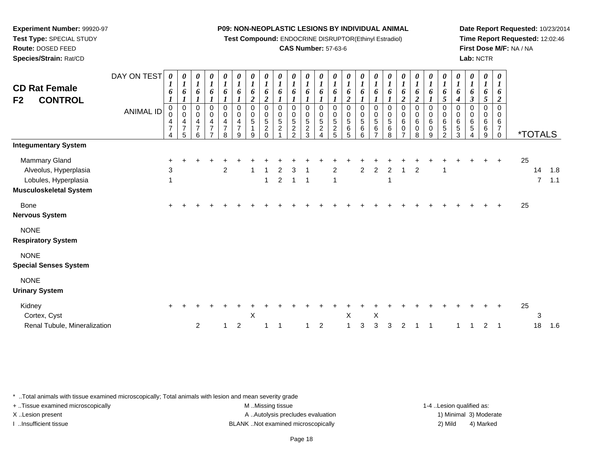**Test Compound:** ENDOCRINE DISRUPTOR(Ethinyl Estradiol)

# **CAS Number:** 57-63-6

**Date Report Requested:** 10/23/2014**Time Report Requested:** 12:02:46**First Dose M/F:** NA / NA**Lab:** NCTR

| <b>CD Rat Female</b><br><b>CONTROL</b><br>F <sub>2</sub>                                                                       | DAY ON TEST<br><b>ANIMAL ID</b> | 0<br>$\boldsymbol{l}$<br>6<br>$\boldsymbol{l}$<br>$\mathbf 0$<br>0<br>4<br>$\overline{7}$<br>4 | 0<br>$\boldsymbol{l}$<br>6<br>$\boldsymbol{l}$<br>$\pmb{0}$<br>$\pmb{0}$<br>4<br>$\overline{7}$<br>5 | 0<br>$\boldsymbol{l}$<br>6<br>$\pmb{0}$<br>$\mathbf 0$<br>4<br>$\overline{7}$<br>6 | 0<br>$\boldsymbol{l}$<br>6<br>$\mathsf 0$<br>$\pmb{0}$<br>4<br>$\overline{7}$ | 0<br>$\boldsymbol{l}$<br>6<br>1<br>0<br>$\pmb{0}$<br>4<br>$\overline{7}$<br>8 | 0<br>$\boldsymbol{l}$<br>6<br>1<br>$\mathbf 0$<br>$\pmb{0}$<br>4<br>$\overline{7}$<br>9 | $\boldsymbol{\theta}$<br>$\boldsymbol{l}$<br>6<br>$\overline{c}$<br>$\pmb{0}$<br>$\pmb{0}$<br>$\sqrt{5}$<br>1<br>9 | $\frac{\theta}{I}$<br>6<br>$\overline{c}$<br>$\mathbf 0$<br>$\mathbf 0$<br>5<br>$\overline{\mathbf{c}}$<br>$\Omega$ | 0<br>$\boldsymbol{l}$<br>6<br>$\pmb{0}$<br>$\mathbf 0$<br>$\sqrt{5}$<br>$\overline{c}$ | 0<br>$\boldsymbol{l}$<br>6<br>$\Omega$<br>0<br>$\sqrt{5}$<br>$\overline{c}$<br>$\mathfrak{p}$ | $\pmb{\theta}$<br>$\boldsymbol{l}$<br>6<br>$\pmb{0}$<br>$\pmb{0}$<br>$\sqrt{5}$<br>$\frac{2}{3}$ | $\frac{\theta}{I}$<br>6<br>0<br>$\mathbf 0$<br>$\sqrt{5}$<br>$\overline{c}$<br>$\overline{A}$ | $\frac{\theta}{I}$<br>6<br>0<br>$\pmb{0}$<br>$\overline{5}$<br>$\frac{2}{5}$ | 0<br>$\boldsymbol{l}$<br>6<br>$\overline{\mathbf{c}}$<br>$\mathbf 0$<br>$\pmb{0}$<br>5<br>6<br>5 | 0<br>$\boldsymbol{l}$<br>6<br>0<br>0<br>5<br>6<br>6 | 0<br>$\boldsymbol{l}$<br>6<br>0<br>0<br>$\sqrt{5}$<br>$\,6$<br>$\overline{ }$ | 0<br>$\boldsymbol{l}$<br>6<br>0<br>$\mathbf 0$<br>5<br>6<br>8 | $\boldsymbol{\theta}$<br>$\boldsymbol{l}$<br>6<br>$\boldsymbol{2}$<br>$\pmb{0}$<br>$\mathbf 0$<br>$\,6$<br>$\mathbf 0$ | 0<br>$\boldsymbol{l}$<br>6<br>$\boldsymbol{2}$<br>$\mathsf 0$<br>$\pmb{0}$<br>6<br>$\pmb{0}$<br>8 | 0<br>$\boldsymbol{l}$<br>6<br>1<br>0<br>$\pmb{0}$<br>$\,6\,$<br>$\pmb{0}$<br>9 | $\pmb{\theta}$<br>$\boldsymbol{l}$<br>6<br>$\sqrt{5}$<br>$\mathbf 0$<br>$\pmb{0}$<br>6<br>5<br>$\overline{2}$ | 0<br>$\boldsymbol{l}$<br>6<br>$\boldsymbol{4}$<br>0<br>0<br>$\,6$<br>5<br>3 | 0<br>$\boldsymbol{l}$<br>6<br>$\boldsymbol{\beta}$<br>$\mathbf 0$<br>$\mathbf 0$<br>6<br>5<br>4 | 0<br>$\boldsymbol{l}$<br>6<br>$\mathfrak{s}$<br>$\mathbf 0$<br>$\mathbf 0$<br>6<br>6<br>9 | $\boldsymbol{\theta}$<br>$\boldsymbol{l}$<br>6<br>$\boldsymbol{2}$<br>$\Omega$<br>$\mathbf 0$<br>6<br>$\boldsymbol{7}$<br>$\mathbf 0$ |    | <i><b>*TOTALS</b></i> |            |
|--------------------------------------------------------------------------------------------------------------------------------|---------------------------------|------------------------------------------------------------------------------------------------|------------------------------------------------------------------------------------------------------|------------------------------------------------------------------------------------|-------------------------------------------------------------------------------|-------------------------------------------------------------------------------|-----------------------------------------------------------------------------------------|--------------------------------------------------------------------------------------------------------------------|---------------------------------------------------------------------------------------------------------------------|----------------------------------------------------------------------------------------|-----------------------------------------------------------------------------------------------|--------------------------------------------------------------------------------------------------|-----------------------------------------------------------------------------------------------|------------------------------------------------------------------------------|--------------------------------------------------------------------------------------------------|-----------------------------------------------------|-------------------------------------------------------------------------------|---------------------------------------------------------------|------------------------------------------------------------------------------------------------------------------------|---------------------------------------------------------------------------------------------------|--------------------------------------------------------------------------------|---------------------------------------------------------------------------------------------------------------|-----------------------------------------------------------------------------|-------------------------------------------------------------------------------------------------|-------------------------------------------------------------------------------------------|---------------------------------------------------------------------------------------------------------------------------------------|----|-----------------------|------------|
| <b>Integumentary System</b><br>Mammary Gland<br>Alveolus, Hyperplasia<br>Lobules, Hyperplasia<br><b>Musculoskeletal System</b> |                                 | $\ddot{}$<br>3<br>1                                                                            |                                                                                                      |                                                                                    |                                                                               | $\overline{2}$                                                                |                                                                                         |                                                                                                                    | 1                                                                                                                   | 2<br>$\overline{c}$                                                                    |                                                                                               |                                                                                                  |                                                                                               | $\overline{2}$<br>1                                                          |                                                                                                  | $\overline{2}$                                      | $\overline{2}$                                                                | $\overline{2}$                                                |                                                                                                                        | $\overline{2}$                                                                                    |                                                                                | 1                                                                                                             |                                                                             |                                                                                                 |                                                                                           |                                                                                                                                       | 25 | 14<br>$\overline{7}$  | 1.8<br>1.1 |
| Bone<br><b>Nervous System</b><br><b>NONE</b>                                                                                   |                                 | $\ddot{}$                                                                                      |                                                                                                      |                                                                                    |                                                                               |                                                                               |                                                                                         |                                                                                                                    |                                                                                                                     |                                                                                        |                                                                                               |                                                                                                  |                                                                                               |                                                                              |                                                                                                  |                                                     |                                                                               |                                                               |                                                                                                                        |                                                                                                   |                                                                                |                                                                                                               |                                                                             |                                                                                                 |                                                                                           |                                                                                                                                       | 25 |                       |            |
| <b>Respiratory System</b><br><b>NONE</b><br><b>Special Senses System</b><br><b>NONE</b>                                        |                                 |                                                                                                |                                                                                                      |                                                                                    |                                                                               |                                                                               |                                                                                         |                                                                                                                    |                                                                                                                     |                                                                                        |                                                                                               |                                                                                                  |                                                                                               |                                                                              |                                                                                                  |                                                     |                                                                               |                                                               |                                                                                                                        |                                                                                                   |                                                                                |                                                                                                               |                                                                             |                                                                                                 |                                                                                           |                                                                                                                                       |    |                       |            |
| <b>Urinary System</b><br>Kidney<br>Cortex, Cyst<br>Renal Tubule, Mineralization                                                |                                 | $\ddot{}$                                                                                      |                                                                                                      | $\overline{2}$                                                                     |                                                                               |                                                                               | $\overline{2}$                                                                          | X                                                                                                                  |                                                                                                                     |                                                                                        |                                                                                               |                                                                                                  | $\overline{c}$                                                                                |                                                                              | X<br>1                                                                                           | 3                                                   | $\mathsf X$<br>3                                                              | 3                                                             | $\mathcal{P}$                                                                                                          |                                                                                                   |                                                                                |                                                                                                               |                                                                             |                                                                                                 | $\overline{c}$                                                                            |                                                                                                                                       | 25 | 3<br>18               | 1.6        |

\* ..Total animals with tissue examined microscopically; Total animals with lesion and mean severity grade

**Experiment Number:** 99920-97**Test Type:** SPECIAL STUDY**Route:** DOSED FEED**Species/Strain:** Rat/CD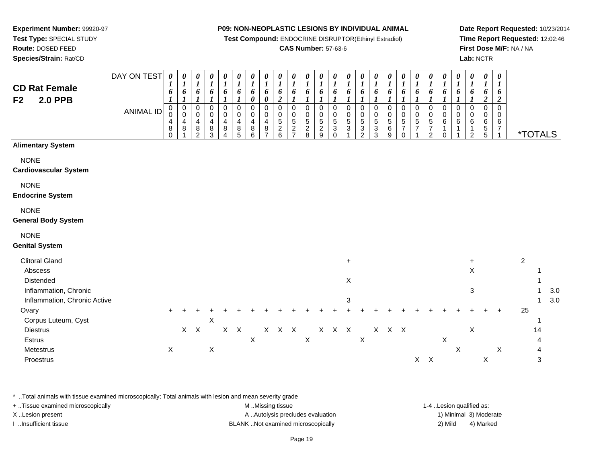**Test Compound:** ENDOCRINE DISRUPTOR(Ethinyl Estradiol)

# **CAS Number:** 57-63-6

**Date Report Requested:** 10/23/2014**Time Report Requested:** 12:02:46**First Dose M/F:** NA / NA**Lab:** NCTR

| Species/Strain: Rat/CD                                                                                                                                                                        |                                 |                                                                             |                                                     |                                                                                                    |                                                     |                                                                           |                                                                                   |                                                                    |                                                                      |                                                                                          |                                                            |                                                                                          |                                                                                |                                                                                          |                                                                              |                                                                              |                                                                                               |                                                                       |                                                                                        |                                                                        |                                                                                                               |                                                                                           |                                                                                     | Lab: NCTR                                                                                          |                                                                                                                     |                                                                                                   |                      |                             |            |
|-----------------------------------------------------------------------------------------------------------------------------------------------------------------------------------------------|---------------------------------|-----------------------------------------------------------------------------|-----------------------------------------------------|----------------------------------------------------------------------------------------------------|-----------------------------------------------------|---------------------------------------------------------------------------|-----------------------------------------------------------------------------------|--------------------------------------------------------------------|----------------------------------------------------------------------|------------------------------------------------------------------------------------------|------------------------------------------------------------|------------------------------------------------------------------------------------------|--------------------------------------------------------------------------------|------------------------------------------------------------------------------------------|------------------------------------------------------------------------------|------------------------------------------------------------------------------|-----------------------------------------------------------------------------------------------|-----------------------------------------------------------------------|----------------------------------------------------------------------------------------|------------------------------------------------------------------------|---------------------------------------------------------------------------------------------------------------|-------------------------------------------------------------------------------------------|-------------------------------------------------------------------------------------|----------------------------------------------------------------------------------------------------|---------------------------------------------------------------------------------------------------------------------|---------------------------------------------------------------------------------------------------|----------------------|-----------------------------|------------|
| <b>CD Rat Female</b><br>F2<br><b>2.0 PPB</b>                                                                                                                                                  | DAY ON TEST<br><b>ANIMAL ID</b> | $\boldsymbol{\theta}$<br>6<br>$\mathbf 0$<br>$\Omega$<br>4<br>8<br>$\Omega$ | $\boldsymbol{\theta}$<br>1<br>6<br>0<br>0<br>4<br>8 | $\boldsymbol{\theta}$<br>$\boldsymbol{I}$<br>6<br>$\mathbf 0$<br>$\mathbf 0$<br>4<br>$\frac{8}{2}$ | 0<br>$\boldsymbol{l}$<br>6<br>0<br>0<br>4<br>$^8_3$ | $\boldsymbol{\theta}$<br>$\bm{l}$<br>6<br>$\mathbf 0$<br>0<br>4<br>8<br>Δ | $\boldsymbol{\theta}$<br>$\boldsymbol{l}$<br>6<br>$\mathbf 0$<br>0<br>4<br>$^8_5$ | 0<br>$\boldsymbol{l}$<br>6<br>0<br>$\mathbf 0$<br>0<br>4<br>8<br>6 | 0<br>$\boldsymbol{l}$<br>6<br>0<br>$\mathbf 0$<br>$\Omega$<br>4<br>8 | 0<br>$\boldsymbol{l}$<br>6<br>$\boldsymbol{2}$<br>$\mathbf 0$<br>0<br>5<br>$\frac{2}{6}$ | 0<br>$\boldsymbol{l}$<br>6<br>0<br>0<br>5<br>$\frac{2}{7}$ | 0<br>$\boldsymbol{l}$<br>6<br>$\boldsymbol{l}$<br>0<br>0<br>$\,$ 5 $\,$<br>$\frac{2}{8}$ | 0<br>$\boldsymbol{l}$<br>6<br>$\boldsymbol{l}$<br>0<br>0<br>5<br>$\frac{2}{9}$ | $\boldsymbol{\theta}$<br>$\boldsymbol{l}$<br>6<br>$\mathbf 0$<br>0<br>5<br>3<br>$\Omega$ | $\boldsymbol{\theta}$<br>$\boldsymbol{I}$<br>6<br>$\mathbf 0$<br>0<br>5<br>3 | 0<br>$\boldsymbol{l}$<br>6<br>$\pmb{0}$<br>0<br>$\,$ 5 $\,$<br>$\frac{3}{2}$ | $\boldsymbol{\theta}$<br>$\boldsymbol{l}$<br>6<br>1<br>$\mathbf 0$<br>0<br>5<br>$\frac{3}{3}$ | 0<br>$\boldsymbol{l}$<br>6<br>$\pmb{0}$<br>0<br>$\mathbf 5$<br>$^6_9$ | 0<br>$\boldsymbol{l}$<br>6<br>0<br>0<br>$\,$ 5 $\,$<br>$\boldsymbol{7}$<br>$\mathbf 0$ | 0<br>$\boldsymbol{l}$<br>6<br>0<br>0<br>$\sqrt{5}$<br>$\boldsymbol{7}$ | 0<br>$\boldsymbol{l}$<br>6<br>1<br>$\pmb{0}$<br>$\mathbf 0$<br>$\sqrt{5}$<br>$\overline{7}$<br>$\overline{2}$ | $\boldsymbol{\theta}$<br>$\boldsymbol{l}$<br>6<br>$\pmb{0}$<br>0<br>6<br>1<br>$\mathbf 0$ | $\boldsymbol{\theta}$<br>$\boldsymbol{l}$<br>6<br>$\mathbf 0$<br>$\Omega$<br>6<br>1 | $\boldsymbol{\theta}$<br>$\boldsymbol{l}$<br>6<br>$\mathbf 0$<br>$\Omega$<br>6<br>$\mathbf 1$<br>2 | $\boldsymbol{\theta}$<br>$\boldsymbol{l}$<br>6<br>$\boldsymbol{2}$<br>$\mathbf 0$<br>$\Omega$<br>6<br>$\frac{5}{5}$ | 0<br>$\boldsymbol{l}$<br>6<br>$\boldsymbol{2}$<br>$\overline{0}$<br>0<br>6<br>7<br>$\overline{1}$ |                      | <i><b>*TOTALS</b></i>       |            |
| <b>Alimentary System</b><br><b>NONE</b><br>Cardiovascular System                                                                                                                              |                                 |                                                                             |                                                     |                                                                                                    |                                                     |                                                                           |                                                                                   |                                                                    |                                                                      |                                                                                          |                                                            |                                                                                          |                                                                                |                                                                                          |                                                                              |                                                                              |                                                                                               |                                                                       |                                                                                        |                                                                        |                                                                                                               |                                                                                           |                                                                                     |                                                                                                    |                                                                                                                     |                                                                                                   |                      |                             |            |
| <b>NONE</b><br><b>Endocrine System</b>                                                                                                                                                        |                                 |                                                                             |                                                     |                                                                                                    |                                                     |                                                                           |                                                                                   |                                                                    |                                                                      |                                                                                          |                                                            |                                                                                          |                                                                                |                                                                                          |                                                                              |                                                                              |                                                                                               |                                                                       |                                                                                        |                                                                        |                                                                                                               |                                                                                           |                                                                                     |                                                                                                    |                                                                                                                     |                                                                                                   |                      |                             |            |
| <b>NONE</b><br><b>General Body System</b>                                                                                                                                                     |                                 |                                                                             |                                                     |                                                                                                    |                                                     |                                                                           |                                                                                   |                                                                    |                                                                      |                                                                                          |                                                            |                                                                                          |                                                                                |                                                                                          |                                                                              |                                                                              |                                                                                               |                                                                       |                                                                                        |                                                                        |                                                                                                               |                                                                                           |                                                                                     |                                                                                                    |                                                                                                                     |                                                                                                   |                      |                             |            |
| <b>NONE</b><br><b>Genital System</b>                                                                                                                                                          |                                 |                                                                             |                                                     |                                                                                                    |                                                     |                                                                           |                                                                                   |                                                                    |                                                                      |                                                                                          |                                                            |                                                                                          |                                                                                |                                                                                          |                                                                              |                                                                              |                                                                                               |                                                                       |                                                                                        |                                                                        |                                                                                                               |                                                                                           |                                                                                     |                                                                                                    |                                                                                                                     |                                                                                                   |                      |                             |            |
| <b>Clitoral Gland</b><br>Abscess<br>Distended<br>Inflammation, Chronic<br>Inflammation, Chronic Active<br>Ovary<br>Corpus Luteum, Cyst<br><b>Diestrus</b><br>Estrus<br>Metestrus<br>Proestrus |                                 | $\mathsf X$                                                                 |                                                     | $X$ $X$                                                                                            | $\mathsf X$<br>$\boldsymbol{\mathsf{X}}$            |                                                                           | $X$ $X$                                                                           | X                                                                  |                                                                      | X X X                                                                                    |                                                            | $\mathsf X$                                                                              |                                                                                | X X X                                                                                    | $\ddot{}$<br>$\boldsymbol{X}$<br>3                                           | $\boldsymbol{\mathsf{X}}$                                                    |                                                                                               | X X X                                                                 |                                                                                        |                                                                        | $X$ $X$                                                                                                       | $\boldsymbol{\mathsf{X}}$                                                                 | X                                                                                   | $+$<br>$\mathsf X$<br>$\mathbf{3}$<br>$\boldsymbol{\mathsf{X}}$                                    | $\mathsf X$                                                                                                         | $\ddot{}$<br>$\mathsf X$                                                                          | $\overline{c}$<br>25 | 1<br>1<br>1<br>1<br>14<br>3 | 3.0<br>3.0 |
|                                                                                                                                                                                               |                                 |                                                                             |                                                     |                                                                                                    |                                                     |                                                                           |                                                                                   |                                                                    |                                                                      |                                                                                          |                                                            |                                                                                          |                                                                                |                                                                                          |                                                                              |                                                                              |                                                                                               |                                                                       |                                                                                        |                                                                        |                                                                                                               |                                                                                           |                                                                                     |                                                                                                    |                                                                                                                     |                                                                                                   |                      |                             |            |

\* ..Total animals with tissue examined microscopically; Total animals with lesion and mean severity grade

**Experiment Number:** 99920-97**Test Type:** SPECIAL STUDY**Route:** DOSED FEED

| + Tissue examined microscopically | M Missing tissue                   | 1-4 Lesion qualified as: |                        |
|-----------------------------------|------------------------------------|--------------------------|------------------------|
| X Lesion present                  | A Autolysis precludes evaluation   |                          | 1) Minimal 3) Moderate |
| Insufficient tissue               | BLANK Not examined microscopically | 2) Mild                  | 4) Marked              |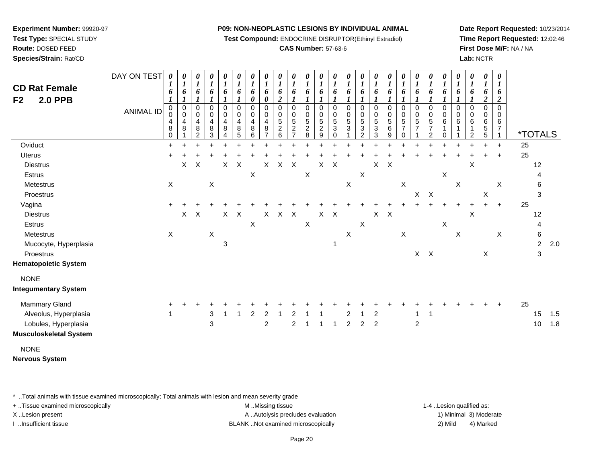**Test Compound:** ENDOCRINE DISRUPTOR(Ethinyl Estradiol)

## **CAS Number:** 57-63-6

**Date Report Requested:** 10/23/2014**Time Report Requested:** 12:02:46**First Dose M/F:** NA / NA**Lab:** NCTR

| <b>CD Rat Female</b>        | DAY ON TEST      | 0<br>6                        | 0<br>$\boldsymbol{l}$<br>6                                          | $\frac{\theta}{I}$<br>6                         | 0<br>$\boldsymbol{l}$<br>6                                            | 0<br>$\boldsymbol{l}$<br>6               | 0<br>$\boldsymbol{l}$<br>6                                                        | $\boldsymbol{\theta}$<br>$\boldsymbol{l}$<br>6         | 0<br>$\boldsymbol{l}$<br>6 | $\boldsymbol{\theta}$<br>$\boldsymbol{l}$<br>6                            | 0<br>$\boldsymbol{l}$<br>6                                   | 0<br>$\boldsymbol{l}$<br>6                   | 0<br>$\boldsymbol{l}$<br>6                                                            | 0<br>$\boldsymbol{l}$<br>6                                              | 0<br>$\boldsymbol{l}$<br>6                                                | 0<br>$\boldsymbol{l}$<br>6                                              | 0<br>$\boldsymbol{l}$<br>6      | 0<br>$\boldsymbol{l}$<br>6                    | 0<br>$\boldsymbol{l}$<br>6                                                             | 0<br>$\boldsymbol{l}$<br>6                                   | 0<br>$\boldsymbol{l}$<br>6                           | 0<br>$\boldsymbol{l}$<br>6 | 0<br>$\boldsymbol{l}$<br>6 | $\boldsymbol{\theta}$<br>$\boldsymbol{l}$<br>6 | 0<br>1<br>6                               | $\boldsymbol{\theta}$<br>1<br>6                |    |                       |     |
|-----------------------------|------------------|-------------------------------|---------------------------------------------------------------------|-------------------------------------------------|-----------------------------------------------------------------------|------------------------------------------|-----------------------------------------------------------------------------------|--------------------------------------------------------|----------------------------|---------------------------------------------------------------------------|--------------------------------------------------------------|----------------------------------------------|---------------------------------------------------------------------------------------|-------------------------------------------------------------------------|---------------------------------------------------------------------------|-------------------------------------------------------------------------|---------------------------------|-----------------------------------------------|----------------------------------------------------------------------------------------|--------------------------------------------------------------|------------------------------------------------------|----------------------------|----------------------------|------------------------------------------------|-------------------------------------------|------------------------------------------------|----|-----------------------|-----|
| F2<br><b>2.0 PPB</b>        | <b>ANIMAL ID</b> | 1<br>$\pmb{0}$<br>4<br>8<br>0 | $\boldsymbol{l}$<br>$\pmb{0}$<br>$\mathsf 0$<br>$\overline{4}$<br>8 | 0<br>0<br>$\overline{4}$<br>8<br>$\overline{2}$ | $\boldsymbol{l}$<br>0<br>0<br>$\overline{\mathbf{4}}$<br>$\bf 8$<br>3 | 1<br>0<br>$\,0\,$<br>$\overline{4}$<br>8 | $\boldsymbol{l}$<br>$\mathbf 0$<br>$\pmb{0}$<br>$\overline{\mathbf{4}}$<br>8<br>5 | $\boldsymbol{\theta}$<br>$\pmb{0}$<br>0<br>4<br>8<br>6 | 0<br>0<br>0<br>4<br>8      | $\boldsymbol{2}$<br>$\mathbf 0$<br>0<br>$\sqrt{5}$<br>$\overline{c}$<br>6 | 1<br>$\pmb{0}$<br>$\pmb{0}$<br>$\,$ 5 $\,$<br>$\overline{c}$ | 0<br>0<br>$\,$ 5 $\,$<br>$\overline{c}$<br>8 | $\boldsymbol{l}$<br>0<br>$\begin{array}{c} 0 \\ 5 \end{array}$<br>$\overline{c}$<br>9 | $\boldsymbol{l}$<br>$\pmb{0}$<br>$\,0\,$<br>$\sqrt{5}$<br>3<br>$\Omega$ | $\boldsymbol{l}$<br>$\mathbf 0$<br>$\pmb{0}$<br>$\,$ 5 $\,$<br>$\sqrt{3}$ | $\pmb{0}$<br>$\pmb{0}$<br>$\,$ 5 $\,$<br>$\mathbf{3}$<br>$\overline{2}$ | 0<br>0<br>$\,$ 5 $\,$<br>3<br>3 | $\mathbf 0$<br>0<br>$\mathbf 5$<br>$\,6$<br>9 | $\pmb{0}$<br>$\begin{smallmatrix}0\0\5\end{smallmatrix}$<br>$\overline{7}$<br>$\Omega$ | 0<br>$\begin{array}{c} 0 \\ 5 \end{array}$<br>$\overline{7}$ | 0<br>$\pmb{0}$<br>$\,$ 5 $\,$<br>$\overline{7}$<br>2 | 0<br>0<br>$\,6$<br>1<br>0  | 0<br>0<br>6                | 0<br>0<br>6<br>1<br>2                          | $\boldsymbol{2}$<br>0<br>0<br>6<br>5<br>5 | $\boldsymbol{2}$<br>$\mathsf 0$<br>0<br>6<br>7 |    | <i><b>*TOTALS</b></i> |     |
| Oviduct                     |                  | $\ddot{}$                     |                                                                     |                                                 |                                                                       |                                          |                                                                                   |                                                        |                            |                                                                           |                                                              |                                              |                                                                                       |                                                                         |                                                                           |                                                                         |                                 |                                               |                                                                                        |                                                              |                                                      |                            |                            |                                                |                                           | $\ddot{}$                                      | 25 |                       |     |
| <b>Uterus</b>               |                  |                               |                                                                     |                                                 |                                                                       |                                          |                                                                                   |                                                        |                            |                                                                           |                                                              |                                              |                                                                                       |                                                                         |                                                                           |                                                                         |                                 |                                               |                                                                                        |                                                              |                                                      |                            |                            |                                                |                                           | ÷                                              | 25 |                       |     |
| <b>Diestrus</b>             |                  |                               | X                                                                   | X                                               |                                                                       | $\mathsf{X}$                             | $\boldsymbol{\mathsf{X}}$                                                         |                                                        | X                          | X                                                                         | $\boldsymbol{X}$                                             |                                              | X                                                                                     | $\boldsymbol{X}$                                                        |                                                                           |                                                                         | X                               | $\boldsymbol{\mathsf{X}}$                     |                                                                                        |                                                              |                                                      |                            |                            | $\boldsymbol{\mathsf{X}}$                      |                                           |                                                |    | 12                    |     |
| Estrus                      |                  |                               |                                                                     |                                                 |                                                                       |                                          |                                                                                   | X                                                      |                            |                                                                           |                                                              | Χ                                            |                                                                                       |                                                                         |                                                                           | $\mathsf X$                                                             |                                 |                                               |                                                                                        |                                                              |                                                      | X                          |                            |                                                |                                           |                                                |    |                       |     |
| Metestrus                   |                  | $\mathsf X$                   |                                                                     |                                                 | $\mathsf X$                                                           |                                          |                                                                                   |                                                        |                            |                                                                           |                                                              |                                              |                                                                                       |                                                                         | Χ                                                                         |                                                                         |                                 |                                               | $\mathsf X$                                                                            |                                                              |                                                      |                            | X                          |                                                |                                           | $\mathsf X$                                    |    | 6                     |     |
| Proestrus                   |                  |                               |                                                                     |                                                 |                                                                       |                                          |                                                                                   |                                                        |                            |                                                                           |                                                              |                                              |                                                                                       |                                                                         |                                                                           |                                                                         |                                 |                                               |                                                                                        |                                                              | $X$ $X$                                              |                            |                            |                                                | X                                         |                                                |    | 3                     |     |
| Vagina                      |                  |                               |                                                                     |                                                 |                                                                       |                                          |                                                                                   |                                                        |                            |                                                                           |                                                              |                                              |                                                                                       |                                                                         |                                                                           |                                                                         |                                 |                                               |                                                                                        | $\ddot{}$                                                    |                                                      |                            |                            |                                                | $+$                                       | $+$                                            | 25 |                       |     |
| <b>Diestrus</b>             |                  |                               | $\mathsf{X}$                                                        | X                                               |                                                                       | $\mathsf{X}$                             | $\boldsymbol{\mathsf{X}}$                                                         |                                                        | X                          | $\mathsf{X}$                                                              | $\boldsymbol{\mathsf{X}}$                                    |                                              | X                                                                                     | $\mathsf{X}$                                                            |                                                                           |                                                                         | X                               | X                                             |                                                                                        |                                                              |                                                      |                            |                            | X                                              |                                           |                                                |    | 12                    |     |
| Estrus                      |                  |                               |                                                                     |                                                 |                                                                       |                                          |                                                                                   | $\mathsf X$                                            |                            |                                                                           |                                                              | $\mathsf X$                                  |                                                                                       |                                                                         |                                                                           | $\mathsf X$                                                             |                                 |                                               |                                                                                        |                                                              |                                                      | $\mathsf X$                |                            |                                                |                                           |                                                |    |                       |     |
| Metestrus                   |                  | $\mathsf X$                   |                                                                     |                                                 | X                                                                     |                                          |                                                                                   |                                                        |                            |                                                                           |                                                              |                                              |                                                                                       |                                                                         | X                                                                         |                                                                         |                                 |                                               | $\mathsf X$                                                                            |                                                              |                                                      |                            | $\pmb{\times}$             |                                                |                                           | $\mathsf X$                                    |    | $\,6$                 |     |
| Mucocyte, Hyperplasia       |                  |                               |                                                                     |                                                 |                                                                       | 3                                        |                                                                                   |                                                        |                            |                                                                           |                                                              |                                              |                                                                                       | 1                                                                       |                                                                           |                                                                         |                                 |                                               |                                                                                        |                                                              |                                                      |                            |                            |                                                |                                           |                                                |    | $\overline{c}$        | 2.0 |
| Proestrus                   |                  |                               |                                                                     |                                                 |                                                                       |                                          |                                                                                   |                                                        |                            |                                                                           |                                                              |                                              |                                                                                       |                                                                         |                                                                           |                                                                         |                                 |                                               |                                                                                        |                                                              | $X$ $X$                                              |                            |                            |                                                | X                                         |                                                |    | 3                     |     |
| <b>Hematopoietic System</b> |                  |                               |                                                                     |                                                 |                                                                       |                                          |                                                                                   |                                                        |                            |                                                                           |                                                              |                                              |                                                                                       |                                                                         |                                                                           |                                                                         |                                 |                                               |                                                                                        |                                                              |                                                      |                            |                            |                                                |                                           |                                                |    |                       |     |
| <b>NONE</b>                 |                  |                               |                                                                     |                                                 |                                                                       |                                          |                                                                                   |                                                        |                            |                                                                           |                                                              |                                              |                                                                                       |                                                                         |                                                                           |                                                                         |                                 |                                               |                                                                                        |                                                              |                                                      |                            |                            |                                                |                                           |                                                |    |                       |     |
| <b>Integumentary System</b> |                  |                               |                                                                     |                                                 |                                                                       |                                          |                                                                                   |                                                        |                            |                                                                           |                                                              |                                              |                                                                                       |                                                                         |                                                                           |                                                                         |                                 |                                               |                                                                                        |                                                              |                                                      |                            |                            |                                                |                                           |                                                |    |                       |     |
| Mammary Gland               |                  |                               |                                                                     |                                                 |                                                                       |                                          |                                                                                   |                                                        |                            |                                                                           |                                                              |                                              |                                                                                       |                                                                         |                                                                           |                                                                         |                                 |                                               |                                                                                        |                                                              |                                                      |                            |                            |                                                |                                           | $\ddot{}$                                      | 25 |                       |     |
| Alveolus, Hyperplasia       |                  | 1                             |                                                                     |                                                 | 3                                                                     |                                          |                                                                                   | $\overline{c}$                                         | 2                          |                                                                           | $\overline{c}$                                               |                                              |                                                                                       |                                                                         | $\overline{c}$                                                            |                                                                         | 2                               |                                               |                                                                                        | 1                                                            | $\mathbf 1$                                          |                            |                            |                                                |                                           |                                                |    | 15                    | 1.5 |
| Lobules, Hyperplasia        |                  |                               |                                                                     |                                                 | $\mathbf{3}$                                                          |                                          |                                                                                   |                                                        | $\overline{c}$             |                                                                           | $\boldsymbol{2}$                                             | 1                                            |                                                                                       | 1                                                                       | $\overline{c}$                                                            | $\overline{c}$                                                          | $\overline{2}$                  |                                               |                                                                                        | $\overline{c}$                                               |                                                      |                            |                            |                                                |                                           |                                                |    | 10                    | 1.8 |
| Musculoskeletal System      |                  |                               |                                                                     |                                                 |                                                                       |                                          |                                                                                   |                                                        |                            |                                                                           |                                                              |                                              |                                                                                       |                                                                         |                                                                           |                                                                         |                                 |                                               |                                                                                        |                                                              |                                                      |                            |                            |                                                |                                           |                                                |    |                       |     |
| <b>NONE</b>                 |                  |                               |                                                                     |                                                 |                                                                       |                                          |                                                                                   |                                                        |                            |                                                                           |                                                              |                                              |                                                                                       |                                                                         |                                                                           |                                                                         |                                 |                                               |                                                                                        |                                                              |                                                      |                            |                            |                                                |                                           |                                                |    |                       |     |
| Nervous System              |                  |                               |                                                                     |                                                 |                                                                       |                                          |                                                                                   |                                                        |                            |                                                                           |                                                              |                                              |                                                                                       |                                                                         |                                                                           |                                                                         |                                 |                                               |                                                                                        |                                                              |                                                      |                            |                            |                                                |                                           |                                                |    |                       |     |

\* ..Total animals with tissue examined microscopically; Total animals with lesion and mean severity grade

**Experiment Number:** 99920-97**Test Type:** SPECIAL STUDY**Route:** DOSED FEED**Species/Strain:** Rat/CD

+ ..Tissue examined microscopically examined microscopically examined as:  $M$  ..Missing tissue 1-4 ..Lesion qualified as: X..Lesion present **A ..Autolysis precludes evaluation** A ..Autolysis precludes evaluation 1) Minimal 3) Moderate

I ..Insufficient tissue BLANK ..Not examined microscopically 2) Mild 4) Marked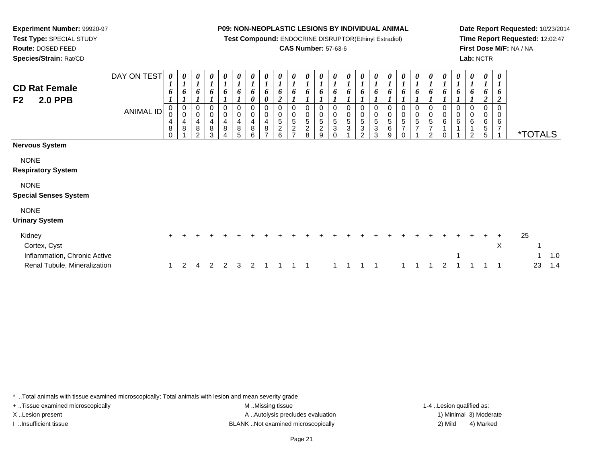**Test Compound:** ENDOCRINE DISRUPTOR(Ethinyl Estradiol)

# **CAS Number:** 57-63-6

<sup>1</sup> <sup>2</sup> <sup>4</sup> <sup>2</sup> <sup>2</sup> <sup>3</sup> <sup>2</sup> <sup>1</sup> <sup>1</sup> <sup>1</sup> <sup>1</sup> <sup>1</sup> <sup>1</sup> <sup>1</sup> <sup>1</sup> <sup>1</sup> <sup>1</sup> <sup>1</sup> <sup>2</sup> <sup>1</sup> <sup>1</sup> <sup>1</sup> <sup>1</sup> <sup>23</sup> 1.4

**Date Report Requested:** 10/23/2014**Time Report Requested:** 12:02:47**First Dose M/F:** NA / NA**Lab:** NCTR

| <b>CD Rat Female</b><br><b>2.0 PPB</b><br>F <sub>2</sub> | DAY ON TEST<br>ANIMAL ID | $\boldsymbol{\theta}$<br>$\boldsymbol{I}$<br>6<br>$\boldsymbol{0}$<br>0<br>4<br>$\bf 8$<br>$\Omega$ | $\mathbf{I}$<br>$\boldsymbol{0}$<br>$\boldsymbol{0}$<br>4<br>8 | 0<br>6<br>0<br>$\pmb{0}$<br>$\overline{\mathbf{4}}$<br>$\bf 8$<br>$\overline{2}$ | 0<br>6<br>0<br>$\pmb{0}$<br>4<br>8<br>3 | 0<br>1<br>6<br>0<br>0<br>4<br>8<br>4 | $\pmb{\theta}$<br>$\boldsymbol{l}$<br>6<br>0<br>$\mathbf 0$<br>$\overline{4}$<br>8<br>5 | 0<br>6<br>0<br>0<br>$\pmb{0}$<br>4<br>8<br>6 | 0<br>6<br>0<br>$\pmb{0}$<br>4<br>8<br>⇁ | 0<br>6<br>ി<br>0<br>$\overline{5}$<br>$\overline{c}$<br>6 | 0<br>6<br>$\pmb{0}$<br>$\overline{5}$<br>$\overline{c}$ | 0<br>$\boldsymbol{l}$<br>6<br>0<br>$\begin{smallmatrix}0\0\5\end{smallmatrix}$<br>$\overline{c}$<br>8 | 0<br>6<br>$\pmb{0}$<br>$\sqrt{5}$<br>$\overline{c}$<br>9 | 0<br>1<br>6<br>$\pmb{0}$<br>$\sqrt{5}$<br>3<br>0 | $\boldsymbol{\theta}$<br>6<br>0<br>$\pmb{0}$<br>$\sqrt{5}$<br>$\ensuremath{\mathsf{3}}$ | $\boldsymbol{\theta}$<br>6<br>0<br>$\pmb{0}$<br>5<br>3<br>2 | 0<br>$\mathbf{I}$<br>6<br>0<br>$\pmb{0}$<br>$\,$ 5 $\,$<br>$\ensuremath{\mathsf{3}}$<br>3 | 1<br>$\pmb{0}$<br>5<br>6<br>9 | 0<br>6<br>0<br>$\pmb{0}$<br>5<br>$\overline{7}$<br>0 | 0<br>6<br>0<br>0<br>5<br>$\overline{7}$ | 0<br>6<br>0<br>0<br>$\sqrt{5}$<br>$\overline{7}$<br>2 | $\boldsymbol{\theta}$<br>$\boldsymbol{l}$<br>6<br>0<br>$\pmb{0}$<br>$\,6\,$<br>1<br>$\Omega$ | 0<br>6<br>0<br>0<br>$\,6\,$ | $\boldsymbol{\theta}$<br>$\mathbf{I}$<br>6<br>0<br>6<br>2 | 0<br>$\mathbf{I}$<br>0<br>6<br>5<br>5 | $\boldsymbol{\theta}$<br>6<br>2<br>$\Omega$<br>0<br>6<br>$\overline{7}$ |    | <i><b>*TOTALS</b></i> |     |
|----------------------------------------------------------|--------------------------|-----------------------------------------------------------------------------------------------------|----------------------------------------------------------------|----------------------------------------------------------------------------------|-----------------------------------------|--------------------------------------|-----------------------------------------------------------------------------------------|----------------------------------------------|-----------------------------------------|-----------------------------------------------------------|---------------------------------------------------------|-------------------------------------------------------------------------------------------------------|----------------------------------------------------------|--------------------------------------------------|-----------------------------------------------------------------------------------------|-------------------------------------------------------------|-------------------------------------------------------------------------------------------|-------------------------------|------------------------------------------------------|-----------------------------------------|-------------------------------------------------------|----------------------------------------------------------------------------------------------|-----------------------------|-----------------------------------------------------------|---------------------------------------|-------------------------------------------------------------------------|----|-----------------------|-----|
| <b>Nervous System</b>                                    |                          |                                                                                                     |                                                                |                                                                                  |                                         |                                      |                                                                                         |                                              |                                         |                                                           |                                                         |                                                                                                       |                                                          |                                                  |                                                                                         |                                                             |                                                                                           |                               |                                                      |                                         |                                                       |                                                                                              |                             |                                                           |                                       |                                                                         |    |                       |     |
| <b>NONE</b>                                              |                          |                                                                                                     |                                                                |                                                                                  |                                         |                                      |                                                                                         |                                              |                                         |                                                           |                                                         |                                                                                                       |                                                          |                                                  |                                                                                         |                                                             |                                                                                           |                               |                                                      |                                         |                                                       |                                                                                              |                             |                                                           |                                       |                                                                         |    |                       |     |
| <b>Respiratory System</b>                                |                          |                                                                                                     |                                                                |                                                                                  |                                         |                                      |                                                                                         |                                              |                                         |                                                           |                                                         |                                                                                                       |                                                          |                                                  |                                                                                         |                                                             |                                                                                           |                               |                                                      |                                         |                                                       |                                                                                              |                             |                                                           |                                       |                                                                         |    |                       |     |
| <b>NONE</b>                                              |                          |                                                                                                     |                                                                |                                                                                  |                                         |                                      |                                                                                         |                                              |                                         |                                                           |                                                         |                                                                                                       |                                                          |                                                  |                                                                                         |                                                             |                                                                                           |                               |                                                      |                                         |                                                       |                                                                                              |                             |                                                           |                                       |                                                                         |    |                       |     |
| <b>Special Senses System</b>                             |                          |                                                                                                     |                                                                |                                                                                  |                                         |                                      |                                                                                         |                                              |                                         |                                                           |                                                         |                                                                                                       |                                                          |                                                  |                                                                                         |                                                             |                                                                                           |                               |                                                      |                                         |                                                       |                                                                                              |                             |                                                           |                                       |                                                                         |    |                       |     |
| <b>NONE</b>                                              |                          |                                                                                                     |                                                                |                                                                                  |                                         |                                      |                                                                                         |                                              |                                         |                                                           |                                                         |                                                                                                       |                                                          |                                                  |                                                                                         |                                                             |                                                                                           |                               |                                                      |                                         |                                                       |                                                                                              |                             |                                                           |                                       |                                                                         |    |                       |     |
| <b>Urinary System</b>                                    |                          |                                                                                                     |                                                                |                                                                                  |                                         |                                      |                                                                                         |                                              |                                         |                                                           |                                                         |                                                                                                       |                                                          |                                                  |                                                                                         |                                                             |                                                                                           |                               |                                                      |                                         |                                                       |                                                                                              |                             |                                                           |                                       |                                                                         |    |                       |     |
| Kidney                                                   |                          | +                                                                                                   |                                                                |                                                                                  |                                         |                                      |                                                                                         |                                              |                                         |                                                           |                                                         |                                                                                                       |                                                          |                                                  |                                                                                         |                                                             |                                                                                           |                               |                                                      |                                         |                                                       |                                                                                              |                             |                                                           |                                       | $\pm$                                                                   | 25 |                       |     |
| Cortex, Cyst                                             |                          |                                                                                                     |                                                                |                                                                                  |                                         |                                      |                                                                                         |                                              |                                         |                                                           |                                                         |                                                                                                       |                                                          |                                                  |                                                                                         |                                                             |                                                                                           |                               |                                                      |                                         |                                                       |                                                                                              |                             |                                                           |                                       | X                                                                       |    |                       |     |
| Inflammation, Chronic Active                             |                          |                                                                                                     |                                                                |                                                                                  |                                         |                                      |                                                                                         |                                              |                                         |                                                           |                                                         |                                                                                                       |                                                          |                                                  |                                                                                         |                                                             |                                                                                           |                               |                                                      |                                         |                                                       |                                                                                              |                             |                                                           |                                       |                                                                         |    |                       | 1.0 |

\* ..Total animals with tissue examined microscopically; Total animals with lesion and mean severity grade

Renal Tubule, Mineralization

**Experiment Number:** 99920-97**Test Type:** SPECIAL STUDY**Route:** DOSED FEED**Species/Strain:** Rat/CD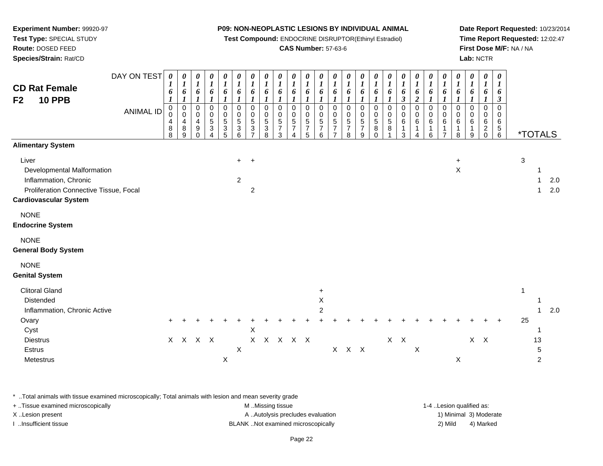**Test Compound:** ENDOCRINE DISRUPTOR(Ethinyl Estradiol)

# **CAS Number:** 57-63-6

**Date Report Requested:** 10/23/2014**Time Report Requested:** 12:02:47**First Dose M/F:** NA / NA**Lab:** NCTR

| <b>CD Rat Female</b><br><b>10 PPB</b><br>F <sub>2</sub>                                                                                | DAY ON TEST<br><b>ANIMAL ID</b> | 0<br>$\boldsymbol{l}$<br>6<br>$\boldsymbol{l}$<br>0<br>0<br>4<br>$\bf 8$<br>8 | 0<br>$\boldsymbol{I}$<br>6<br>$\boldsymbol{l}$<br>0<br>$\mathbf 0$<br>4<br>8<br>9 | $\frac{\boldsymbol{0}}{\boldsymbol{1}}$<br>6<br>$\boldsymbol{l}$<br>$\,0\,$<br>$\pmb{0}$<br>4<br>9<br>$\Omega$ | $\boldsymbol{\theta}$<br>$\boldsymbol{l}$<br>$\boldsymbol{6}$<br>$\boldsymbol{I}$<br>$\pmb{0}$<br>$\mathbf 0$<br>$\overline{5}$<br>$\sqrt{3}$<br>4 | 0<br>$\boldsymbol{l}$<br>6<br>$\boldsymbol{l}$<br>0<br>$\pmb{0}$<br>5<br>$\ensuremath{\mathsf{3}}$<br>5 | 0<br>$\boldsymbol{l}$<br>6<br>$\boldsymbol{l}$<br>0<br>$\mathbf 0$<br>$\overline{5}$<br>$\sqrt{3}$<br>6 | 0<br>$\boldsymbol{I}$<br>6<br>1<br>0<br>0<br>$\sqrt{5}$<br>3<br>7 | $\pmb{\theta}$<br>$\boldsymbol{l}$<br>6<br>$\boldsymbol{l}$<br>$\mathbf 0$<br>0<br>$5\,$<br>$\ensuremath{\mathsf{3}}$<br>8 | $\pmb{\theta}$<br>$\boldsymbol{\mathit{1}}$<br>6<br>$\boldsymbol{l}$<br>0<br>$\mathbf 0$<br>$\sqrt{5}$<br>$\overline{7}$<br>3 | 0<br>$\boldsymbol{l}$<br>6<br>1<br>$\pmb{0}$<br>$\pmb{0}$<br>$\frac{5}{7}$<br>4 | 0<br>$\boldsymbol{l}$<br>6<br>$\boldsymbol{I}$<br>$\mathbf 0$<br>$\mathbf 0$<br>$\overline{5}$<br>$\overline{7}$<br>5 | 0<br>$\boldsymbol{\mathit{1}}$<br>6<br>$\boldsymbol{l}$<br>$\mathbf 0$<br>$\boldsymbol{0}$<br>5<br>$\overline{7}$<br>6 | 0<br>$\boldsymbol{l}$<br>6<br>$\mathbf{I}$<br>0<br>0<br>$\sqrt{5}$<br>7<br>⇁ | 0<br>$\boldsymbol{I}$<br>6<br>$\boldsymbol{l}$<br>0<br>$\pmb{0}$<br>$\sqrt{5}$<br>$\overline{7}$<br>8 | 0<br>$\boldsymbol{l}$<br>6<br>$\boldsymbol{l}$<br>0<br>$\mathbf 0$<br>$\sqrt{5}$<br>$\overline{7}$<br>9 | $\pmb{\theta}$<br>$\boldsymbol{l}$<br>6<br>$\boldsymbol{l}$<br>0<br>$\mathbf 0$<br>$\,$ 5 $\,$<br>8<br>$\Omega$ | $\frac{\boldsymbol{\theta}}{\boldsymbol{I}}$<br>6<br>$\boldsymbol{l}$<br>$\,0\,$<br>$\begin{smallmatrix}0\0\5\end{smallmatrix}$<br>$\bf8$ | $\boldsymbol{\theta}$<br>$\boldsymbol{l}$<br>6<br>$\mathbf{3}$<br>$\mathbf 0$<br>$\mathbf 0$<br>$\,6\,$<br>$\overline{1}$<br>3 | 0<br>$\boldsymbol{I}$<br>6<br>$\boldsymbol{2}$<br>$\mathbf 0$<br>0<br>6<br>1<br>4 | 0<br>$\boldsymbol{l}$<br>6<br>$\mathbf{I}$<br>0<br>0<br>$\,6$<br>1<br>6 | 0<br>$\boldsymbol{\mathit{1}}$<br>6<br>$\mathbf 0$<br>$\mathbf 0$<br>6<br>$\overline{7}$ | 0<br>$\boldsymbol{\mathit{1}}$<br>6<br>$\Omega$<br>0<br>6<br>8 | $\boldsymbol{\theta}$<br>$\boldsymbol{l}$<br>6<br>1<br>0<br>0<br>6<br>1<br>9 | 0<br>$\boldsymbol{l}$<br>6<br>1<br>$\mathbf 0$<br>0<br>6<br>$\boldsymbol{2}$<br>$\mathbf 0$ | $\boldsymbol{\theta}$<br>$\boldsymbol{l}$<br>6<br>$\boldsymbol{\beta}$<br>$\mathbf 0$<br>$\mathbf 0$<br>$\,6$<br>$\frac{5}{6}$ |              | <i><b>*TOTALS</b></i>     |            |
|----------------------------------------------------------------------------------------------------------------------------------------|---------------------------------|-------------------------------------------------------------------------------|-----------------------------------------------------------------------------------|----------------------------------------------------------------------------------------------------------------|----------------------------------------------------------------------------------------------------------------------------------------------------|---------------------------------------------------------------------------------------------------------|---------------------------------------------------------------------------------------------------------|-------------------------------------------------------------------|----------------------------------------------------------------------------------------------------------------------------|-------------------------------------------------------------------------------------------------------------------------------|---------------------------------------------------------------------------------|-----------------------------------------------------------------------------------------------------------------------|------------------------------------------------------------------------------------------------------------------------|------------------------------------------------------------------------------|-------------------------------------------------------------------------------------------------------|---------------------------------------------------------------------------------------------------------|-----------------------------------------------------------------------------------------------------------------|-------------------------------------------------------------------------------------------------------------------------------------------|--------------------------------------------------------------------------------------------------------------------------------|-----------------------------------------------------------------------------------|-------------------------------------------------------------------------|------------------------------------------------------------------------------------------|----------------------------------------------------------------|------------------------------------------------------------------------------|---------------------------------------------------------------------------------------------|--------------------------------------------------------------------------------------------------------------------------------|--------------|---------------------------|------------|
| <b>Alimentary System</b>                                                                                                               |                                 |                                                                               |                                                                                   |                                                                                                                |                                                                                                                                                    |                                                                                                         |                                                                                                         |                                                                   |                                                                                                                            |                                                                                                                               |                                                                                 |                                                                                                                       |                                                                                                                        |                                                                              |                                                                                                       |                                                                                                         |                                                                                                                 |                                                                                                                                           |                                                                                                                                |                                                                                   |                                                                         |                                                                                          |                                                                |                                                                              |                                                                                             |                                                                                                                                |              |                           |            |
| Liver<br>Developmental Malformation<br>Inflammation, Chronic<br>Proliferation Connective Tissue, Focal<br><b>Cardiovascular System</b> |                                 |                                                                               |                                                                                   |                                                                                                                |                                                                                                                                                    |                                                                                                         | $+$<br>$\overline{2}$                                                                                   | $+$<br>$\overline{c}$                                             |                                                                                                                            |                                                                                                                               |                                                                                 |                                                                                                                       |                                                                                                                        |                                                                              |                                                                                                       |                                                                                                         |                                                                                                                 |                                                                                                                                           |                                                                                                                                |                                                                                   |                                                                         |                                                                                          | $\ddot{}$<br>X                                                 |                                                                              |                                                                                             |                                                                                                                                | $\sqrt{3}$   | 1                         | 2.0<br>2.0 |
| <b>NONE</b><br><b>Endocrine System</b>                                                                                                 |                                 |                                                                               |                                                                                   |                                                                                                                |                                                                                                                                                    |                                                                                                         |                                                                                                         |                                                                   |                                                                                                                            |                                                                                                                               |                                                                                 |                                                                                                                       |                                                                                                                        |                                                                              |                                                                                                       |                                                                                                         |                                                                                                                 |                                                                                                                                           |                                                                                                                                |                                                                                   |                                                                         |                                                                                          |                                                                |                                                                              |                                                                                             |                                                                                                                                |              |                           |            |
| <b>NONE</b><br><b>General Body System</b>                                                                                              |                                 |                                                                               |                                                                                   |                                                                                                                |                                                                                                                                                    |                                                                                                         |                                                                                                         |                                                                   |                                                                                                                            |                                                                                                                               |                                                                                 |                                                                                                                       |                                                                                                                        |                                                                              |                                                                                                       |                                                                                                         |                                                                                                                 |                                                                                                                                           |                                                                                                                                |                                                                                   |                                                                         |                                                                                          |                                                                |                                                                              |                                                                                             |                                                                                                                                |              |                           |            |
| <b>NONE</b><br><b>Genital System</b>                                                                                                   |                                 |                                                                               |                                                                                   |                                                                                                                |                                                                                                                                                    |                                                                                                         |                                                                                                         |                                                                   |                                                                                                                            |                                                                                                                               |                                                                                 |                                                                                                                       |                                                                                                                        |                                                                              |                                                                                                       |                                                                                                         |                                                                                                                 |                                                                                                                                           |                                                                                                                                |                                                                                   |                                                                         |                                                                                          |                                                                |                                                                              |                                                                                             |                                                                                                                                |              |                           |            |
| <b>Clitoral Gland</b><br>Distended<br>Inflammation, Chronic Active                                                                     |                                 |                                                                               |                                                                                   |                                                                                                                |                                                                                                                                                    |                                                                                                         |                                                                                                         |                                                                   |                                                                                                                            |                                                                                                                               |                                                                                 |                                                                                                                       | $\pm$<br>$\pmb{\times}$<br>$\overline{c}$                                                                              |                                                                              |                                                                                                       |                                                                                                         |                                                                                                                 |                                                                                                                                           |                                                                                                                                |                                                                                   |                                                                         |                                                                                          |                                                                |                                                                              |                                                                                             |                                                                                                                                | $\mathbf{1}$ | 1                         | 2.0        |
| Ovary                                                                                                                                  |                                 |                                                                               |                                                                                   |                                                                                                                |                                                                                                                                                    |                                                                                                         |                                                                                                         |                                                                   |                                                                                                                            |                                                                                                                               |                                                                                 |                                                                                                                       |                                                                                                                        |                                                                              |                                                                                                       |                                                                                                         |                                                                                                                 |                                                                                                                                           |                                                                                                                                |                                                                                   |                                                                         |                                                                                          |                                                                |                                                                              |                                                                                             |                                                                                                                                | 25           |                           |            |
| Cyst<br><b>Diestrus</b><br>Estrus<br>Metestrus                                                                                         |                                 | X                                                                             |                                                                                   | X X X                                                                                                          |                                                                                                                                                    | X                                                                                                       | X                                                                                                       | X<br>X                                                            |                                                                                                                            | X X X X                                                                                                                       |                                                                                 |                                                                                                                       |                                                                                                                        |                                                                              | X X X                                                                                                 |                                                                                                         |                                                                                                                 |                                                                                                                                           | $X$ $X$                                                                                                                        | X                                                                                 |                                                                         |                                                                                          | X                                                              |                                                                              | $X$ $X$                                                                                     |                                                                                                                                |              | 13<br>5<br>$\overline{c}$ |            |

\* ..Total animals with tissue examined microscopically; Total animals with lesion and mean severity grade

| + Tissue examined microscopically | M Missing tissue                   | 1-4 Lesion qualified as: |                        |
|-----------------------------------|------------------------------------|--------------------------|------------------------|
| X Lesion present                  | A Autolysis precludes evaluation   |                          | 1) Minimal 3) Moderate |
| Insufficient tissue               | BLANK Not examined microscopically | 2) Mild                  | 4) Marked              |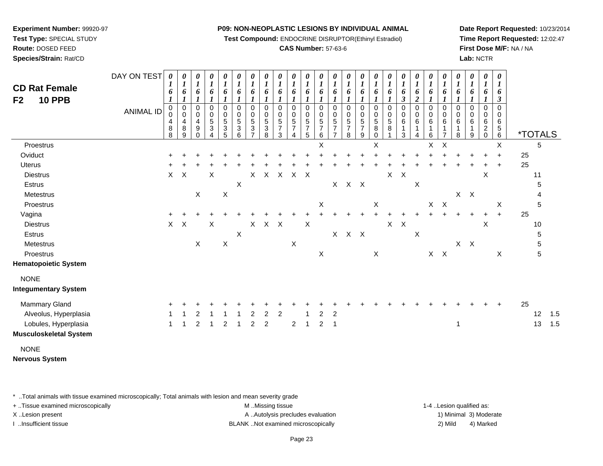**Test Compound:** ENDOCRINE DISRUPTOR(Ethinyl Estradiol)

#### **CAS Number:** 57-63-6

**Date Report Requested:** 10/23/2014**Time Report Requested:** 12:02:47**First Dose M/F:** NA / NA**Lab:** NCTR

| <b>CD Rat Female</b><br><b>10 PPB</b><br>F <sub>2</sub> | DAY ON TEST<br><b>ANIMAL ID</b> | $\boldsymbol{\theta}$<br>$\boldsymbol{l}$<br>6<br>1<br>$\mathbf 0$<br>0<br>4<br>8<br>8 | 0<br>$\boldsymbol{l}$<br>6<br>$\pmb{0}$<br>$\pmb{0}$<br>$\overline{\mathbf{4}}$<br>$\,8\,$<br>9 | 0<br>$\boldsymbol{l}$<br>6<br>$\pmb{0}$<br>$\mathbf 0$<br>4<br>$\boldsymbol{9}$<br>$\Omega$ | 0<br>$\boldsymbol{l}$<br>6<br>$\mathbf 0$<br>$\pmb{0}$<br>$\mathbf 5$<br>$\ensuremath{\mathsf{3}}$<br>$\overline{A}$ | 0<br>$\boldsymbol{l}$<br>6<br>$\mathbf{I}$<br>$\mathbf 0$<br>$\pmb{0}$<br>$\overline{5}$<br>$\ensuremath{\mathsf{3}}$<br>5 | 0<br>$\boldsymbol{l}$<br>6<br>$\mathbf{I}$<br>$\mathbf 0$<br>$\,0\,$<br>$\frac{5}{3}$<br>$6\phantom{1}$ | 0<br>$\boldsymbol{l}$<br>6<br>$\boldsymbol{l}$<br>$\mathbf 0$<br>0<br>$\mathbf 5$<br>$\ensuremath{\mathsf{3}}$<br>$\overline{7}$ | 0<br>$\boldsymbol{l}$<br>6<br>0<br>0<br>5<br>$\ensuremath{\mathsf{3}}$<br>8 | 0<br>$\boldsymbol{l}$<br>6<br>$\mathbf 0$<br>0<br>$\sqrt{5}$<br>$\boldsymbol{7}$<br>3 | 0<br>$\boldsymbol{l}$<br>6<br>$\mathbf 0$<br>0<br>$\mathbf 5$<br>$\overline{7}$<br>$\overline{\mathbf{4}}$ | 0<br>1<br>6<br>0<br>0<br>$\sqrt{5}$<br>$\overline{\mathbf{7}}$<br>5 | 0<br>$\boldsymbol{l}$<br>6<br>0<br>0<br>$\sqrt{5}$<br>$\overline{7}$<br>$\,6$ | 0<br>$\boldsymbol{l}$<br>6<br>$\mathbf 0$<br>0<br>$\sqrt{5}$<br>7<br>7 | 0<br>$\boldsymbol{l}$<br>6<br>0<br>0<br>5<br>$\boldsymbol{7}$<br>8 | 0<br>$\boldsymbol{l}$<br>6<br>$\mathbf 0$<br>0<br>$\mathbf 5$<br>$\boldsymbol{7}$<br>$\boldsymbol{9}$ | 0<br>$\boldsymbol{l}$<br>6<br>$\boldsymbol{l}$<br>$\pmb{0}$<br>0<br>$\mathbf 5$<br>8<br>$\pmb{0}$ | $\begin{matrix} 0 \\ 1 \end{matrix}$<br>6<br>$\pmb{0}$<br>$\begin{smallmatrix}0\0\0\end{smallmatrix}$<br>$\overline{8}$ | $\frac{\theta}{I}$<br>$\boldsymbol{6}$<br>$\boldsymbol{\mathfrak{z}}$<br>0<br>$\pmb{0}$<br>$\,6\,$<br>$\mathbf{1}$<br>3 | 0<br>$\boldsymbol{l}$<br>6<br>$\boldsymbol{2}$<br>0<br>0<br>$\,6\,$<br>1<br>4 | $\boldsymbol{\theta}$<br>$\boldsymbol{l}$<br>6<br>$\mathbf 0$<br>0<br>$\,6$<br>1<br>6 | 0<br>$\boldsymbol{l}$<br>6<br>$\mathbf 0$<br>0<br>6<br>7 | 0<br>$\boldsymbol{l}$<br>6<br>$\Omega$<br>0<br>6<br>8 | 0<br>$\boldsymbol{l}$<br>6<br>$\Omega$<br>0<br>6<br>1<br>9 | 0<br>$\boldsymbol{l}$<br>6<br>0<br>0<br>6<br>$\overline{c}$<br>$\Omega$ | $\boldsymbol{\theta}$<br>$\boldsymbol{l}$<br>6<br>$\boldsymbol{\beta}$<br>0<br>0<br>$\,6\,$<br>$\frac{5}{6}$ | <i><b>*TOTALS</b></i> |    |     |
|---------------------------------------------------------|---------------------------------|----------------------------------------------------------------------------------------|-------------------------------------------------------------------------------------------------|---------------------------------------------------------------------------------------------|----------------------------------------------------------------------------------------------------------------------|----------------------------------------------------------------------------------------------------------------------------|---------------------------------------------------------------------------------------------------------|----------------------------------------------------------------------------------------------------------------------------------|-----------------------------------------------------------------------------|---------------------------------------------------------------------------------------|------------------------------------------------------------------------------------------------------------|---------------------------------------------------------------------|-------------------------------------------------------------------------------|------------------------------------------------------------------------|--------------------------------------------------------------------|-------------------------------------------------------------------------------------------------------|---------------------------------------------------------------------------------------------------|-------------------------------------------------------------------------------------------------------------------------|-------------------------------------------------------------------------------------------------------------------------|-------------------------------------------------------------------------------|---------------------------------------------------------------------------------------|----------------------------------------------------------|-------------------------------------------------------|------------------------------------------------------------|-------------------------------------------------------------------------|--------------------------------------------------------------------------------------------------------------|-----------------------|----|-----|
| Proestrus                                               |                                 |                                                                                        |                                                                                                 |                                                                                             |                                                                                                                      |                                                                                                                            |                                                                                                         |                                                                                                                                  |                                                                             |                                                                                       |                                                                                                            |                                                                     | X                                                                             |                                                                        |                                                                    |                                                                                                       | X                                                                                                 |                                                                                                                         |                                                                                                                         |                                                                               | $\sf X$                                                                               | X                                                        |                                                       |                                                            |                                                                         | X                                                                                                            |                       | 5  |     |
| Oviduct                                                 |                                 |                                                                                        |                                                                                                 |                                                                                             |                                                                                                                      |                                                                                                                            |                                                                                                         |                                                                                                                                  |                                                                             |                                                                                       |                                                                                                            |                                                                     |                                                                               |                                                                        |                                                                    |                                                                                                       |                                                                                                   |                                                                                                                         |                                                                                                                         |                                                                               |                                                                                       |                                                          |                                                       |                                                            |                                                                         |                                                                                                              | 25                    |    |     |
| Uterus                                                  |                                 |                                                                                        |                                                                                                 |                                                                                             |                                                                                                                      |                                                                                                                            |                                                                                                         |                                                                                                                                  |                                                                             |                                                                                       |                                                                                                            |                                                                     |                                                                               |                                                                        |                                                                    |                                                                                                       |                                                                                                   |                                                                                                                         |                                                                                                                         |                                                                               |                                                                                       |                                                          |                                                       |                                                            |                                                                         |                                                                                                              | 25                    |    |     |
| <b>Diestrus</b>                                         |                                 | $\mathsf{X}$                                                                           | $\times$                                                                                        |                                                                                             | X                                                                                                                    |                                                                                                                            |                                                                                                         | X                                                                                                                                | $\sf X$                                                                     | $\mathsf{X}$                                                                          | $X$ $X$                                                                                                    |                                                                     |                                                                               |                                                                        |                                                                    |                                                                                                       |                                                                                                   | $\mathsf{X}$                                                                                                            | $\boldsymbol{\mathsf{X}}$                                                                                               |                                                                               |                                                                                       |                                                          |                                                       |                                                            | X                                                                       |                                                                                                              |                       | 11 |     |
| Estrus                                                  |                                 |                                                                                        |                                                                                                 |                                                                                             |                                                                                                                      |                                                                                                                            | $\boldsymbol{\mathsf{X}}$                                                                               |                                                                                                                                  |                                                                             |                                                                                       |                                                                                                            |                                                                     |                                                                               | $\mathsf{X}$                                                           |                                                                    | $X$ $X$                                                                                               |                                                                                                   |                                                                                                                         |                                                                                                                         | $\boldsymbol{\mathsf{X}}$                                                     |                                                                                       |                                                          |                                                       |                                                            |                                                                         |                                                                                                              |                       | 5  |     |
| Metestrus                                               |                                 |                                                                                        |                                                                                                 | $\mathsf X$                                                                                 |                                                                                                                      | $\mathsf X$                                                                                                                |                                                                                                         |                                                                                                                                  |                                                                             |                                                                                       |                                                                                                            |                                                                     |                                                                               |                                                                        |                                                                    |                                                                                                       |                                                                                                   |                                                                                                                         |                                                                                                                         |                                                                               |                                                                                       |                                                          |                                                       | $X$ $X$                                                    |                                                                         |                                                                                                              |                       | 4  |     |
| Proestrus                                               |                                 |                                                                                        |                                                                                                 |                                                                                             |                                                                                                                      |                                                                                                                            |                                                                                                         |                                                                                                                                  |                                                                             |                                                                                       |                                                                                                            |                                                                     | X                                                                             |                                                                        |                                                                    |                                                                                                       | $\mathsf X$                                                                                       |                                                                                                                         |                                                                                                                         |                                                                               |                                                                                       | $X$ $X$                                                  |                                                       |                                                            |                                                                         | X                                                                                                            |                       | 5  |     |
| Vagina                                                  |                                 |                                                                                        |                                                                                                 |                                                                                             |                                                                                                                      |                                                                                                                            |                                                                                                         |                                                                                                                                  |                                                                             |                                                                                       |                                                                                                            |                                                                     |                                                                               |                                                                        |                                                                    |                                                                                                       |                                                                                                   |                                                                                                                         |                                                                                                                         |                                                                               |                                                                                       |                                                          |                                                       |                                                            |                                                                         | $\ddot{}$                                                                                                    | 25                    |    |     |
| <b>Diestrus</b>                                         |                                 | $\mathsf{X}$                                                                           | X                                                                                               |                                                                                             | X                                                                                                                    |                                                                                                                            |                                                                                                         | X                                                                                                                                | $\mathsf{X}$                                                                | $\boldsymbol{\mathsf{X}}$                                                             |                                                                                                            | X                                                                   |                                                                               |                                                                        |                                                                    |                                                                                                       |                                                                                                   | X                                                                                                                       | $\times$                                                                                                                |                                                                               |                                                                                       |                                                          |                                                       |                                                            | X                                                                       |                                                                                                              |                       | 10 |     |
| Estrus                                                  |                                 |                                                                                        |                                                                                                 |                                                                                             |                                                                                                                      |                                                                                                                            | $\boldsymbol{\mathsf{X}}$                                                                               |                                                                                                                                  |                                                                             |                                                                                       |                                                                                                            |                                                                     |                                                                               | X                                                                      |                                                                    | $X$ $X$                                                                                               |                                                                                                   |                                                                                                                         |                                                                                                                         | $\boldsymbol{\mathsf{X}}$                                                     |                                                                                       |                                                          |                                                       |                                                            |                                                                         |                                                                                                              |                       | 5  |     |
| Metestrus                                               |                                 |                                                                                        |                                                                                                 | X                                                                                           |                                                                                                                      | $\mathsf X$                                                                                                                |                                                                                                         |                                                                                                                                  |                                                                             |                                                                                       | X                                                                                                          |                                                                     |                                                                               |                                                                        |                                                                    |                                                                                                       |                                                                                                   |                                                                                                                         |                                                                                                                         |                                                                               |                                                                                       |                                                          |                                                       | $X$ $X$                                                    |                                                                         |                                                                                                              |                       | 5  |     |
| Proestrus                                               |                                 |                                                                                        |                                                                                                 |                                                                                             |                                                                                                                      |                                                                                                                            |                                                                                                         |                                                                                                                                  |                                                                             |                                                                                       |                                                                                                            |                                                                     | $\boldsymbol{\mathsf{X}}$                                                     |                                                                        |                                                                    |                                                                                                       | $\mathsf X$                                                                                       |                                                                                                                         |                                                                                                                         |                                                                               |                                                                                       | $X$ $X$                                                  |                                                       |                                                            |                                                                         | X                                                                                                            |                       | 5  |     |
| <b>Hematopoietic System</b>                             |                                 |                                                                                        |                                                                                                 |                                                                                             |                                                                                                                      |                                                                                                                            |                                                                                                         |                                                                                                                                  |                                                                             |                                                                                       |                                                                                                            |                                                                     |                                                                               |                                                                        |                                                                    |                                                                                                       |                                                                                                   |                                                                                                                         |                                                                                                                         |                                                                               |                                                                                       |                                                          |                                                       |                                                            |                                                                         |                                                                                                              |                       |    |     |
| <b>NONE</b>                                             |                                 |                                                                                        |                                                                                                 |                                                                                             |                                                                                                                      |                                                                                                                            |                                                                                                         |                                                                                                                                  |                                                                             |                                                                                       |                                                                                                            |                                                                     |                                                                               |                                                                        |                                                                    |                                                                                                       |                                                                                                   |                                                                                                                         |                                                                                                                         |                                                                               |                                                                                       |                                                          |                                                       |                                                            |                                                                         |                                                                                                              |                       |    |     |
| <b>Integumentary System</b>                             |                                 |                                                                                        |                                                                                                 |                                                                                             |                                                                                                                      |                                                                                                                            |                                                                                                         |                                                                                                                                  |                                                                             |                                                                                       |                                                                                                            |                                                                     |                                                                               |                                                                        |                                                                    |                                                                                                       |                                                                                                   |                                                                                                                         |                                                                                                                         |                                                                               |                                                                                       |                                                          |                                                       |                                                            |                                                                         |                                                                                                              |                       |    |     |
| <b>Mammary Gland</b>                                    |                                 |                                                                                        |                                                                                                 |                                                                                             |                                                                                                                      |                                                                                                                            |                                                                                                         |                                                                                                                                  |                                                                             |                                                                                       |                                                                                                            |                                                                     |                                                                               |                                                                        |                                                                    |                                                                                                       |                                                                                                   |                                                                                                                         |                                                                                                                         |                                                                               |                                                                                       |                                                          |                                                       |                                                            |                                                                         |                                                                                                              | 25                    |    |     |
| Alveolus, Hyperplasia                                   |                                 |                                                                                        |                                                                                                 | 2                                                                                           |                                                                                                                      |                                                                                                                            |                                                                                                         | 2                                                                                                                                | 2                                                                           | 2                                                                                     |                                                                                                            |                                                                     | 2                                                                             | $\overline{2}$                                                         |                                                                    |                                                                                                       |                                                                                                   |                                                                                                                         |                                                                                                                         |                                                                               |                                                                                       |                                                          |                                                       |                                                            |                                                                         |                                                                                                              |                       | 12 | 1.5 |
| Lobules, Hyperplasia                                    |                                 | 1                                                                                      |                                                                                                 | $\overline{c}$                                                                              |                                                                                                                      | 2                                                                                                                          |                                                                                                         | $\overline{\mathbf{c}}$                                                                                                          | $\overline{c}$                                                              |                                                                                       | $\overline{c}$                                                                                             |                                                                     | $\overline{c}$                                                                | $\overline{1}$                                                         |                                                                    |                                                                                                       |                                                                                                   |                                                                                                                         |                                                                                                                         |                                                                               |                                                                                       |                                                          | -1                                                    |                                                            |                                                                         |                                                                                                              |                       | 13 | 1.5 |
| <b>Musculoskeletal System</b>                           |                                 |                                                                                        |                                                                                                 |                                                                                             |                                                                                                                      |                                                                                                                            |                                                                                                         |                                                                                                                                  |                                                                             |                                                                                       |                                                                                                            |                                                                     |                                                                               |                                                                        |                                                                    |                                                                                                       |                                                                                                   |                                                                                                                         |                                                                                                                         |                                                                               |                                                                                       |                                                          |                                                       |                                                            |                                                                         |                                                                                                              |                       |    |     |
| <b>NONE</b>                                             |                                 |                                                                                        |                                                                                                 |                                                                                             |                                                                                                                      |                                                                                                                            |                                                                                                         |                                                                                                                                  |                                                                             |                                                                                       |                                                                                                            |                                                                     |                                                                               |                                                                        |                                                                    |                                                                                                       |                                                                                                   |                                                                                                                         |                                                                                                                         |                                                                               |                                                                                       |                                                          |                                                       |                                                            |                                                                         |                                                                                                              |                       |    |     |
| <b>Nervous System</b>                                   |                                 |                                                                                        |                                                                                                 |                                                                                             |                                                                                                                      |                                                                                                                            |                                                                                                         |                                                                                                                                  |                                                                             |                                                                                       |                                                                                                            |                                                                     |                                                                               |                                                                        |                                                                    |                                                                                                       |                                                                                                   |                                                                                                                         |                                                                                                                         |                                                                               |                                                                                       |                                                          |                                                       |                                                            |                                                                         |                                                                                                              |                       |    |     |

\* ..Total animals with tissue examined microscopically; Total animals with lesion and mean severity grade

**Experiment Number:** 99920-97**Test Type:** SPECIAL STUDY**Route:** DOSED FEED**Species/Strain:** Rat/CD

+ ..Tissue examined microscopically examined microscopically examined as:  $M$  ..Missing tissue 1-4 ..Lesion qualified as: X..Lesion present **A ..Autolysis precludes evaluation** A ..Autolysis precludes evaluation 1) Minimal 3) Moderate

I ..Insufficient tissue BLANK ..Not examined microscopically 2) Mild 4) Marked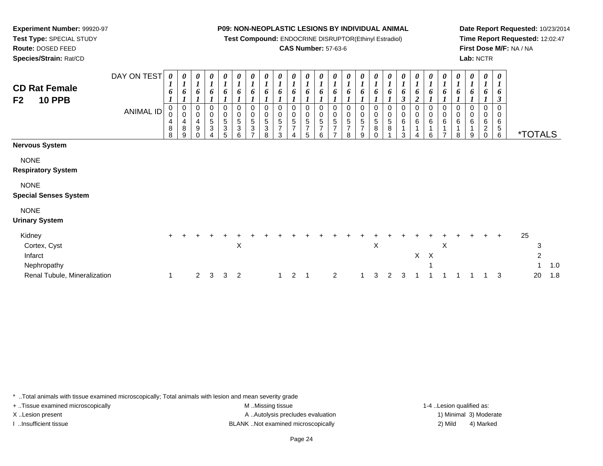**Test Compound:** ENDOCRINE DISRUPTOR(Ethinyl Estradiol)

# **CAS Number:** 57-63-6

**Date Report Requested:** 10/23/2014**Time Report Requested:** 12:02:47**First Dose M/F:** NA / NA**Lab:** NCTR

| <b>CD Rat Female</b><br><b>10 PPB</b><br>F <sub>2</sub> | DAY ON TEST<br><b>ANIMAL ID</b> | 0<br>6<br>0<br>0<br>4<br>8<br>8 | 0<br>$\mathbf{I}$<br>6<br>0<br>$\mathbf 0$<br>4<br>8<br>9 | 0<br>$\boldsymbol{l}$<br>6<br>0<br>$\pmb{0}$<br>4<br>$\boldsymbol{9}$ | $\pmb{\theta}$<br>$\boldsymbol{l}$<br>6<br>0<br>$\pmb{0}$<br>5<br>3 | $\boldsymbol{\theta}$<br>$\boldsymbol{l}$<br>6<br>0<br>$\pmb{0}$<br>$\,$ 5 $\,$<br>$\sqrt{3}$<br>5 | 0<br>6<br>0<br>$\mathbf 0$<br>5<br>3<br>6 | 0<br>$\boldsymbol{l}$<br>6<br>0<br>$\pmb{0}$<br>$\mathbf 5$<br>$\ensuremath{\mathsf{3}}$ | $\boldsymbol{\theta}$<br>$\boldsymbol{l}$<br>6<br>0<br>$\pmb{0}$<br>$\sqrt{5}$<br>$\ensuremath{\mathsf{3}}$<br>8 | 0<br>$\boldsymbol{l}$<br>6<br>0<br>$\pmb{0}$<br>$\sqrt{5}$<br>$\overline{7}$<br>3 | 0<br>6<br>0<br>$\boldsymbol{0}$<br>5<br>7 | 0<br>$\boldsymbol{l}$<br>6<br>0<br>0<br>5<br>5 | $\boldsymbol{\theta}$<br>$\boldsymbol{l}$<br>6<br>0<br>0<br>$\overline{5}$<br>$\overline{7}$<br>6 | $\frac{\boldsymbol{\theta}}{\boldsymbol{I}}$<br>6<br>0<br>$\pmb{0}$<br>$\sqrt{5}$<br>$\overline{7}$ | $\frac{\theta}{I}$<br>6<br>0<br>$\boldsymbol{0}$<br>$\sqrt{5}$<br>$\overline{7}$<br>8 | 0<br>$\boldsymbol{l}$<br>6<br>0<br>0<br>$\sqrt{5}$<br>$\boldsymbol{7}$<br>9 | 0<br>$\boldsymbol{l}$<br>6<br>0<br>$\pmb{0}$<br>$\sqrt{5}$<br>8 | 0<br>$\boldsymbol{l}$<br>6<br>0<br>$\,0\,$<br>$\mathbf 5$<br>$\bf8$ | $\frac{\theta}{I}$<br>6<br>$\boldsymbol{\beta}$<br>0<br>$\,0\,$<br>$\,6\,$<br>$\mathbf{1}$<br>3 | 0<br>$\boldsymbol{l}$<br>0<br>6 | $\boldsymbol{\theta}$<br>0<br>0<br>$\,6$ | 0<br>$\mathbf{r}$<br>6<br>0<br>0<br>6 | $\boldsymbol{\theta}$<br>$\mathbf{I}$<br>6<br>0<br>$\pmb{0}$<br>$\,6\,$<br>8 | 0<br>0<br>0<br>$\,6\,$<br>9 | 0<br>0<br>0<br>6<br>$\overline{2}$ | 0<br>o<br>0<br>0<br>6<br>5<br>6 | <i><b>*TOTALS</b></i>     |     |
|---------------------------------------------------------|---------------------------------|---------------------------------|-----------------------------------------------------------|-----------------------------------------------------------------------|---------------------------------------------------------------------|----------------------------------------------------------------------------------------------------|-------------------------------------------|------------------------------------------------------------------------------------------|------------------------------------------------------------------------------------------------------------------|-----------------------------------------------------------------------------------|-------------------------------------------|------------------------------------------------|---------------------------------------------------------------------------------------------------|-----------------------------------------------------------------------------------------------------|---------------------------------------------------------------------------------------|-----------------------------------------------------------------------------|-----------------------------------------------------------------|---------------------------------------------------------------------|-------------------------------------------------------------------------------------------------|---------------------------------|------------------------------------------|---------------------------------------|------------------------------------------------------------------------------|-----------------------------|------------------------------------|---------------------------------|---------------------------|-----|
| <b>Nervous System</b>                                   |                                 |                                 |                                                           |                                                                       |                                                                     |                                                                                                    |                                           |                                                                                          |                                                                                                                  |                                                                                   |                                           |                                                |                                                                                                   |                                                                                                     |                                                                                       |                                                                             |                                                                 |                                                                     |                                                                                                 |                                 |                                          |                                       |                                                                              |                             |                                    |                                 |                           |     |
| <b>NONE</b><br><b>Respiratory System</b>                |                                 |                                 |                                                           |                                                                       |                                                                     |                                                                                                    |                                           |                                                                                          |                                                                                                                  |                                                                                   |                                           |                                                |                                                                                                   |                                                                                                     |                                                                                       |                                                                             |                                                                 |                                                                     |                                                                                                 |                                 |                                          |                                       |                                                                              |                             |                                    |                                 |                           |     |
| <b>NONE</b><br><b>Special Senses System</b>             |                                 |                                 |                                                           |                                                                       |                                                                     |                                                                                                    |                                           |                                                                                          |                                                                                                                  |                                                                                   |                                           |                                                |                                                                                                   |                                                                                                     |                                                                                       |                                                                             |                                                                 |                                                                     |                                                                                                 |                                 |                                          |                                       |                                                                              |                             |                                    |                                 |                           |     |
| <b>NONE</b><br><b>Urinary System</b>                    |                                 |                                 |                                                           |                                                                       |                                                                     |                                                                                                    |                                           |                                                                                          |                                                                                                                  |                                                                                   |                                           |                                                |                                                                                                   |                                                                                                     |                                                                                       |                                                                             |                                                                 |                                                                     |                                                                                                 |                                 |                                          |                                       |                                                                              |                             |                                    |                                 |                           |     |
| Kidney<br>Cortex, Cyst<br>Infarct<br>Nephropathy        |                                 | $\pm$                           |                                                           |                                                                       |                                                                     |                                                                                                    | X                                         |                                                                                          |                                                                                                                  |                                                                                   |                                           |                                                |                                                                                                   |                                                                                                     |                                                                                       |                                                                             | $\mathsf X$                                                     |                                                                     |                                                                                                 | X                               | $\boldsymbol{X}$                         | X                                     |                                                                              |                             |                                    | $\ddot{}$                       | 25<br>3<br>$\overline{2}$ | 1.0 |
| Renal Tubule, Mineralization                            |                                 | $\overline{1}$                  |                                                           | 2                                                                     | 3                                                                   | 3                                                                                                  | $\overline{2}$                            |                                                                                          |                                                                                                                  | $\overline{1}$                                                                    | $\overline{2}$                            |                                                |                                                                                                   | $\overline{c}$                                                                                      |                                                                                       |                                                                             | 3                                                               | $\overline{2}$                                                      | 3                                                                                               |                                 |                                          |                                       |                                                                              |                             |                                    | 3                               | 20                        | 1.8 |

\* ..Total animals with tissue examined microscopically; Total animals with lesion and mean severity grade

**Experiment Number:** 99920-97**Test Type:** SPECIAL STUDY**Route:** DOSED FEED**Species/Strain:** Rat/CD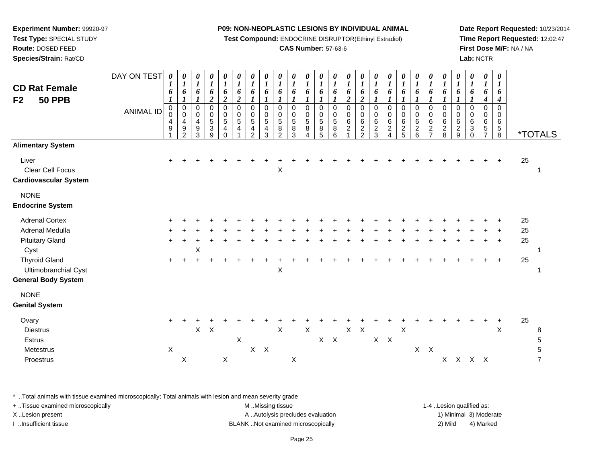**Test Compound:** ENDOCRINE DISRUPTOR(Ethinyl Estradiol)

# **CAS Number:** 57-63-6

**Date Report Requested:** 10/23/2014**Time Report Requested:** 12:02:47**First Dose M/F:** NA / NA**Lab:** NCTR

| <b>CD Rat Female</b><br><b>50 PPB</b><br>F <sub>2</sub>                    | DAY ON TEST<br><b>ANIMAL ID</b> | 0<br>$\boldsymbol{l}$<br>6<br>$\pmb{0}$<br>0<br>4<br>9 | 0<br>$\boldsymbol{l}$<br>6<br>$\boldsymbol{l}$<br>$\mathbf 0$<br>$\mathbf 0$<br>$\overline{4}$<br>$\frac{9}{2}$ | 0<br>$\boldsymbol{l}$<br>$\pmb{6}$<br>$\mathbf{I}$<br>$\mathsf 0$<br>$\mathsf{O}$<br>$\overline{4}$<br>$\frac{9}{3}$ | 0<br>$\boldsymbol{l}$<br>$\pmb{6}$<br>$\boldsymbol{2}$<br>$\pmb{0}$<br>$\pmb{0}$<br>$\,$ 5 $\,$<br>$\sqrt{3}$<br>9 | 0<br>$\boldsymbol{l}$<br>6<br>$\overline{c}$<br>$\pmb{0}$<br>$\pmb{0}$<br>$\sqrt{5}$<br>4<br>$\Omega$ | $\pmb{\theta}$<br>$\boldsymbol{l}$<br>6<br>$\boldsymbol{2}$<br>$\pmb{0}$<br>$\mathbf 0$<br>$\sqrt{5}$<br>4 | 0<br>$\boldsymbol{l}$<br>6<br>$\pmb{0}$<br>$\mathbf 0$<br>$\sqrt{5}$<br>4<br>$\mathcal{P}$ | $\boldsymbol{\theta}$<br>$\boldsymbol{l}$<br>6<br>$\mathbf 0$<br>0<br>5<br>4<br>3 | 0<br>$\boldsymbol{l}$<br>6<br>$\boldsymbol{l}$<br>$\mathbf 0$<br>$\mathbf 0$<br>$\sqrt{5}$<br>8<br>$\mathcal{P}$ | $\boldsymbol{\theta}$<br>$\boldsymbol{l}$<br>6<br>$\pmb{0}$<br>$\pmb{0}$<br>$\sqrt{5}$<br>8<br>3 | 0<br>$\boldsymbol{l}$<br>6<br>$\mathsf{O}\xspace$<br>$\mathsf{O}\xspace$<br>5<br>$\bf 8$<br>$\boldsymbol{\Lambda}$ | 0<br>$\boldsymbol{l}$<br>6<br>$\pmb{0}$<br>$\pmb{0}$<br>$\,$ 5 $\,$<br>$^8$ 5 | 0<br>$\boldsymbol{l}$<br>6<br>$\boldsymbol{l}$<br>$\pmb{0}$<br>$\mathbf 0$<br>$\sqrt{5}$<br>8<br>6 | 0<br>$\boldsymbol{l}$<br>6<br>$\boldsymbol{2}$<br>$\mathbf 0$<br>$\pmb{0}$<br>6<br>$\overline{c}$ | 0<br>$\boldsymbol{l}$<br>6<br>$\boldsymbol{2}$<br>$\pmb{0}$<br>$\mathbf 0$<br>6<br>$\frac{2}{2}$ | 0<br>$\boldsymbol{l}$<br>6<br>$\mathbf{I}$<br>$\pmb{0}$<br>0<br>$\,6$<br>$\frac{2}{3}$ | $\boldsymbol{\theta}$<br>$\boldsymbol{l}$<br>6<br>$\mathbf{I}$<br>$\mbox{O}$<br>$\pmb{0}$<br>$\,6$<br>$\overline{c}$<br>$\overline{A}$ | $\begin{matrix} 0 \\ 1 \end{matrix}$<br>6<br>$\mathbf 0$<br>$\mathbf 0$<br>$\,6$<br>$\frac{2}{5}$ | 0<br>$\boldsymbol{l}$<br>6<br>0<br>$\pmb{0}$<br>6<br>$\frac{2}{6}$ | 0<br>$\boldsymbol{l}$<br>6<br>$\boldsymbol{0}$<br>0<br>$\,6\,$<br>$\frac{2}{7}$ | 0<br>$\boldsymbol{l}$<br>6<br>$\mathbf 0$<br>$\pmb{0}$<br>$\,6\,$<br>$\frac{2}{8}$ | 0<br>$\boldsymbol{l}$<br>6<br>$\mathbf 0$<br>$\mathbf 0$<br>6<br>$\frac{2}{9}$ | 0<br>$\boldsymbol{l}$<br>6<br>$\mathbf 0$<br>0<br>6<br>$\ensuremath{\mathsf{3}}$<br>$\Omega$ | 0<br>$\boldsymbol{l}$<br>6<br>4<br>$\mathbf 0$<br>$\mathbf 0$<br>6<br>$\mathbf 5$<br>$\overline{7}$ | 0<br>$\boldsymbol{l}$<br>6<br>4<br>$\mathbf 0$<br>$\mathbf 0$<br>$\,6\,$<br>$\begin{array}{c} 5 \\ 8 \end{array}$ | *TOTALS |                               |
|----------------------------------------------------------------------------|---------------------------------|--------------------------------------------------------|-----------------------------------------------------------------------------------------------------------------|----------------------------------------------------------------------------------------------------------------------|--------------------------------------------------------------------------------------------------------------------|-------------------------------------------------------------------------------------------------------|------------------------------------------------------------------------------------------------------------|--------------------------------------------------------------------------------------------|-----------------------------------------------------------------------------------|------------------------------------------------------------------------------------------------------------------|--------------------------------------------------------------------------------------------------|--------------------------------------------------------------------------------------------------------------------|-------------------------------------------------------------------------------|----------------------------------------------------------------------------------------------------|---------------------------------------------------------------------------------------------------|--------------------------------------------------------------------------------------------------|----------------------------------------------------------------------------------------|----------------------------------------------------------------------------------------------------------------------------------------|---------------------------------------------------------------------------------------------------|--------------------------------------------------------------------|---------------------------------------------------------------------------------|------------------------------------------------------------------------------------|--------------------------------------------------------------------------------|----------------------------------------------------------------------------------------------|-----------------------------------------------------------------------------------------------------|-------------------------------------------------------------------------------------------------------------------|---------|-------------------------------|
| <b>Alimentary System</b>                                                   |                                 |                                                        |                                                                                                                 |                                                                                                                      |                                                                                                                    |                                                                                                       |                                                                                                            |                                                                                            |                                                                                   |                                                                                                                  |                                                                                                  |                                                                                                                    |                                                                               |                                                                                                    |                                                                                                   |                                                                                                  |                                                                                        |                                                                                                                                        |                                                                                                   |                                                                    |                                                                                 |                                                                                    |                                                                                |                                                                                              |                                                                                                     |                                                                                                                   |         |                               |
| Liver<br>Clear Cell Focus<br><b>Cardiovascular System</b>                  |                                 |                                                        |                                                                                                                 |                                                                                                                      |                                                                                                                    |                                                                                                       |                                                                                                            |                                                                                            |                                                                                   | X                                                                                                                |                                                                                                  |                                                                                                                    |                                                                               |                                                                                                    |                                                                                                   |                                                                                                  |                                                                                        |                                                                                                                                        |                                                                                                   |                                                                    |                                                                                 |                                                                                    |                                                                                |                                                                                              |                                                                                                     |                                                                                                                   | 25      | $\overline{\mathbf{1}}$       |
| <b>NONE</b><br><b>Endocrine System</b>                                     |                                 |                                                        |                                                                                                                 |                                                                                                                      |                                                                                                                    |                                                                                                       |                                                                                                            |                                                                                            |                                                                                   |                                                                                                                  |                                                                                                  |                                                                                                                    |                                                                               |                                                                                                    |                                                                                                   |                                                                                                  |                                                                                        |                                                                                                                                        |                                                                                                   |                                                                    |                                                                                 |                                                                                    |                                                                                |                                                                                              |                                                                                                     |                                                                                                                   |         |                               |
| <b>Adrenal Cortex</b>                                                      |                                 |                                                        |                                                                                                                 |                                                                                                                      |                                                                                                                    |                                                                                                       |                                                                                                            |                                                                                            |                                                                                   |                                                                                                                  |                                                                                                  |                                                                                                                    |                                                                               |                                                                                                    |                                                                                                   |                                                                                                  |                                                                                        |                                                                                                                                        |                                                                                                   |                                                                    |                                                                                 |                                                                                    |                                                                                |                                                                                              |                                                                                                     |                                                                                                                   | 25      |                               |
| Adrenal Medulla                                                            |                                 |                                                        |                                                                                                                 |                                                                                                                      |                                                                                                                    |                                                                                                       |                                                                                                            |                                                                                            |                                                                                   |                                                                                                                  |                                                                                                  |                                                                                                                    |                                                                               |                                                                                                    |                                                                                                   |                                                                                                  |                                                                                        |                                                                                                                                        |                                                                                                   |                                                                    |                                                                                 |                                                                                    |                                                                                |                                                                                              |                                                                                                     |                                                                                                                   | 25      |                               |
| <b>Pituitary Gland</b><br>Cyst                                             |                                 | $\ddot{}$                                              |                                                                                                                 | Χ                                                                                                                    |                                                                                                                    |                                                                                                       |                                                                                                            |                                                                                            |                                                                                   |                                                                                                                  |                                                                                                  |                                                                                                                    |                                                                               |                                                                                                    |                                                                                                   |                                                                                                  |                                                                                        |                                                                                                                                        |                                                                                                   |                                                                    |                                                                                 |                                                                                    |                                                                                |                                                                                              |                                                                                                     |                                                                                                                   | 25      |                               |
| <b>Thyroid Gland</b><br>Ultimobranchial Cyst<br><b>General Body System</b> |                                 | $+$                                                    |                                                                                                                 |                                                                                                                      |                                                                                                                    |                                                                                                       |                                                                                                            |                                                                                            |                                                                                   | Χ                                                                                                                |                                                                                                  |                                                                                                                    |                                                                               |                                                                                                    |                                                                                                   |                                                                                                  |                                                                                        |                                                                                                                                        |                                                                                                   |                                                                    |                                                                                 |                                                                                    |                                                                                |                                                                                              |                                                                                                     |                                                                                                                   | 25      | -1                            |
| <b>NONE</b><br><b>Genital System</b>                                       |                                 |                                                        |                                                                                                                 |                                                                                                                      |                                                                                                                    |                                                                                                       |                                                                                                            |                                                                                            |                                                                                   |                                                                                                                  |                                                                                                  |                                                                                                                    |                                                                               |                                                                                                    |                                                                                                   |                                                                                                  |                                                                                        |                                                                                                                                        |                                                                                                   |                                                                    |                                                                                 |                                                                                    |                                                                                |                                                                                              |                                                                                                     |                                                                                                                   |         |                               |
| Ovary<br><b>Diestrus</b><br>Estrus                                         |                                 | $+$                                                    |                                                                                                                 |                                                                                                                      | $X$ $X$                                                                                                            |                                                                                                       | X                                                                                                          |                                                                                            |                                                                                   | $\mathsf X$                                                                                                      |                                                                                                  | $\mathsf X$                                                                                                        |                                                                               | $X$ $X$                                                                                            | $\pmb{\times}$                                                                                    | $\boldsymbol{\mathsf{X}}$                                                                        | $X$ $X$                                                                                |                                                                                                                                        | $\mathsf X$                                                                                       |                                                                    |                                                                                 |                                                                                    |                                                                                |                                                                                              |                                                                                                     | $\mathsf X$                                                                                                       | 25      | 8<br>5                        |
| Metestrus<br>Proestrus                                                     |                                 | X                                                      | $\boldsymbol{\mathsf{X}}$                                                                                       |                                                                                                                      |                                                                                                                    | $\mathsf X$                                                                                           |                                                                                                            | X                                                                                          | $\mathsf{X}$                                                                      |                                                                                                                  | $\mathsf X$                                                                                      |                                                                                                                    |                                                                               |                                                                                                    |                                                                                                   |                                                                                                  |                                                                                        |                                                                                                                                        |                                                                                                   | $X$ $X$                                                            |                                                                                 |                                                                                    |                                                                                | X X X X                                                                                      |                                                                                                     |                                                                                                                   |         | $\mathbf 5$<br>$\overline{7}$ |

\* ..Total animals with tissue examined microscopically; Total animals with lesion and mean severity grade

| + . Tissue examined microscopically | M Missing tissue                   | 1-4 Lesion qualified as: |                        |
|-------------------------------------|------------------------------------|--------------------------|------------------------|
| X Lesion present                    | A Autolysis precludes evaluation   |                          | 1) Minimal 3) Moderate |
| Insufficient tissue                 | BLANK Not examined microscopically | 2) Mild                  | 4) Marked              |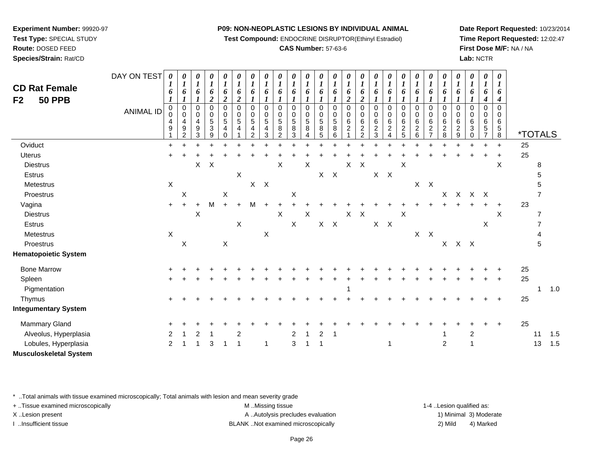**Test Compound:** ENDOCRINE DISRUPTOR(Ethinyl Estradiol)

### **CAS Number:** 57-63-6

**Date Report Requested:** 10/23/2014**Time Report Requested:** 12:02:47**First Dose M/F:** NA / NA**Lab:** NCTR

| <b>CD Rat Female</b><br>F2<br><b>50 PPB</b> | DAY ON TEST<br><b>ANIMAL ID</b> | $\boldsymbol{\theta}$<br>1<br>6<br>$\mathbf 0$<br>9 | $\pmb{\theta}$<br>$\boldsymbol{l}$<br>6<br>0<br>$\pmb{0}$<br>4<br>$\boldsymbol{9}$<br>$\overline{2}$ | $\boldsymbol{\theta}$<br>$\boldsymbol{l}$<br>6<br>0<br>0<br>4<br>$\boldsymbol{9}$<br>3 | 0<br>$\boldsymbol{l}$<br>6<br>$\boldsymbol{2}$<br>0<br>0<br>$\,$ 5 $\,$<br>$\ensuremath{\mathsf{3}}$<br>9 | $\pmb{\theta}$<br>$\boldsymbol{l}$<br>6<br>$\overline{c}$<br>$\pmb{0}$<br>0<br>$\mathbf 5$<br>4<br>$\Omega$ | $\pmb{\theta}$<br>$\boldsymbol{l}$<br>6<br>$\boldsymbol{2}$<br>0<br>$\mathbf 0$<br>5<br>4 | 0<br>$\bm{l}$<br>6<br>0<br>0<br>5<br>4<br>$\overline{2}$ | $\pmb{\theta}$<br>$\boldsymbol{l}$<br>6<br>0<br>0<br>5<br>4<br>3 | $\pmb{\theta}$<br>$\boldsymbol{l}$<br>6<br>0<br>0<br>5<br>8<br>2 | $\pmb{\theta}$<br>1<br>6<br>0<br>0<br>5<br>8<br>3 | 0<br>1<br>6<br>0<br>0<br>$\mathbf 5$<br>8<br>4 | 0<br>1<br>6<br>$\Omega$<br>0<br>$\mathbf 5$<br>$\bf 8$<br>5 | 0<br>1<br>6<br>0<br>0<br>$\mathbf 5$<br>8<br>6 | 0<br>1<br>6<br>$\boldsymbol{2}$<br>$\Omega$<br>$\mathbf 0$<br>6<br>$\overline{c}$ | 0<br>1<br>6<br>$\overline{2}$<br>$\mathbf 0$<br>0<br>6<br>$\overline{\mathbf{c}}$<br>$\overline{c}$ | $\boldsymbol{\theta}$<br>$\boldsymbol{l}$<br>6<br>$\mathbf 0$<br>0<br>6<br>$\sqrt{2}$<br>3 | 0<br>6<br>0<br>0<br>6<br>$\overline{c}$ | $\pmb{\theta}$<br>6<br>0<br>0<br>6<br>$\overline{c}$<br>5 | 0<br>6<br>0<br>0<br>$\,6\,$<br>$\overline{c}$<br>6 | 0<br>$\bm{l}$<br>6<br>0<br>0<br>6<br>$\overline{2}$<br>$\overline{7}$ | 0<br>$\boldsymbol{l}$<br>6<br>0<br>0<br>6<br>$_{\rm 2}^2$ | $\boldsymbol{\theta}$<br>$\bm{l}$<br>6<br>$\mathbf 0$<br>0<br>6<br>$\boldsymbol{2}$<br>$\boldsymbol{9}$ | $\pmb{\theta}$<br>$\boldsymbol{l}$<br>6<br>0<br>0<br>6<br>$\ensuremath{\mathsf{3}}$<br>$\mathbf 0$ | 0<br>$\boldsymbol{l}$<br>6<br>4<br>0<br>0<br>6<br>$\,$ 5 $\,$<br>$\overline{7}$ | 0<br>$\boldsymbol{l}$<br>6<br>4<br>$\Omega$<br>0<br>6<br>$\,$ 5 $\,$<br>8 | <i><b>*TOTALS</b></i> |                |     |
|---------------------------------------------|---------------------------------|-----------------------------------------------------|------------------------------------------------------------------------------------------------------|----------------------------------------------------------------------------------------|-----------------------------------------------------------------------------------------------------------|-------------------------------------------------------------------------------------------------------------|-------------------------------------------------------------------------------------------|----------------------------------------------------------|------------------------------------------------------------------|------------------------------------------------------------------|---------------------------------------------------|------------------------------------------------|-------------------------------------------------------------|------------------------------------------------|-----------------------------------------------------------------------------------|-----------------------------------------------------------------------------------------------------|--------------------------------------------------------------------------------------------|-----------------------------------------|-----------------------------------------------------------|----------------------------------------------------|-----------------------------------------------------------------------|-----------------------------------------------------------|---------------------------------------------------------------------------------------------------------|----------------------------------------------------------------------------------------------------|---------------------------------------------------------------------------------|---------------------------------------------------------------------------|-----------------------|----------------|-----|
| Oviduct                                     |                                 | $\ddot{}$                                           |                                                                                                      |                                                                                        |                                                                                                           |                                                                                                             |                                                                                           |                                                          |                                                                  |                                                                  |                                                   |                                                |                                                             |                                                |                                                                                   |                                                                                                     |                                                                                            |                                         |                                                           |                                                    |                                                                       |                                                           |                                                                                                         |                                                                                                    |                                                                                 | $\ddot{}$                                                                 | 25                    |                |     |
| Uterus                                      |                                 |                                                     |                                                                                                      |                                                                                        |                                                                                                           |                                                                                                             |                                                                                           |                                                          |                                                                  |                                                                  |                                                   |                                                |                                                             |                                                |                                                                                   |                                                                                                     |                                                                                            |                                         |                                                           |                                                    |                                                                       |                                                           |                                                                                                         |                                                                                                    |                                                                                 |                                                                           | 25                    |                |     |
| <b>Diestrus</b>                             |                                 |                                                     |                                                                                                      |                                                                                        | $X$ $X$                                                                                                   |                                                                                                             |                                                                                           |                                                          |                                                                  | $\mathsf X$                                                      |                                                   | X                                              |                                                             |                                                | $\boldsymbol{\mathsf{X}}$                                                         | $\times$                                                                                            |                                                                                            |                                         | $\boldsymbol{\mathsf{X}}$                                 |                                                    |                                                                       |                                                           |                                                                                                         |                                                                                                    |                                                                                 | X                                                                         |                       | 8              |     |
| Estrus                                      |                                 |                                                     |                                                                                                      |                                                                                        |                                                                                                           |                                                                                                             | $\sf X$                                                                                   |                                                          |                                                                  |                                                                  |                                                   |                                                |                                                             | $X$ $X$                                        |                                                                                   |                                                                                                     |                                                                                            | $\mathsf{X}-\mathsf{X}$                 |                                                           |                                                    |                                                                       |                                                           |                                                                                                         |                                                                                                    |                                                                                 |                                                                           |                       | 5              |     |
| Metestrus                                   |                                 | $\boldsymbol{\mathsf{X}}$                           |                                                                                                      |                                                                                        |                                                                                                           |                                                                                                             |                                                                                           | X                                                        | $\mathsf{X}$                                                     |                                                                  |                                                   |                                                |                                                             |                                                |                                                                                   |                                                                                                     |                                                                                            |                                         |                                                           |                                                    | $X$ $X$                                                               |                                                           |                                                                                                         |                                                                                                    |                                                                                 |                                                                           |                       | 5              |     |
| Proestrus                                   |                                 |                                                     | X                                                                                                    |                                                                                        |                                                                                                           | X                                                                                                           |                                                                                           |                                                          |                                                                  |                                                                  | X                                                 |                                                |                                                             |                                                |                                                                                   |                                                                                                     |                                                                                            |                                         |                                                           |                                                    |                                                                       |                                                           | X X X X                                                                                                 |                                                                                                    |                                                                                 |                                                                           |                       | $\overline{7}$ |     |
| Vagina                                      |                                 | $+$                                                 | $\ddot{}$                                                                                            | $\ddot{}$                                                                              | M                                                                                                         | $+$                                                                                                         | $\ddot{}$                                                                                 | M                                                        | $\ddot{}$                                                        |                                                                  |                                                   |                                                |                                                             |                                                |                                                                                   |                                                                                                     |                                                                                            |                                         |                                                           |                                                    |                                                                       |                                                           |                                                                                                         |                                                                                                    |                                                                                 | $\ddot{}$                                                                 | 23                    |                |     |
| <b>Diestrus</b>                             |                                 |                                                     |                                                                                                      | Χ                                                                                      |                                                                                                           |                                                                                                             |                                                                                           |                                                          |                                                                  | X                                                                |                                                   | X                                              |                                                             |                                                | X                                                                                 | $\boldsymbol{X}$                                                                                    |                                                                                            |                                         | X                                                         |                                                    |                                                                       |                                                           |                                                                                                         |                                                                                                    |                                                                                 | X                                                                         |                       | 7              |     |
| Estrus                                      |                                 |                                                     |                                                                                                      |                                                                                        |                                                                                                           |                                                                                                             | X                                                                                         |                                                          |                                                                  |                                                                  | $\mathsf X$                                       |                                                |                                                             | $X$ $X$                                        |                                                                                   |                                                                                                     |                                                                                            | $X$ $X$                                 |                                                           |                                                    |                                                                       |                                                           |                                                                                                         |                                                                                                    | X                                                                               |                                                                           |                       |                |     |
| Metestrus                                   |                                 | $\boldsymbol{\mathsf{X}}$                           |                                                                                                      |                                                                                        |                                                                                                           |                                                                                                             |                                                                                           |                                                          | Χ                                                                |                                                                  |                                                   |                                                |                                                             |                                                |                                                                                   |                                                                                                     |                                                                                            |                                         |                                                           |                                                    | $\mathsf{X}-\mathsf{X}$                                               |                                                           |                                                                                                         |                                                                                                    |                                                                                 |                                                                           |                       |                |     |
| Proestrus                                   |                                 |                                                     | $\mathsf X$                                                                                          |                                                                                        |                                                                                                           | $\boldsymbol{\mathsf{X}}$                                                                                   |                                                                                           |                                                          |                                                                  |                                                                  |                                                   |                                                |                                                             |                                                |                                                                                   |                                                                                                     |                                                                                            |                                         |                                                           |                                                    |                                                                       |                                                           | $X$ $X$ $X$                                                                                             |                                                                                                    |                                                                                 |                                                                           |                       | 5              |     |
| <b>Hematopoietic System</b>                 |                                 |                                                     |                                                                                                      |                                                                                        |                                                                                                           |                                                                                                             |                                                                                           |                                                          |                                                                  |                                                                  |                                                   |                                                |                                                             |                                                |                                                                                   |                                                                                                     |                                                                                            |                                         |                                                           |                                                    |                                                                       |                                                           |                                                                                                         |                                                                                                    |                                                                                 |                                                                           |                       |                |     |
| <b>Bone Marrow</b>                          |                                 |                                                     |                                                                                                      |                                                                                        |                                                                                                           |                                                                                                             |                                                                                           |                                                          |                                                                  |                                                                  |                                                   |                                                |                                                             |                                                |                                                                                   |                                                                                                     |                                                                                            |                                         |                                                           |                                                    |                                                                       |                                                           |                                                                                                         |                                                                                                    |                                                                                 |                                                                           | 25                    |                |     |
| Spleen                                      |                                 | $\ddot{}$                                           |                                                                                                      |                                                                                        |                                                                                                           |                                                                                                             |                                                                                           |                                                          |                                                                  |                                                                  |                                                   |                                                |                                                             |                                                |                                                                                   |                                                                                                     |                                                                                            |                                         |                                                           |                                                    |                                                                       |                                                           |                                                                                                         |                                                                                                    |                                                                                 |                                                                           | 25                    |                |     |
| Pigmentation                                |                                 |                                                     |                                                                                                      |                                                                                        |                                                                                                           |                                                                                                             |                                                                                           |                                                          |                                                                  |                                                                  |                                                   |                                                |                                                             |                                                |                                                                                   |                                                                                                     |                                                                                            |                                         |                                                           |                                                    |                                                                       |                                                           |                                                                                                         |                                                                                                    |                                                                                 |                                                                           |                       | 1              | 1.0 |
| Thymus                                      |                                 | $\ddot{}$                                           |                                                                                                      |                                                                                        |                                                                                                           |                                                                                                             |                                                                                           |                                                          |                                                                  |                                                                  |                                                   |                                                |                                                             |                                                |                                                                                   |                                                                                                     |                                                                                            |                                         |                                                           |                                                    |                                                                       |                                                           |                                                                                                         |                                                                                                    |                                                                                 |                                                                           | 25                    |                |     |
| <b>Integumentary System</b>                 |                                 |                                                     |                                                                                                      |                                                                                        |                                                                                                           |                                                                                                             |                                                                                           |                                                          |                                                                  |                                                                  |                                                   |                                                |                                                             |                                                |                                                                                   |                                                                                                     |                                                                                            |                                         |                                                           |                                                    |                                                                       |                                                           |                                                                                                         |                                                                                                    |                                                                                 |                                                                           |                       |                |     |
| Mammary Gland                               |                                 |                                                     |                                                                                                      |                                                                                        |                                                                                                           |                                                                                                             |                                                                                           |                                                          |                                                                  |                                                                  |                                                   |                                                |                                                             |                                                |                                                                                   |                                                                                                     |                                                                                            |                                         |                                                           |                                                    |                                                                       |                                                           |                                                                                                         |                                                                                                    |                                                                                 | $\ddot{}$                                                                 | 25                    |                |     |
| Alveolus, Hyperplasia                       |                                 | 2                                                   |                                                                                                      | 2                                                                                      |                                                                                                           |                                                                                                             | $\overline{2}$                                                                            |                                                          |                                                                  |                                                                  | 2                                                 |                                                | 2                                                           |                                                |                                                                                   |                                                                                                     |                                                                                            |                                         |                                                           |                                                    |                                                                       |                                                           |                                                                                                         | $\overline{c}$                                                                                     |                                                                                 |                                                                           |                       | 11             | 1.5 |
| Lobules, Hyperplasia                        |                                 | $\overline{c}$                                      |                                                                                                      |                                                                                        | 3                                                                                                         |                                                                                                             | $\overline{1}$                                                                            |                                                          | $\overline{1}$                                                   |                                                                  | 3                                                 |                                                | $\overline{1}$                                              |                                                |                                                                                   |                                                                                                     |                                                                                            | $\mathbf{1}$                            |                                                           |                                                    |                                                                       | $\overline{2}$                                            |                                                                                                         | $\overline{1}$                                                                                     |                                                                                 |                                                                           |                       | 13             | 1.5 |
| Musculoskeletal System                      |                                 |                                                     |                                                                                                      |                                                                                        |                                                                                                           |                                                                                                             |                                                                                           |                                                          |                                                                  |                                                                  |                                                   |                                                |                                                             |                                                |                                                                                   |                                                                                                     |                                                                                            |                                         |                                                           |                                                    |                                                                       |                                                           |                                                                                                         |                                                                                                    |                                                                                 |                                                                           |                       |                |     |

\* ..Total animals with tissue examined microscopically; Total animals with lesion and mean severity grade

**Experiment Number:** 99920-97**Test Type:** SPECIAL STUDY**Route:** DOSED FEED**Species/Strain:** Rat/CD

+ ..Tissue examined microscopically examined microscopically examined as:  $M$  ..Missing tissue 1-4 ..Lesion qualified as: X..Lesion present **A ..Autolysis precludes evaluation** A ..Autolysis precludes evaluation 1) Minimal 3) Moderate

I ..Insufficient tissue BLANK ..Not examined microscopically 2) Mild 4) Marked